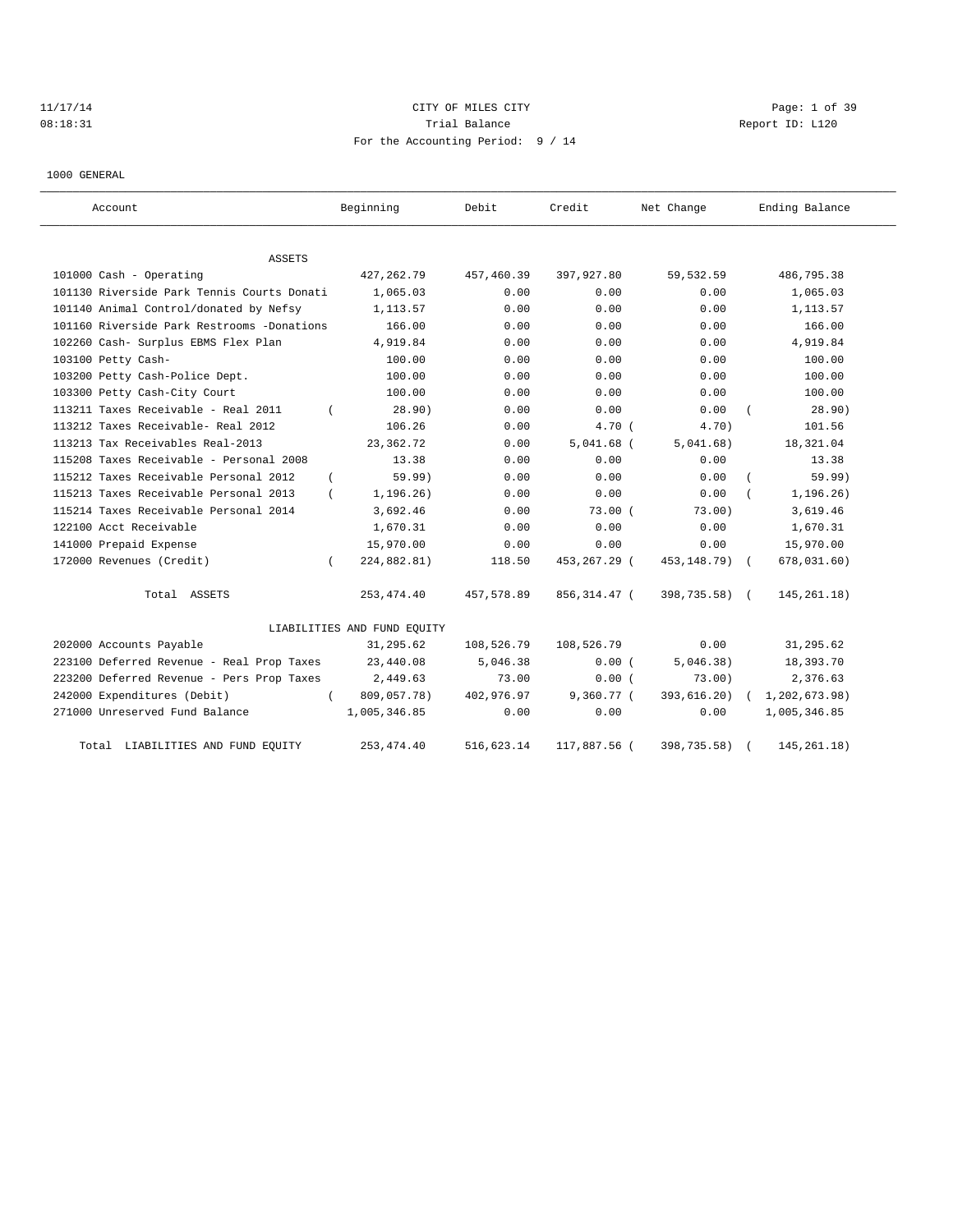# 11/17/14 Page: 1 of 39 08:18:31 Quantity Contract Contract Contract Contract Contract Contract Contract Contract Contract Contract Contract Contract Contract Contract Contract Contract Contra For the Accounting Period: 9 / 14

1000 GENERAL

| Account                                           | Beginning                   | Debit      | Credit        | Net Change    | Ending Balance |
|---------------------------------------------------|-----------------------------|------------|---------------|---------------|----------------|
| <b>ASSETS</b>                                     |                             |            |               |               |                |
| 101000 Cash - Operating                           | 427, 262. 79                | 457,460.39 | 397,927.80    | 59,532.59     | 486,795.38     |
| 101130 Riverside Park Tennis Courts Donati        | 1,065.03                    | 0.00       | 0.00          | 0.00          | 1,065.03       |
| 101140 Animal Control/donated by Nefsy            | 1,113.57                    | 0.00       | 0.00          | 0.00          | 1,113.57       |
| 101160 Riverside Park Restrooms -Donations        | 166.00                      | 0.00       | 0.00          | 0.00          | 166.00         |
| 102260 Cash- Surplus EBMS Flex Plan               | 4,919.84                    | 0.00       | 0.00          | 0.00          | 4,919.84       |
| 103100 Petty Cash-                                | 100.00                      | 0.00       | 0.00          | 0.00          | 100.00         |
| 103200 Petty Cash-Police Dept.                    | 100.00                      | 0.00       | 0.00          | 0.00          | 100.00         |
| 103300 Petty Cash-City Court                      | 100.00                      | 0.00       | 0.00          | 0.00          | 100.00         |
| 113211 Taxes Receivable - Real 2011               | 28.90)                      | 0.00       | 0.00          | 0.00          | 28.90)         |
| 113212 Taxes Receivable- Real 2012                | 106.26                      | 0.00       | 4.70(         | 4.70)         | 101.56         |
| 113213 Tax Receivables Real-2013                  | 23, 362. 72                 | 0.00       | $5,041.68$ (  | 5,041.68)     | 18,321.04      |
| 115208 Taxes Receivable - Personal 2008           | 13.38                       | 0.00       | 0.00          | 0.00          | 13.38          |
| 115212 Taxes Receivable Personal 2012<br>$\left($ | 59.99)                      | 0.00       | 0.00          | 0.00          | 59.99)         |
| 115213 Taxes Receivable Personal 2013             | 1, 196.26)                  | 0.00       | 0.00          | 0.00          | 1, 196.26)     |
| 115214 Taxes Receivable Personal 2014             | 3,692.46                    | 0.00       | 73.00(        | 73.00)        | 3,619.46       |
| 122100 Acct Receivable                            | 1,670.31                    | 0.00       | 0.00          | 0.00          | 1,670.31       |
| 141000 Prepaid Expense                            | 15,970.00                   | 0.00       | 0.00          | 0.00          | 15,970.00      |
| 172000 Revenues (Credit)                          | 224,882.81)                 | 118.50     | 453,267.29 (  | 453, 148.79)  | 678,031.60)    |
| Total ASSETS                                      | 253, 474.40                 | 457,578.89 | 856, 314.47 ( | 398,735.58) ( | 145, 261.18)   |
|                                                   | LIABILITIES AND FUND EQUITY |            |               |               |                |
| 202000 Accounts Payable                           | 31,295.62                   | 108,526.79 | 108,526.79    | 0.00          | 31,295.62      |
| 223100 Deferred Revenue - Real Prop Taxes         | 23,440.08                   | 5,046.38   | 0.00(         | 5,046.38)     | 18,393.70      |
| 223200 Deferred Revenue - Pers Prop Taxes         | 2,449.63                    | 73.00      | 0.00(         | 73.00)        | 2,376.63       |
| 242000 Expenditures (Debit)                       | 809,057.78)                 | 402,976.97 | 9,360.77 (    | 393,616.20)   | 1,202,673.98)  |
| 271000 Unreserved Fund Balance                    | 1,005,346.85                | 0.00       | 0.00          | 0.00          | 1,005,346.85   |
| LIABILITIES AND FUND EQUITY<br>Total              | 253, 474.40                 | 516,623.14 | 117,887.56 (  | 398,735.58)   | 145, 261. 18)  |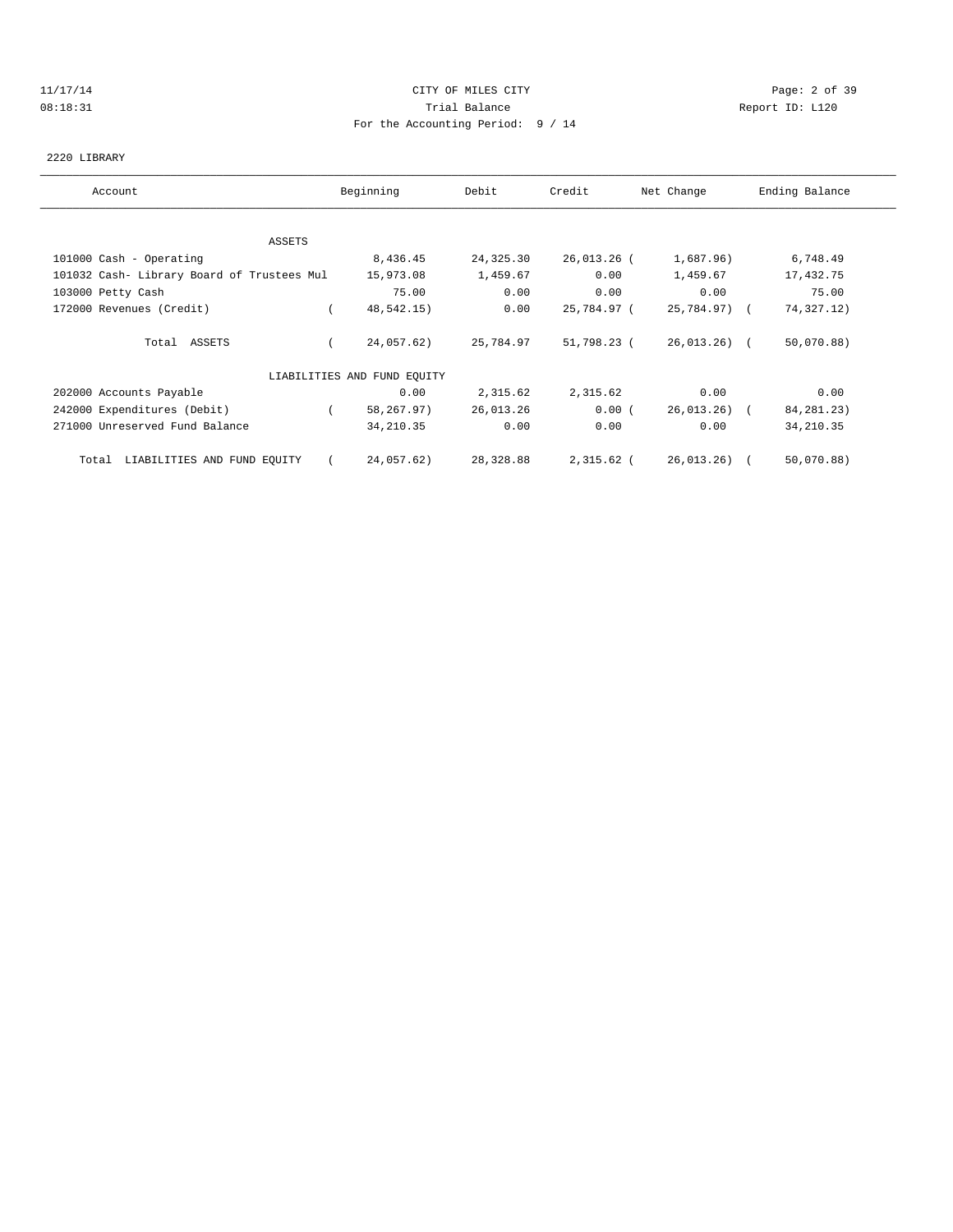## 11/17/14 CITY OF MILES CITY Page: 2 of 39 08:18:31 Trial Balance Report ID: L120 For the Accounting Period: 9 / 14

### 2220 LIBRARY

| Account                                    | Beginning                   | Debit     | Credit      | Net Change   | Ending Balance |
|--------------------------------------------|-----------------------------|-----------|-------------|--------------|----------------|
|                                            |                             |           |             |              |                |
| ASSETS                                     |                             |           |             |              |                |
| 101000 Cash - Operating                    | 8,436.45                    | 24,325.30 | 26,013.26 ( | 1,687.96)    | 6,748.49       |
| 101032 Cash- Library Board of Trustees Mul | 15,973.08                   | 1,459.67  | 0.00        | 1,459.67     | 17,432.75      |
| 103000 Petty Cash                          | 75.00                       | 0.00      | 0.00        | 0.00         | 75.00          |
| 172000 Revenues (Credit)                   | 48,542.15)                  | 0.00      | 25,784.97 ( | 25,784.97) ( | 74,327.12)     |
| Total ASSETS                               | 24,057.62)                  | 25,784.97 | 51,798.23 ( | 26,013.26) ( | 50,070.88)     |
|                                            | LIABILITIES AND FUND EQUITY |           |             |              |                |
| 202000 Accounts Payable                    | 0.00                        | 2,315.62  | 2,315.62    | 0.00         | 0.00           |
| 242000 Expenditures (Debit)                | 58,267.97)                  | 26,013.26 | 0.00(       | 26,013.26) ( | 84, 281. 23)   |
| 271000 Unreserved Fund Balance             | 34, 210.35                  | 0.00      | 0.00        | 0.00         | 34, 210.35     |
| Total LIABILITIES AND FUND EQUITY          | 24,057.62)                  | 28,328.88 | 2,315.62 (  | 26,013.26) ( | 50,070.88)     |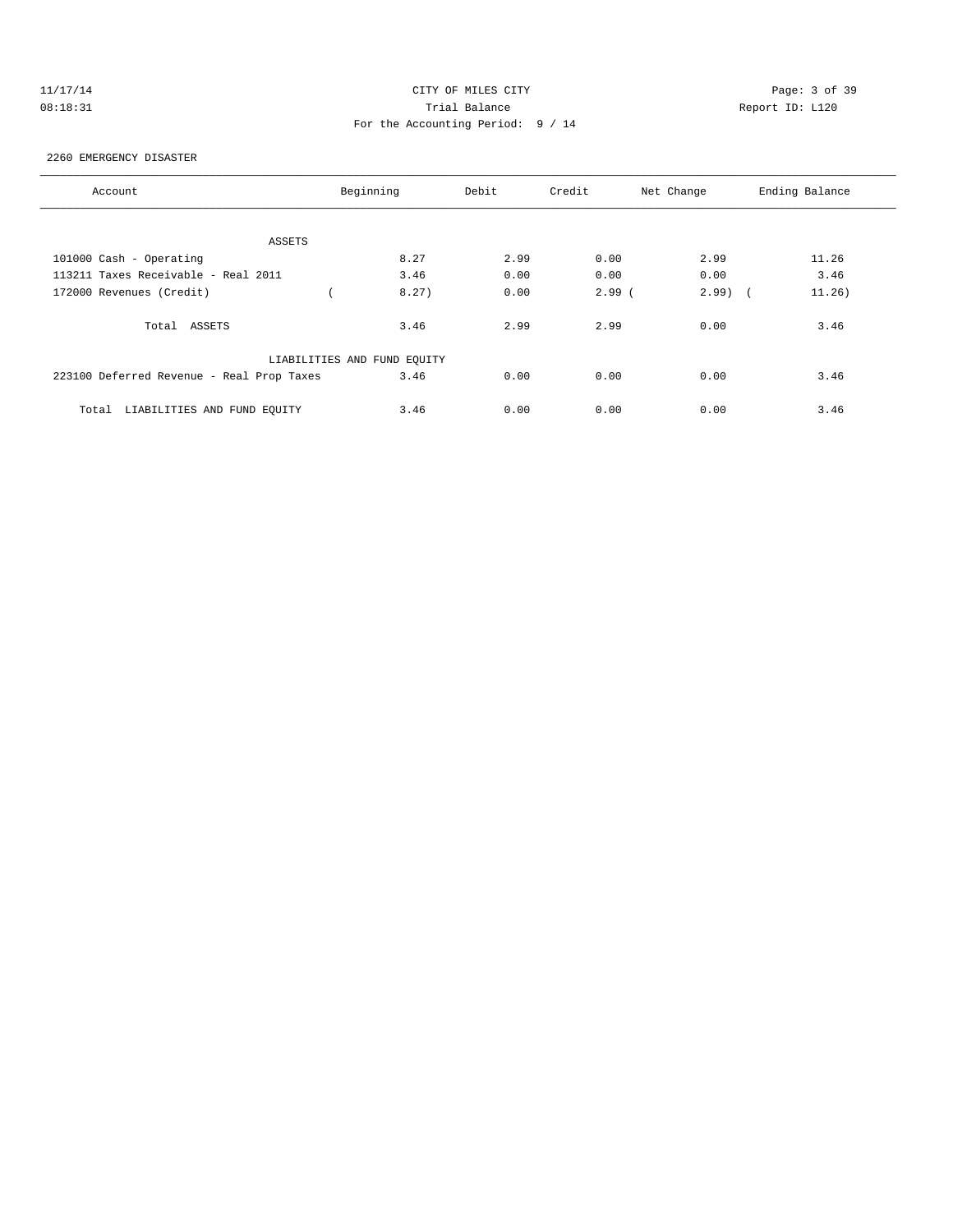# 11/17/14 CITY OF MILES CITY Page: 3 of 39 08:18:31 Trial Balance Report ID: L120 For the Accounting Period: 9 / 14

#### 2260 EMERGENCY DISASTER

| Account                                   | Beginning |                             | Debit | Credit   | Net Change         | Ending Balance |
|-------------------------------------------|-----------|-----------------------------|-------|----------|--------------------|----------------|
|                                           |           |                             |       |          |                    |                |
| ASSETS                                    |           |                             |       |          |                    |                |
| 101000 Cash - Operating                   |           | 8.27                        | 2.99  | 0.00     | 2.99               | 11.26          |
| 113211 Taxes Receivable - Real 2011       |           | 3.46                        | 0.00  | 0.00     | 0.00               | 3.46           |
| 172000 Revenues (Credit)                  |           | 8.27)                       | 0.00  | $2.99$ ( | 2.99<br>$\sqrt{2}$ | 11.26)         |
| Total ASSETS                              |           | 3.46                        | 2.99  | 2.99     | 0.00               | 3.46           |
|                                           |           | LIABILITIES AND FUND EQUITY |       |          |                    |                |
| 223100 Deferred Revenue - Real Prop Taxes |           | 3.46                        | 0.00  | 0.00     | 0.00               | 3.46           |
| LIABILITIES AND FUND EQUITY<br>Total      |           | 3.46                        | 0.00  | 0.00     | 0.00               | 3.46           |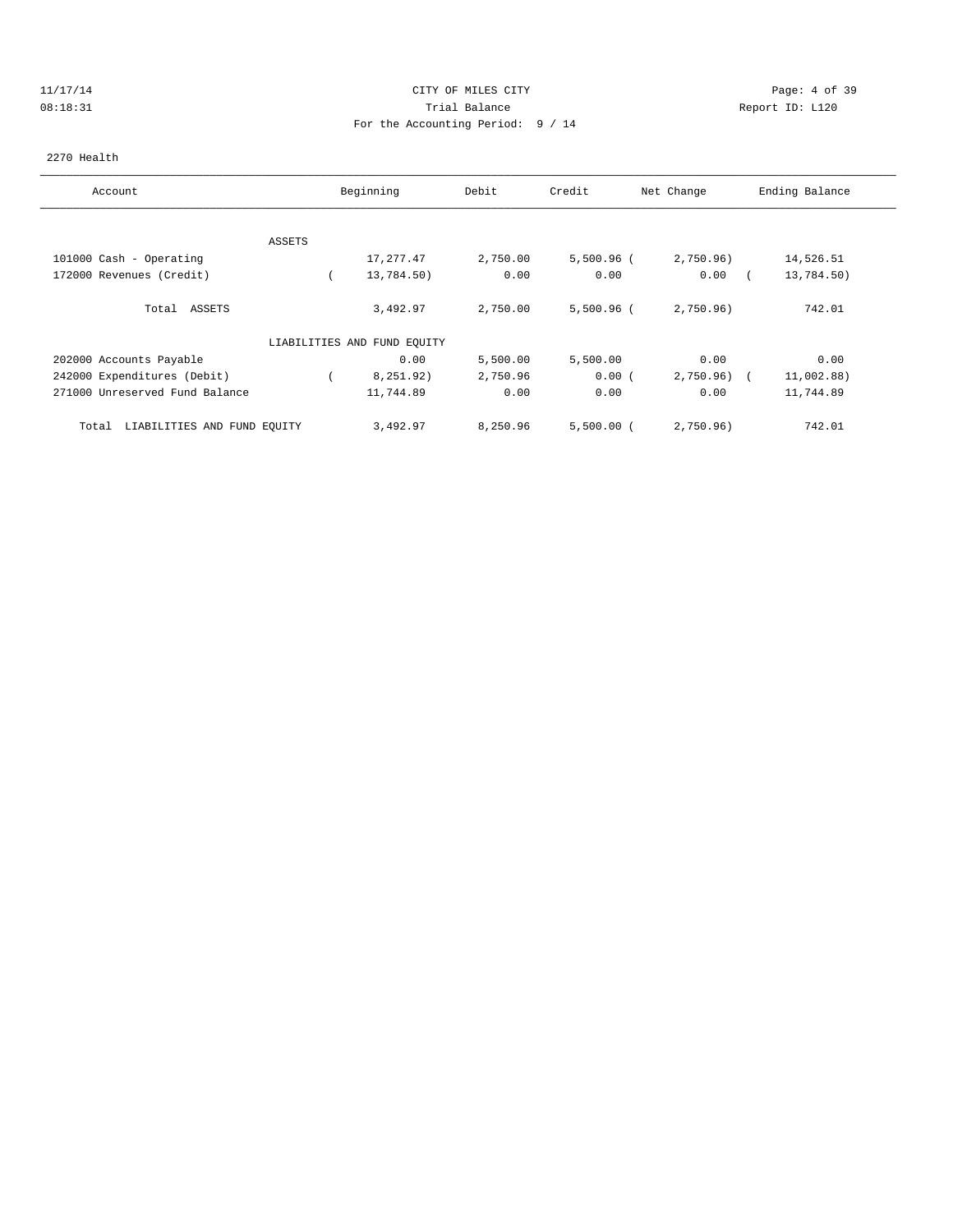## 11/17/14 CITY OF MILES CITY Page: 4 of 39 08:18:31 Trial Balance Report ID: L120 For the Accounting Period: 9 / 14

#### 2270 Health

| Account                              | Beginning |                             | Debit    | Credit       | Net Change | Ending Balance           |  |
|--------------------------------------|-----------|-----------------------------|----------|--------------|------------|--------------------------|--|
|                                      |           |                             |          |              |            |                          |  |
|                                      | ASSETS    |                             |          |              |            |                          |  |
| 101000 Cash - Operating              |           | 17,277.47                   | 2,750.00 | $5,500.96$ ( | 2,750.96)  | 14,526.51                |  |
| 172000 Revenues (Credit)             |           | 13,784.50)                  | 0.00     | 0.00         | 0.00       | 13,784.50)               |  |
| ASSETS<br>Total                      |           | 3,492.97                    | 2,750.00 | $5,500.96$ ( | 2,750.96)  | 742.01                   |  |
|                                      |           | LIABILITIES AND FUND EQUITY |          |              |            |                          |  |
| 202000 Accounts Payable              |           | 0.00                        | 5,500.00 | 5,500.00     | 0.00       | 0.00                     |  |
| 242000 Expenditures (Debit)          |           | 8,251.92)                   | 2,750.96 | 0.00(        | 2,750.96)  | 11,002.88)<br>$\sqrt{2}$ |  |
| 271000 Unreserved Fund Balance       |           | 11,744.89                   | 0.00     | 0.00         | 0.00       | 11,744.89                |  |
| LIABILITIES AND FUND EQUITY<br>Total |           | 3,492.97                    | 8,250.96 | $5,500.00$ ( | 2,750.96)  | 742.01                   |  |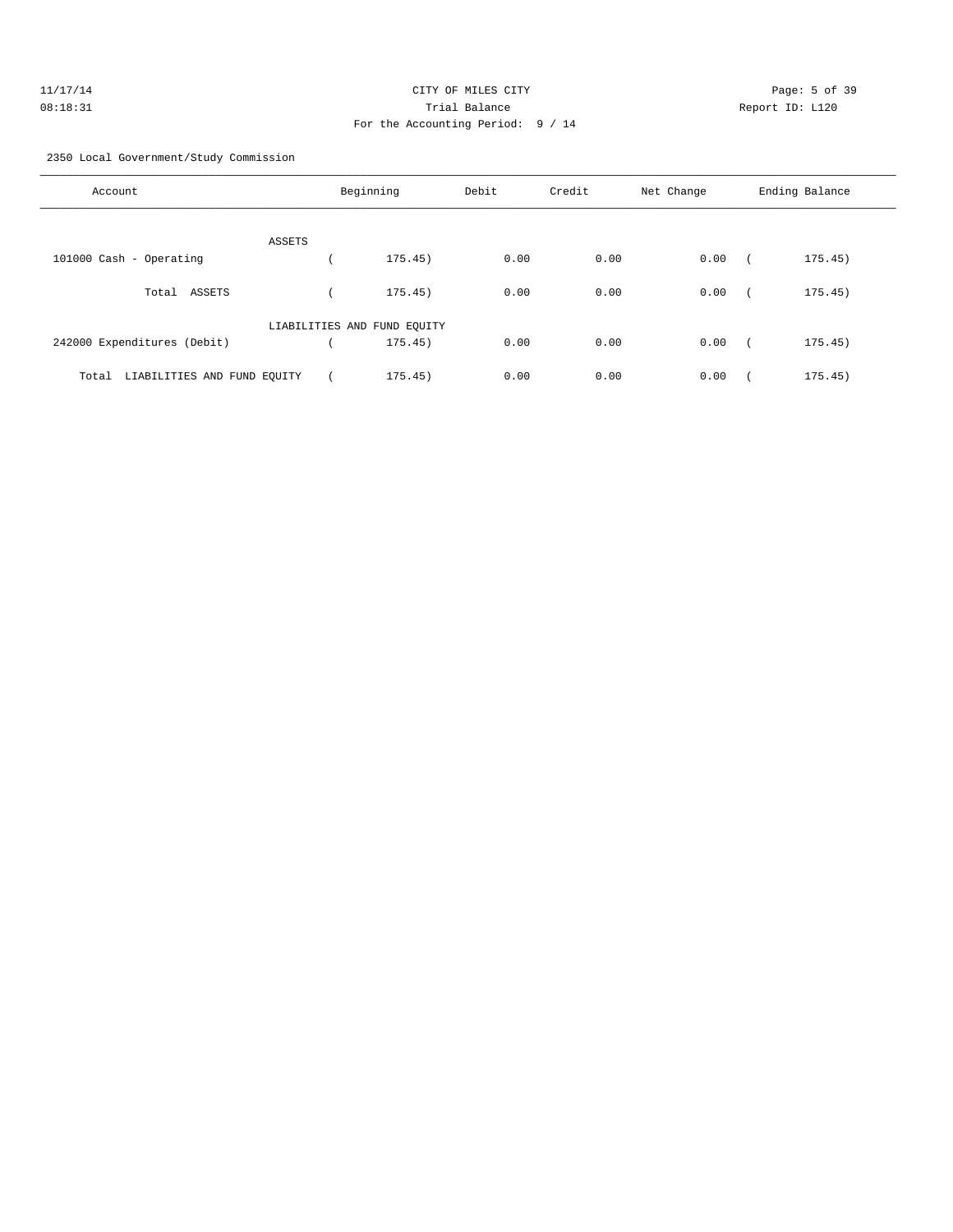| 11/17/14 | CITY OF MILES CITY                | Page: 5 of 39   |
|----------|-----------------------------------|-----------------|
| 08:18:31 | Trial Balance                     | Report ID: L120 |
|          | For the Accounting Period: 9 / 14 |                 |

2350 Local Government/Study Commission

| Account                              |        | Beginning                   | Debit | Credit | Net Change | Ending Balance |
|--------------------------------------|--------|-----------------------------|-------|--------|------------|----------------|
|                                      | ASSETS |                             |       |        |            |                |
| 101000 Cash - Operating              |        | 175.45)                     | 0.00  | 0.00   | 0.00       | 175.45)        |
| ASSETS<br>Total                      |        | 175.45)                     | 0.00  | 0.00   | 0.00       | 175.45)        |
|                                      |        | LIABILITIES AND FUND EQUITY |       |        |            |                |
| 242000 Expenditures (Debit)          |        | 175.45)                     | 0.00  | 0.00   | 0.00       | 175.45)        |
| LIABILITIES AND FUND EQUITY<br>Total |        | 175.45)                     | 0.00  | 0.00   | 0.00       | 175.45)        |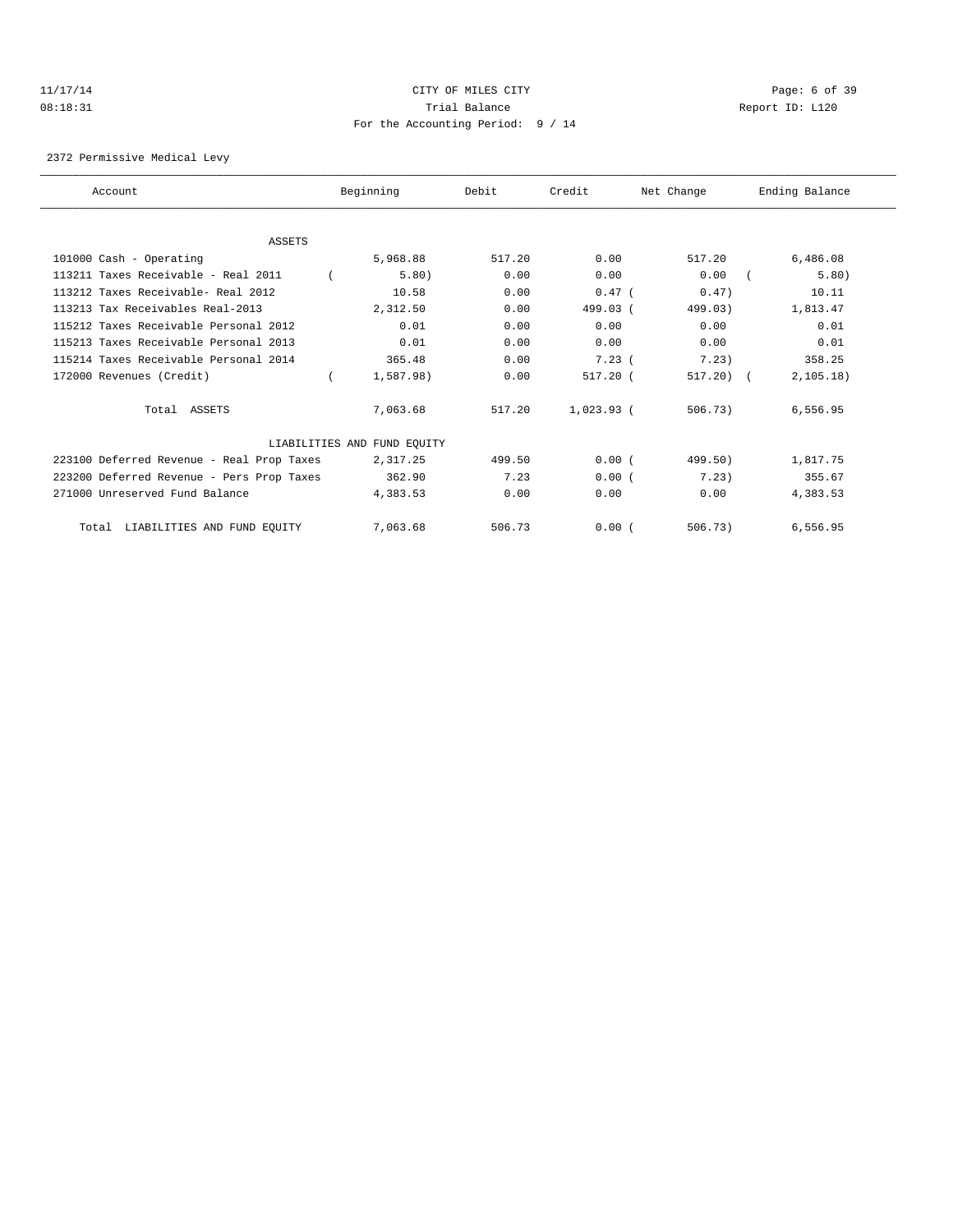## 11/17/14 CITY OF MILES CITY Page: 6 of 39 08:18:31 Trial Balance Report ID: L120 For the Accounting Period: 9 / 14

2372 Permissive Medical Levy

| Account                                   | Beginning |                             | Debit  | Credit       | Net Change   | Ending Balance |            |
|-------------------------------------------|-----------|-----------------------------|--------|--------------|--------------|----------------|------------|
|                                           |           |                             |        |              |              |                |            |
| <b>ASSETS</b>                             |           |                             |        |              |              |                |            |
| 101000 Cash - Operating                   |           | 5,968.88                    | 517.20 | 0.00         | 517.20       |                | 6,486.08   |
| 113211 Taxes Receivable - Real 2011       |           | 5.80)                       | 0.00   | 0.00         | 0.00         |                | 5.80)      |
| 113212 Taxes Receivable- Real 2012        |           | 10.58                       | 0.00   | $0.47$ (     | 0.47)        |                | 10.11      |
| 113213 Tax Receivables Real-2013          |           | 2,312.50                    | 0.00   | 499.03 (     | 499.03)      |                | 1,813.47   |
| 115212 Taxes Receivable Personal 2012     |           | 0.01                        | 0.00   | 0.00         | 0.00         |                | 0.01       |
| 115213 Taxes Receivable Personal 2013     |           | 0.01                        | 0.00   | 0.00         | 0.00         |                | 0.01       |
| 115214 Taxes Receivable Personal 2014     |           | 365.48                      | 0.00   | 7.23(        | 7.23)        |                | 358.25     |
| 172000 Revenues (Credit)                  |           | 1,587.98)                   | 0.00   | $517.20$ (   | $517.20$ ) ( |                | 2, 105.18) |
| Total ASSETS                              |           | 7,063.68                    | 517.20 | $1,023.93$ ( | 506.73)      |                | 6,556.95   |
|                                           |           | LIABILITIES AND FUND EQUITY |        |              |              |                |            |
| 223100 Deferred Revenue - Real Prop Taxes |           | 2,317.25                    | 499.50 | 0.00(        | 499.50)      |                | 1,817.75   |
| 223200 Deferred Revenue - Pers Prop Taxes |           | 362.90                      | 7.23   | 0.00(        | 7.23)        |                | 355.67     |
| 271000 Unreserved Fund Balance            |           | 4,383.53                    | 0.00   | 0.00         | 0.00         |                | 4,383.53   |
| LIABILITIES AND FUND EQUITY<br>Total      |           | 7,063.68                    | 506.73 | 0.00(        | 506.73)      |                | 6,556.95   |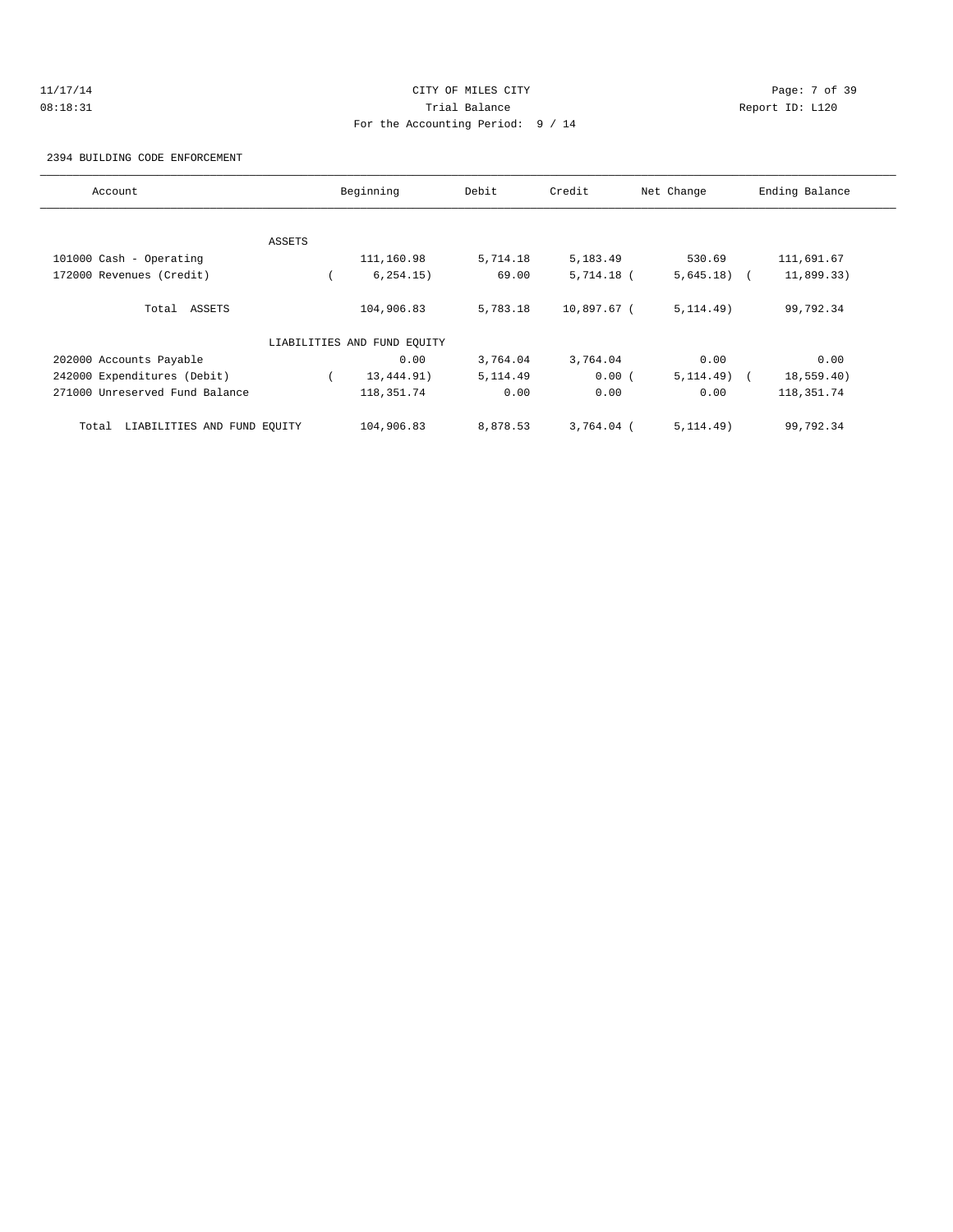# 11/17/14 CITY OF MILES CITY Page: 7 of 39 08:18:31 Trial Balance Report ID: L120 For the Accounting Period: 9 / 14

2394 BUILDING CODE ENFORCEMENT

| Account                              |        | Beginning<br>Debit          |           | Credit<br>Net Change |              | Ending Balance |
|--------------------------------------|--------|-----------------------------|-----------|----------------------|--------------|----------------|
|                                      |        |                             |           |                      |              |                |
|                                      | ASSETS |                             |           |                      |              |                |
| 101000 Cash - Operating              |        | 111,160.98                  | 5,714.18  | 5,183.49             | 530.69       | 111,691.67     |
| 172000 Revenues (Credit)             |        | 6, 254.15)                  | 69.00     | $5,714.18$ (         | $5,645.18$ ( | 11,899.33)     |
| Total ASSETS                         |        | 104,906.83                  | 5,783.18  | 10,897.67 (          | 5, 114.49)   | 99,792.34      |
|                                      |        | LIABILITIES AND FUND EOUITY |           |                      |              |                |
| 202000 Accounts Payable              |        | 0.00                        | 3,764.04  | 3,764.04             | 0.00         | 0.00           |
| 242000 Expenditures (Debit)          |        | 13,444.91)                  | 5, 114.49 | 0.00(                | $5,114.49$ ( | 18,559.40)     |
| 271000 Unreserved Fund Balance       |        | 118, 351.74                 | 0.00      | 0.00                 | 0.00         | 118,351.74     |
| LIABILITIES AND FUND EQUITY<br>Total |        | 104,906.83                  | 8,878.53  | $3,764.04$ (         | 5, 114.49)   | 99,792.34      |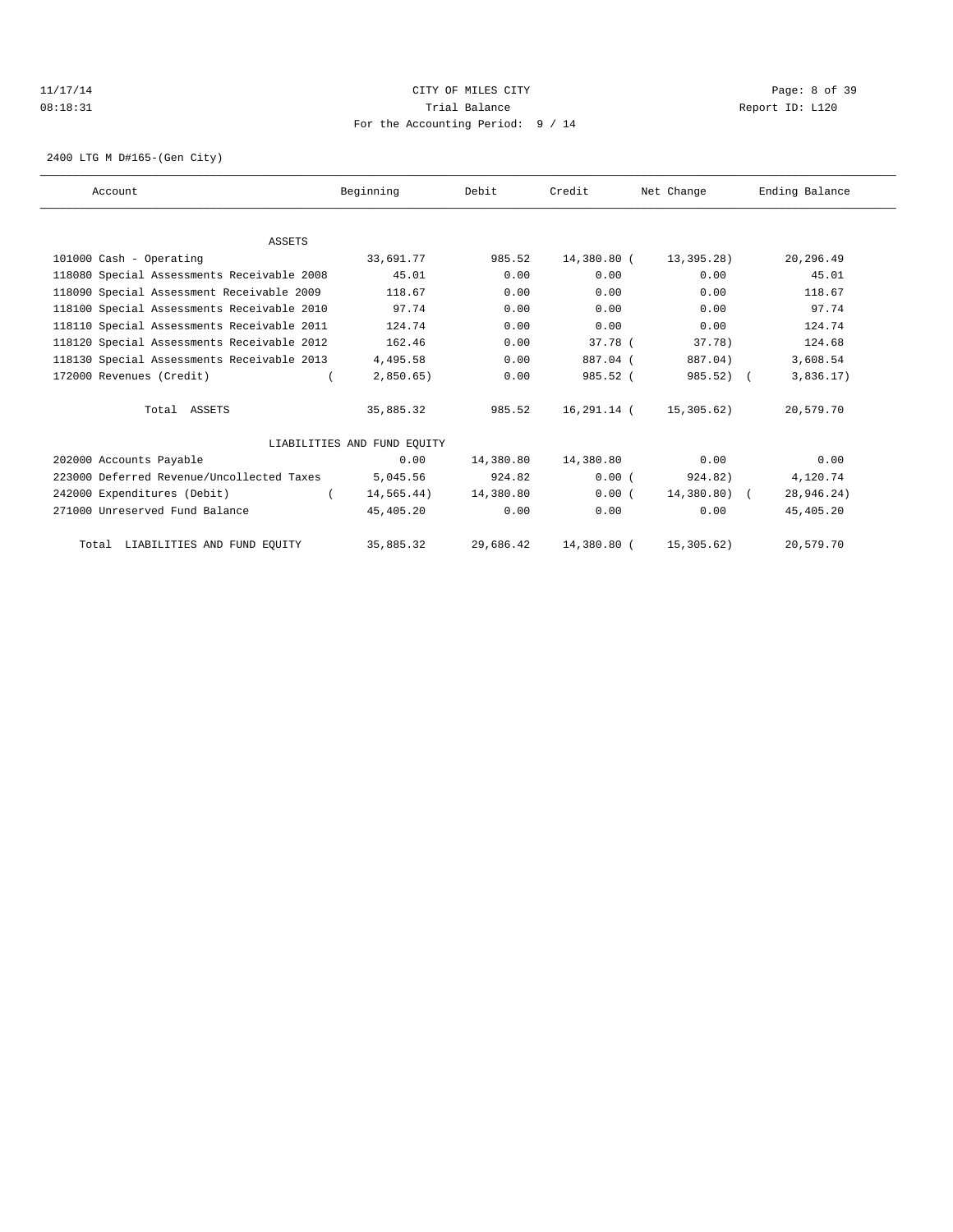## 11/17/14 CITY OF MILES CITY Page: 8 of 39 08:18:31 Trial Balance Report ID: L120 For the Accounting Period: 9 / 14

2400 LTG M D#165-(Gen City)

| Account                                    | Beginning                   | Debit     | Credit      | Net Change   | Ending Balance |  |
|--------------------------------------------|-----------------------------|-----------|-------------|--------------|----------------|--|
|                                            |                             |           |             |              |                |  |
| <b>ASSETS</b>                              |                             |           |             |              |                |  |
| 101000 Cash - Operating                    | 33,691.77                   | 985.52    | 14,380.80 ( | 13,395.28)   | 20,296.49      |  |
| 118080 Special Assessments Receivable 2008 | 45.01                       | 0.00      | 0.00        | 0.00         | 45.01          |  |
| 118090 Special Assessment Receivable 2009  | 118.67                      | 0.00      | 0.00        | 0.00         | 118.67         |  |
| 118100 Special Assessments Receivable 2010 | 97.74                       | 0.00      | 0.00        | 0.00         | 97.74          |  |
| 118110 Special Assessments Receivable 2011 | 124.74                      | 0.00      | 0.00        | 0.00         | 124.74         |  |
| 118120 Special Assessments Receivable 2012 | 162.46                      | 0.00      | $37.78$ (   | 37.78        | 124.68         |  |
| 118130 Special Assessments Receivable 2013 | 4,495.58                    | 0.00      | 887.04 (    | 887.04)      | 3,608.54       |  |
| 172000 Revenues (Credit)                   | 2,850.65                    | 0.00      | 985.52 (    | $985.52$ (   | 3,836.17)      |  |
| Total ASSETS                               | 35,885.32                   | 985.52    | 16,291.14 ( | 15,305.62)   | 20,579.70      |  |
|                                            | LIABILITIES AND FUND EOUITY |           |             |              |                |  |
| 202000 Accounts Payable                    | 0.00                        | 14,380.80 | 14,380.80   | 0.00         | 0.00           |  |
| 223000 Deferred Revenue/Uncollected Taxes  | 5,045.56                    | 924.82    | 0.00(       | 924.82)      | 4,120.74       |  |
| 242000 Expenditures (Debit)                | 14,565.44)                  | 14,380.80 | 0.00(       | 14,380.80) ( | 28,946.24)     |  |
| 271000 Unreserved Fund Balance             | 45,405.20                   | 0.00      | 0.00        | 0.00         | 45,405.20      |  |
| Total LIABILITIES AND FUND EQUITY          | 35,885.32                   | 29,686.42 | 14,380.80 ( | 15,305.62)   | 20,579.70      |  |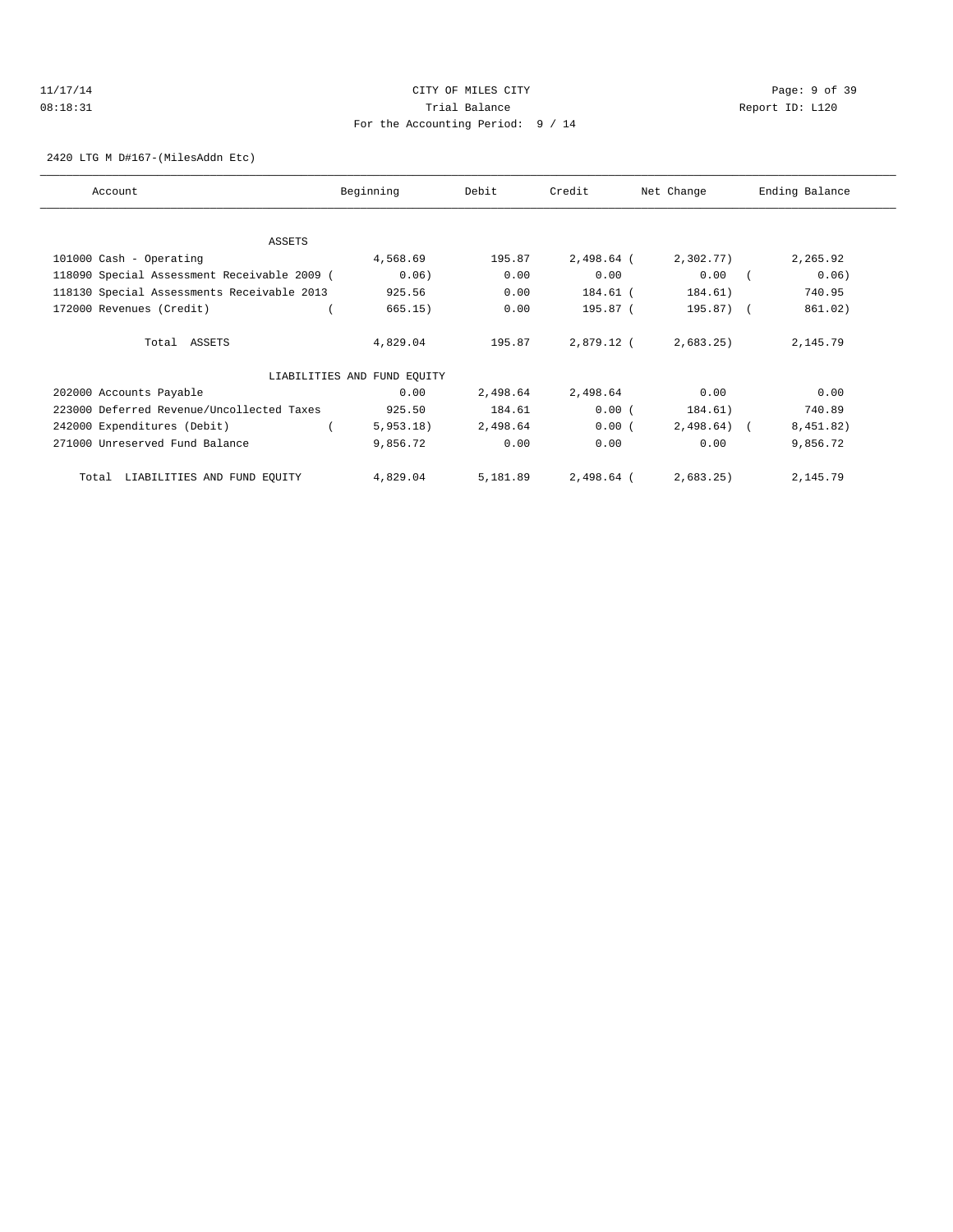## 11/17/14 CITY OF MILES CITY Page: 9 of 39 08:18:31 Trial Balance Report ID: L120 For the Accounting Period: 9 / 14

2420 LTG M D#167-(MilesAddn Etc)

| Account                                     | Beginning                   | Debit    | Credit       | Net Change | Ending Balance |
|---------------------------------------------|-----------------------------|----------|--------------|------------|----------------|
|                                             |                             |          |              |            |                |
| <b>ASSETS</b>                               |                             |          |              |            |                |
| 101000 Cash - Operating                     | 4,568.69                    | 195.87   | $2,498.64$ ( | 2,302.77)  | 2,265.92       |
| 118090 Special Assessment Receivable 2009 ( | 0.06)                       | 0.00     | 0.00         | 0.00       | 0.06)          |
| 118130 Special Assessments Receivable 2013  | 925.56                      | 0.00     | 184.61 (     | 184.61)    | 740.95         |
| 172000 Revenues (Credit)                    | 665.15)                     | 0.00     | 195.87 (     | $195.87$ ( | 861.02)        |
| Total ASSETS                                | 4,829.04                    | 195.87   | 2,879.12 (   | 2,683.25)  | 2,145.79       |
|                                             | LIABILITIES AND FUND EQUITY |          |              |            |                |
| 202000 Accounts Payable                     | 0.00                        | 2,498.64 | 2,498.64     | 0.00       | 0.00           |
| 223000 Deferred Revenue/Uncollected Taxes   | 925.50                      | 184.61   | 0.00(        | 184.61)    | 740.89         |
| 242000 Expenditures (Debit)                 | 5,953.18)                   | 2,498.64 | 0.00(        | 2,498.64)  | 8,451.82)      |
| 271000 Unreserved Fund Balance              | 9,856.72                    | 0.00     | 0.00         | 0.00       | 9,856.72       |
| LIABILITIES AND FUND EQUITY<br>Total        | 4,829.04                    | 5,181.89 | 2,498.64 (   | 2,683.25   | 2,145.79       |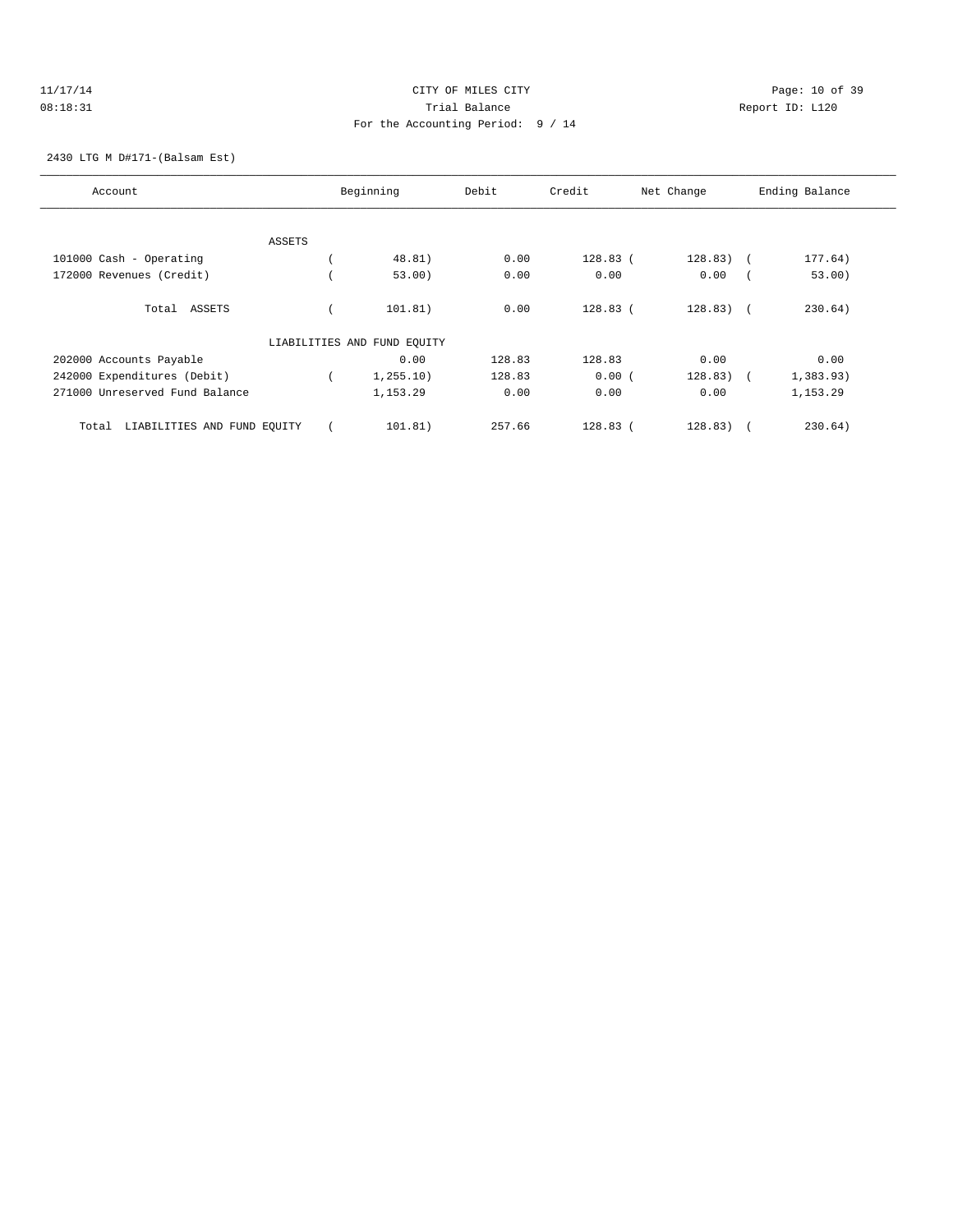## 11/17/14 Page: 10 of 39 08:18:31 Trial Balance Report ID: L120 For the Accounting Period: 9 / 14

2430 LTG M D#171-(Balsam Est)

| Account                              | Beginning                   | Debit  | Credit     | Net Change  | Ending Balance |
|--------------------------------------|-----------------------------|--------|------------|-------------|----------------|
|                                      |                             |        |            |             |                |
| ASSETS                               |                             |        |            |             |                |
| 101000 Cash - Operating              | 48.81)                      | 0.00   | $128.83$ ( | $128.83)$ ( | 177.64)        |
| 172000 Revenues (Credit)             | 53.00)                      | 0.00   | 0.00       | 0.00        | 53.00)         |
| ASSETS<br>Total                      | 101.81)                     | 0.00   | $128.83$ ( | $128.83)$ ( | 230.64)        |
|                                      | LIABILITIES AND FUND EQUITY |        |            |             |                |
| 202000 Accounts Payable              | 0.00                        | 128.83 | 128.83     | 0.00        | 0.00           |
| 242000 Expenditures (Debit)          | 1, 255.10)                  | 128.83 | 0.00(      | 128.83)     | 1,383.93)      |
| 271000 Unreserved Fund Balance       | 1,153.29                    | 0.00   | 0.00       | 0.00        | 1,153.29       |
| LIABILITIES AND FUND EQUITY<br>Total | 101.81)                     | 257.66 | $128.83$ ( | 128.83)     | 230.64)        |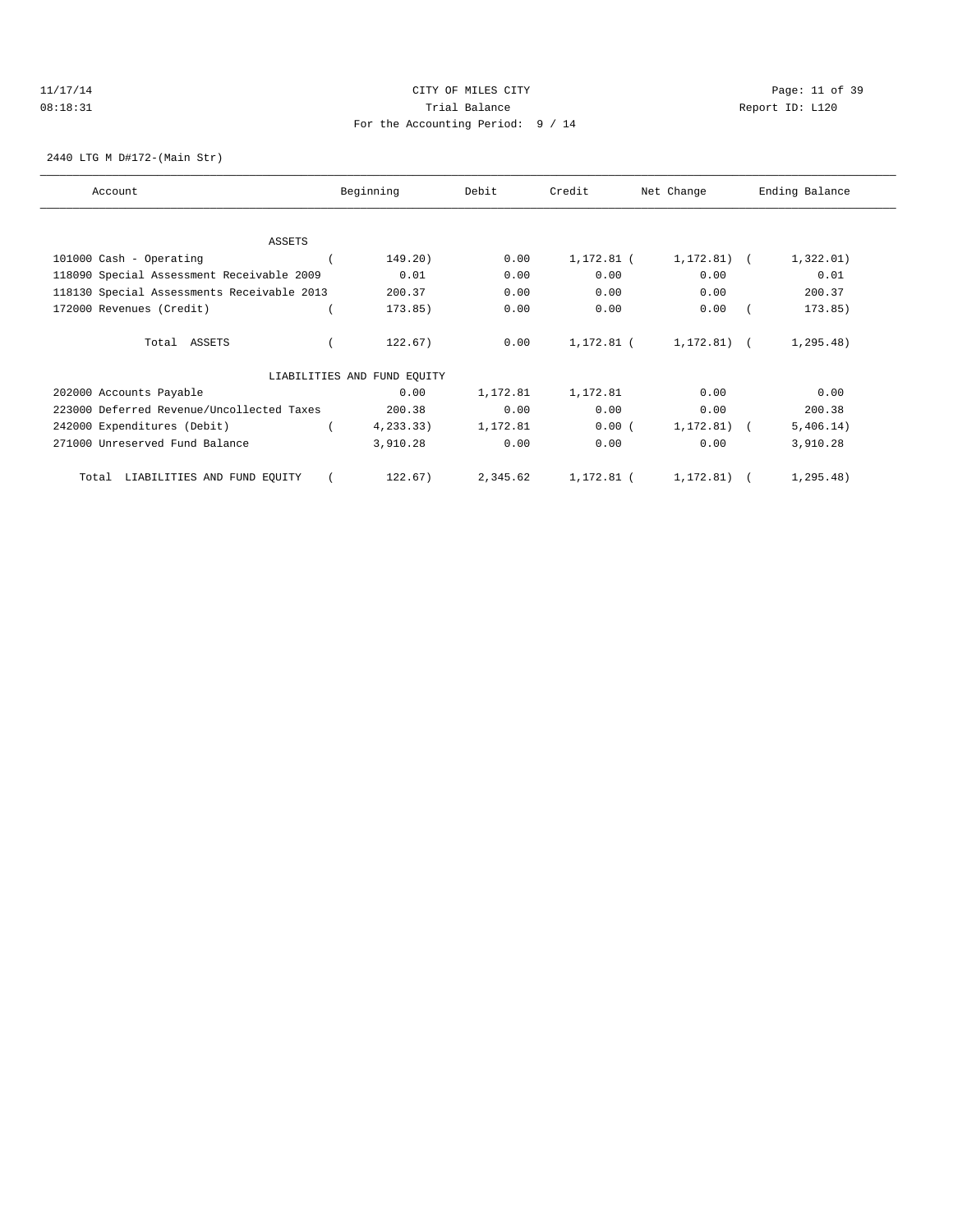## 11/17/14 Page: 11 of 39 08:18:31 Trial Balance Report ID: L120 For the Accounting Period: 9 / 14

2440 LTG M D#172-(Main Str)

| Account                                    | Beginning                   | Debit    | Credit<br>Net Change |              | Ending Balance |
|--------------------------------------------|-----------------------------|----------|----------------------|--------------|----------------|
|                                            |                             |          |                      |              |                |
| ASSETS                                     |                             |          |                      |              |                |
| 101000 Cash - Operating                    | 149.20)                     | 0.00     | 1,172.81 (           | 1,172.81)    | 1,322.01)      |
| 118090 Special Assessment Receivable 2009  | 0.01                        | 0.00     | 0.00                 | 0.00         | 0.01           |
| 118130 Special Assessments Receivable 2013 | 200.37                      | 0.00     | 0.00                 | 0.00         | 200.37         |
| 172000 Revenues (Credit)                   | 173.85)                     | 0.00     | 0.00                 | 0.00         | 173.85)        |
| Total ASSETS                               | 122.67)                     | 0.00     | 1,172.81 (           | $1,172.81$ ( | 1, 295.48)     |
|                                            | LIABILITIES AND FUND EQUITY |          |                      |              |                |
| 202000 Accounts Payable                    | 0.00                        | 1,172.81 | 1,172.81             | 0.00         | 0.00           |
| 223000 Deferred Revenue/Uncollected Taxes  | 200.38                      | 0.00     | 0.00                 | 0.00         | 200.38         |
| 242000 Expenditures (Debit)                | 4, 233.33)                  | 1,172.81 | 0.00(                | 1,172.81)    | 5,406.14)      |
| 271000 Unreserved Fund Balance             | 3,910.28                    | 0.00     | 0.00                 | 0.00         | 3,910.28       |
| LIABILITIES AND FUND EQUITY<br>Total       | 122.67)                     | 2,345.62 | 1,172.81 (           | 1,172.81)    | 1, 295.48)     |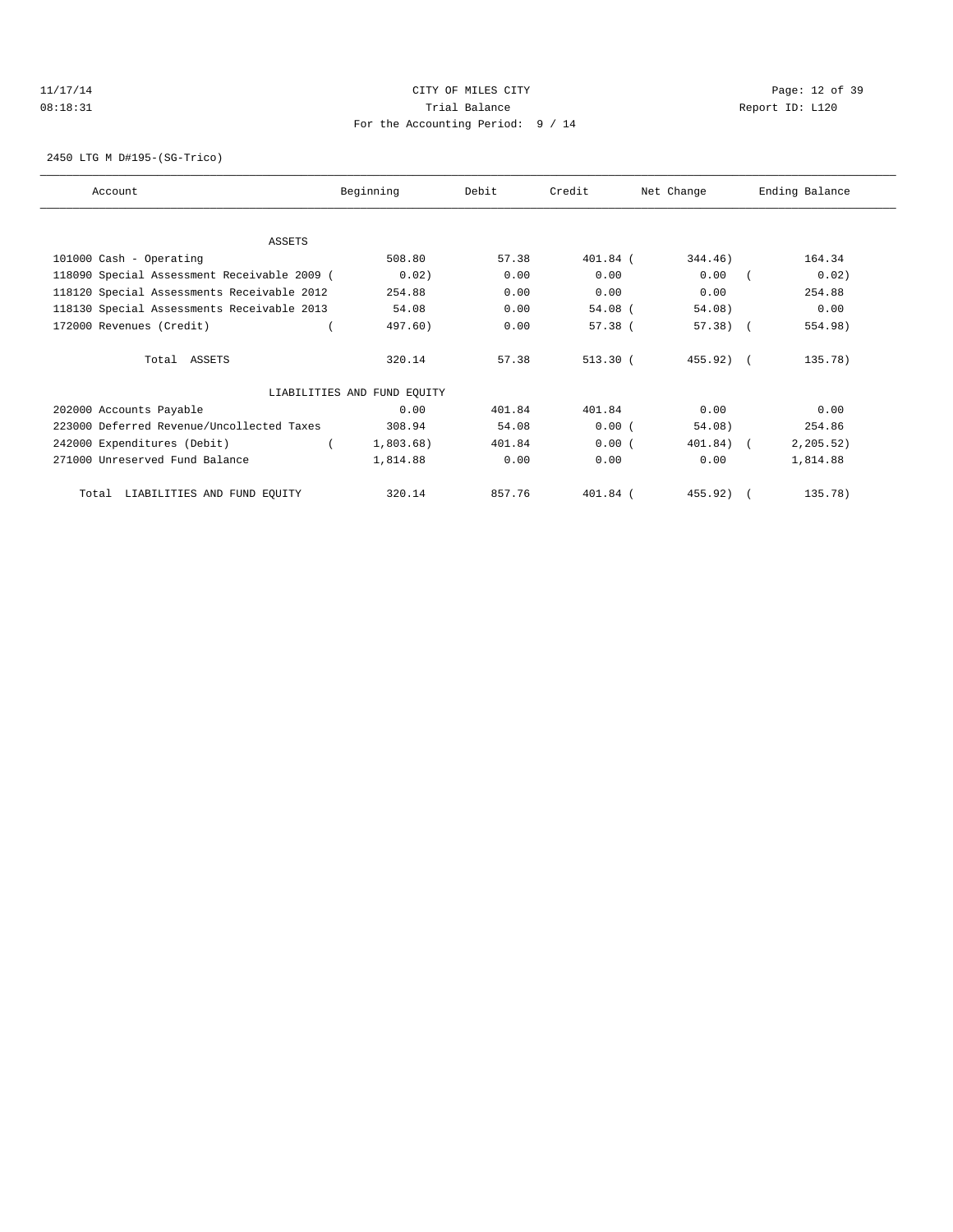## 11/17/14 Page: 12 of 39 08:18:31 Trial Balance Report ID: L120 For the Accounting Period: 9 / 14

2450 LTG M D#195-(SG-Trico)

| Account                                     | Beginning                   | Debit  | Credit    | Net Change   | Ending Balance |
|---------------------------------------------|-----------------------------|--------|-----------|--------------|----------------|
|                                             |                             |        |           |              |                |
| ASSETS                                      |                             |        |           |              |                |
| 101000 Cash - Operating                     | 508.80                      | 57.38  | 401.84 (  | 344.46)      | 164.34         |
| 118090 Special Assessment Receivable 2009 ( | 0.02)                       | 0.00   | 0.00      | 0.00         | 0.02)          |
| 118120 Special Assessments Receivable 2012  | 254.88                      | 0.00   | 0.00      | 0.00         | 254.88         |
| 118130 Special Assessments Receivable 2013  | 54.08                       | 0.00   | $54.08$ ( | 54.08)       | 0.00           |
| 172000 Revenues (Credit)                    | 497.60)                     | 0.00   | $57.38$ ( | $57.38$ (    | 554.98)        |
| Total ASSETS                                | 320.14                      | 57.38  | 513.30(   | 455.92) (    | 135.78)        |
|                                             | LIABILITIES AND FUND EQUITY |        |           |              |                |
| 202000 Accounts Payable                     | 0.00                        | 401.84 | 401.84    | 0.00         | 0.00           |
| 223000 Deferred Revenue/Uncollected Taxes   | 308.94                      | 54.08  | 0.00(     | 54.08)       | 254.86         |
| 242000 Expenditures (Debit)                 | 1,803.68)                   | 401.84 | 0.00(     | $401.84$ ) ( | 2, 205.52)     |
| 271000 Unreserved Fund Balance              | 1,814.88                    | 0.00   | 0.00      | 0.00         | 1,814.88       |
| LIABILITIES AND FUND EQUITY<br>Total        | 320.14                      | 857.76 | 401.84 (  | 455.92)      | 135.78)        |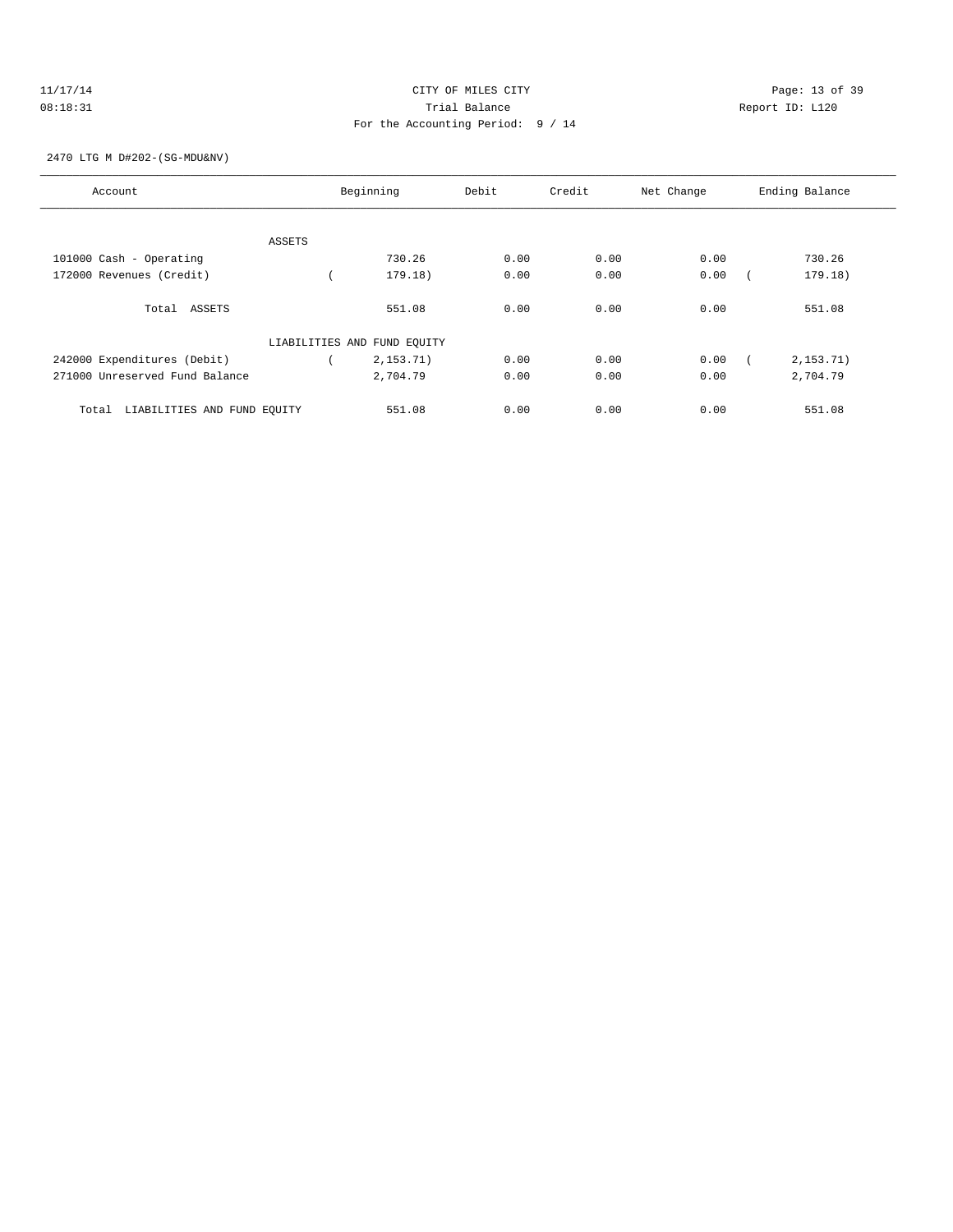## 11/17/14 Page: 13 of 39 08:18:31 Trial Balance Report ID: L120 For the Accounting Period: 9 / 14

### 2470 LTG M D#202-(SG-MDU&NV)

| Account                              |        | Beginning                   | Debit | Credit | Net Change | Ending Balance |
|--------------------------------------|--------|-----------------------------|-------|--------|------------|----------------|
|                                      | ASSETS |                             |       |        |            |                |
| 101000 Cash - Operating              |        | 730.26                      | 0.00  | 0.00   | 0.00       | 730.26         |
| 172000 Revenues (Credit)             |        | 179.18)                     | 0.00  | 0.00   | 0.00       | 179.18)        |
| Total ASSETS                         |        | 551.08                      | 0.00  | 0.00   | 0.00       | 551.08         |
|                                      |        | LIABILITIES AND FUND EQUITY |       |        |            |                |
| 242000 Expenditures (Debit)          |        | 2, 153.71)                  | 0.00  | 0.00   | 0.00       | 2, 153.71)     |
| 271000 Unreserved Fund Balance       |        | 2,704.79                    | 0.00  | 0.00   | 0.00       | 2,704.79       |
| LIABILITIES AND FUND EQUITY<br>Total |        | 551.08                      | 0.00  | 0.00   | 0.00       | 551.08         |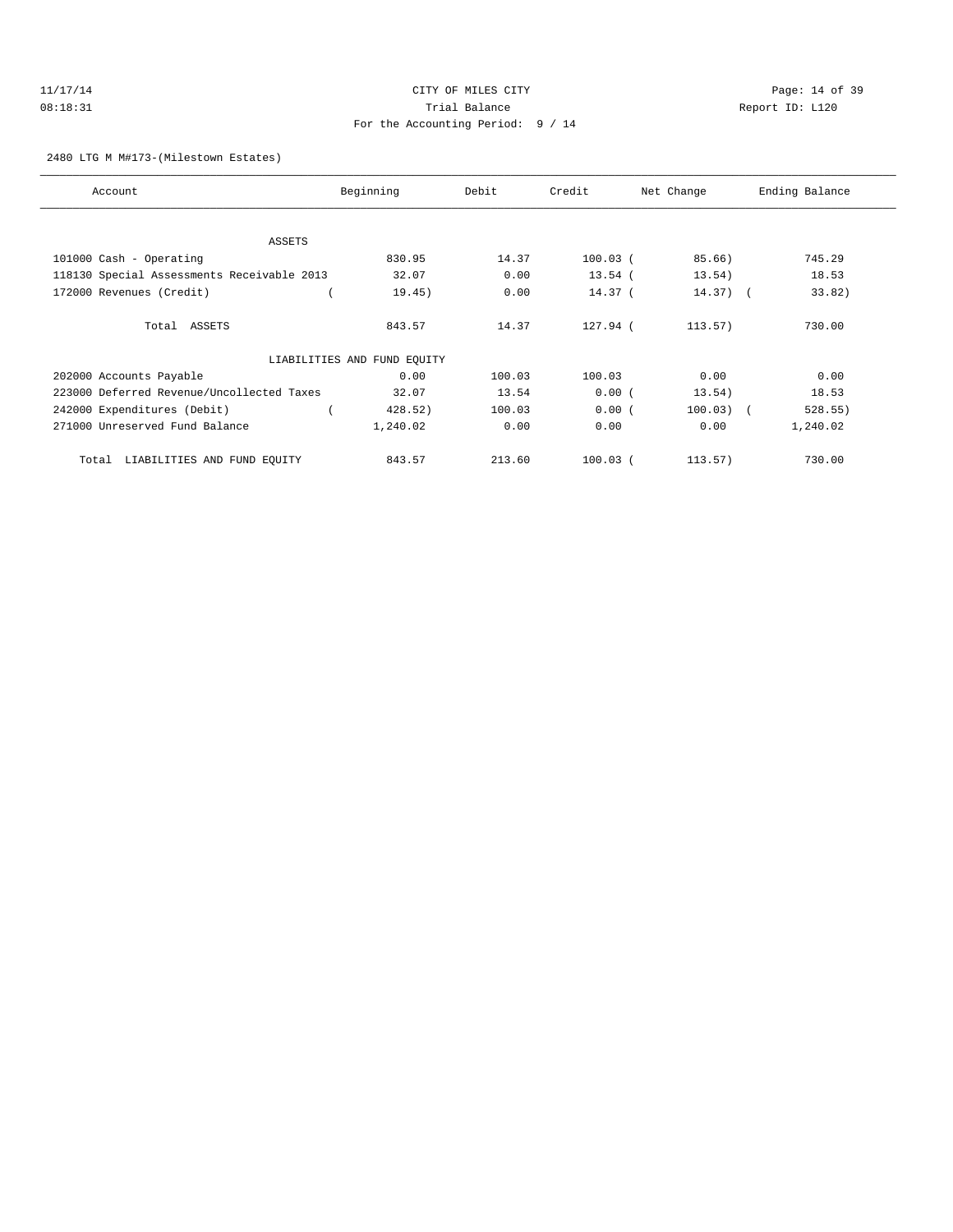## 11/17/14 Page: 14 of 39 08:18:31 Trial Balance Report ID: L120 For the Accounting Period: 9 / 14

2480 LTG M M#173-(Milestown Estates)

| Account                                    | Beginning                   | Debit  | Credit     | Net Change  | Ending Balance |
|--------------------------------------------|-----------------------------|--------|------------|-------------|----------------|
|                                            |                             |        |            |             |                |
| <b>ASSETS</b>                              |                             |        |            |             |                |
| 101000 Cash - Operating                    | 830.95                      | 14.37  | $100.03$ ( | 85.66)      | 745.29         |
| 118130 Special Assessments Receivable 2013 | 32.07                       | 0.00   | $13.54$ (  | 13.54)      | 18.53          |
| 172000 Revenues (Credit)                   | 19.45)                      | 0.00   | $14.37$ (  | $14.37)$ (  | 33.82)         |
| Total ASSETS                               | 843.57                      | 14.37  | 127.94 (   | 113.57)     | 730.00         |
|                                            | LIABILITIES AND FUND EQUITY |        |            |             |                |
| 202000 Accounts Payable                    | 0.00                        | 100.03 | 100.03     | 0.00        | 0.00           |
| 223000 Deferred Revenue/Uncollected Taxes  | 32.07                       | 13.54  | 0.00(      | 13.54)      | 18.53          |
| 242000 Expenditures (Debit)                | 428.52)                     | 100.03 | 0.00(      | $100.03)$ ( | 528.55)        |
| 271000 Unreserved Fund Balance             | 1,240.02                    | 0.00   | 0.00       | 0.00        | 1,240.02       |
| LIABILITIES AND FUND EQUITY<br>Total       | 843.57                      | 213.60 | $100.03$ ( | 113.57)     | 730.00         |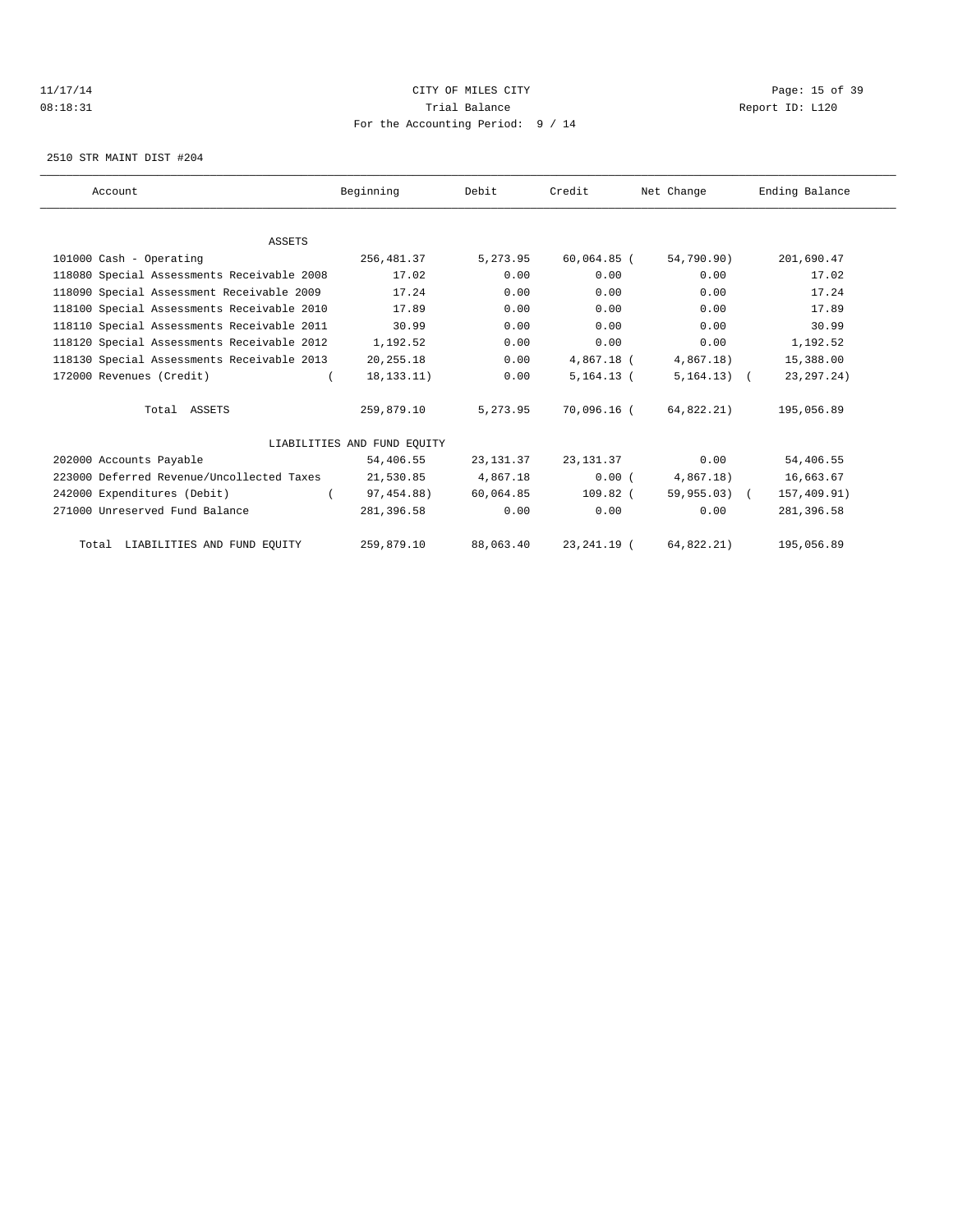## 11/17/14 Page: 15 of 39 08:18:31 Trial Balance Report ID: L120 For the Accounting Period: 9 / 14

2510 STR MAINT DIST #204

| Account                                    | Beginning                   | Debit      | Credit        | Net Change      | Ending Balance |
|--------------------------------------------|-----------------------------|------------|---------------|-----------------|----------------|
|                                            |                             |            |               |                 |                |
| <b>ASSETS</b>                              |                             |            |               |                 |                |
| 101000 Cash - Operating                    | 256,481.37                  | 5,273.95   | $60,064.85$ ( | 54,790.90)      | 201,690.47     |
| 118080 Special Assessments Receivable 2008 | 17.02                       | 0.00       | 0.00          | 0.00            | 17.02          |
| 118090 Special Assessment Receivable 2009  | 17.24                       | 0.00       | 0.00          | 0.00            | 17.24          |
| 118100 Special Assessments Receivable 2010 | 17.89                       | 0.00       | 0.00          | 0.00            | 17.89          |
| 118110 Special Assessments Receivable 2011 | 30.99                       | 0.00       | 0.00          | 0.00            | 30.99          |
| 118120 Special Assessments Receivable 2012 | 1,192.52                    | 0.00       | 0.00          | 0.00            | 1,192.52       |
| 118130 Special Assessments Receivable 2013 | 20, 255. 18                 | 0.00       | 4,867.18 (    | 4,867.18)       | 15,388.00      |
| 172000 Revenues (Credit)                   | 18, 133. 11)                | 0.00       | $5,164.13$ (  | $5, 164, 13)$ ( | 23, 297. 24)   |
| Total ASSETS                               | 259,879.10                  | 5, 273, 95 | 70,096.16 (   | 64,822.21)      | 195,056.89     |
|                                            | LIABILITIES AND FUND EOUITY |            |               |                 |                |
| 202000 Accounts Payable                    | 54,406.55                   | 23, 131.37 | 23, 131.37    | 0.00            | 54,406.55      |
| 223000 Deferred Revenue/Uncollected Taxes  | 21,530.85                   | 4,867.18   | 0.00(         | 4,867.18)       | 16,663.67      |
| 242000 Expenditures (Debit)                | 97,454.88)                  | 60,064.85  | $109.82$ (    | $59,955.03$ (   | 157,409.91)    |
| 271000 Unreserved Fund Balance             | 281,396.58                  | 0.00       | 0.00          | 0.00            | 281,396.58     |
| Total LIABILITIES AND FUND EQUITY          | 259,879.10                  | 88,063.40  | 23, 241. 19 ( | 64,822.21)      | 195,056.89     |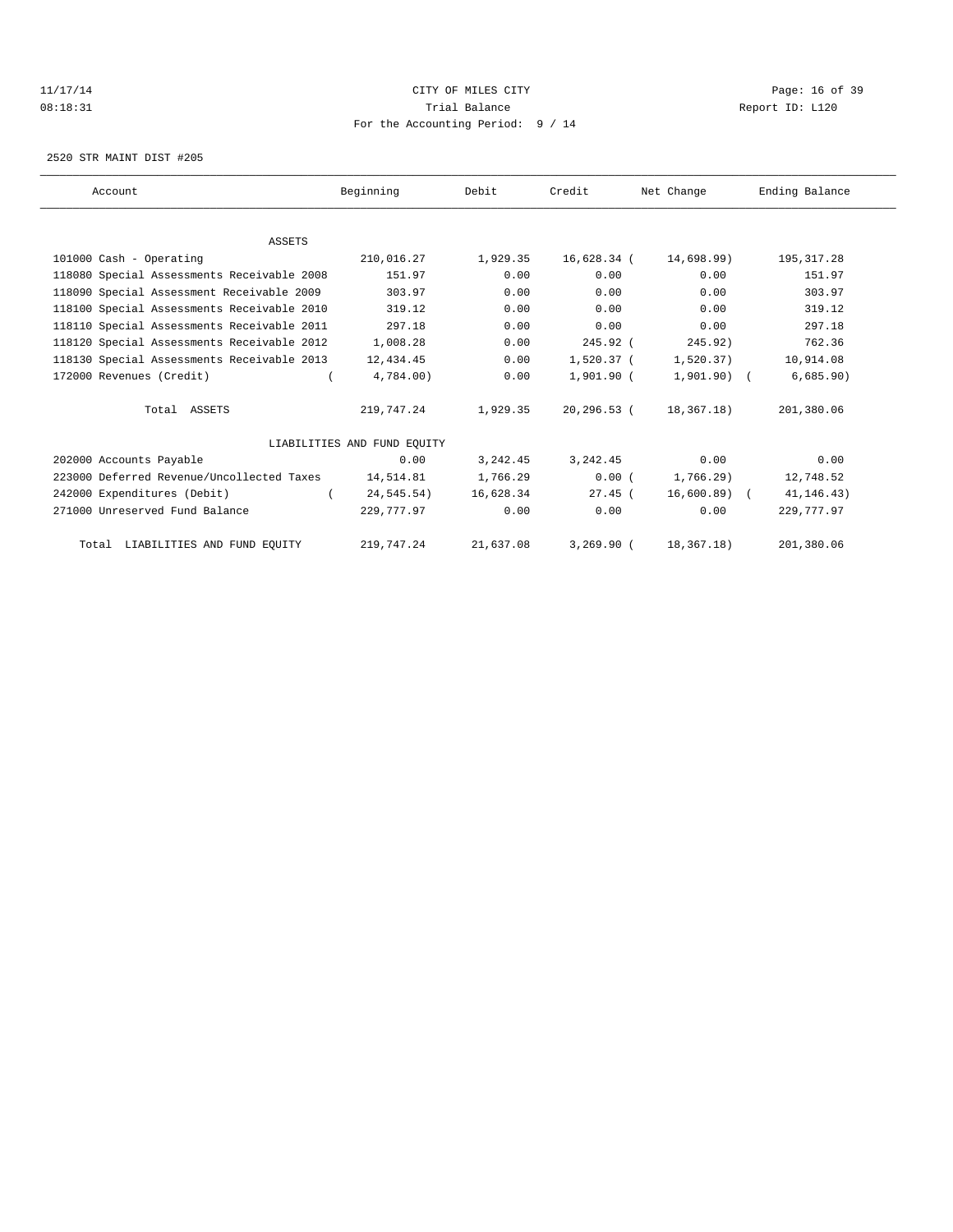## 11/17/14 Page: 16 of 39 08:18:31 Trial Balance Report ID: L120 For the Accounting Period: 9 / 14

2520 STR MAINT DIST #205

| Account                                    | Beginning                   | Debit     | Credit         | Net Change    | Ending Balance |
|--------------------------------------------|-----------------------------|-----------|----------------|---------------|----------------|
|                                            |                             |           |                |               |                |
| <b>ASSETS</b>                              |                             |           |                |               |                |
| 101000 Cash - Operating                    | 210,016.27                  | 1,929.35  | 16,628.34 (    | 14,698.99)    | 195, 317.28    |
| 118080 Special Assessments Receivable 2008 | 151.97                      | 0.00      | 0.00           | 0.00          | 151.97         |
| 118090 Special Assessment Receivable 2009  | 303.97                      | 0.00      | 0.00           | 0.00          | 303.97         |
| 118100 Special Assessments Receivable 2010 | 319.12                      | 0.00      | 0.00           | 0.00          | 319.12         |
| 118110 Special Assessments Receivable 2011 | 297.18                      | 0.00      | 0.00           | 0.00          | 297.18         |
| 118120 Special Assessments Receivable 2012 | 1,008.28                    | 0.00      | $245.92$ (     | 245.92)       | 762.36         |
| 118130 Special Assessments Receivable 2013 | 12,434.45                   | 0.00      | 1,520.37 (     | 1,520.37)     | 10,914.08      |
| 172000 Revenues (Credit)                   | 4,784.00)                   | 0.00      | $1,901.90$ (   | $1,901.90)$ ( | 6,685.90)      |
| Total ASSETS                               | 219,747.24                  | 1,929.35  | $20, 296.53$ ( | 18,367.18)    | 201,380.06     |
|                                            | LIABILITIES AND FUND EOUITY |           |                |               |                |
| 202000 Accounts Payable                    | 0.00                        | 3, 242.45 | 3, 242.45      | 0.00          | 0.00           |
| 223000 Deferred Revenue/Uncollected Taxes  | 14,514.81                   | 1,766.29  | 0.00(          | $1,766.29$ )  | 12,748.52      |
| 242000 Expenditures (Debit)                | 24,545.54)                  | 16,628.34 | $27.45$ (      | $16,600.89$ ( | 41, 146. 43)   |
| 271000 Unreserved Fund Balance             | 229,777.97                  | 0.00      | 0.00           | 0.00          | 229,777.97     |
| Total LIABILITIES AND FUND EQUITY          | 219,747.24                  | 21,637.08 | $3,269.90$ (   | 18,367.18)    | 201,380.06     |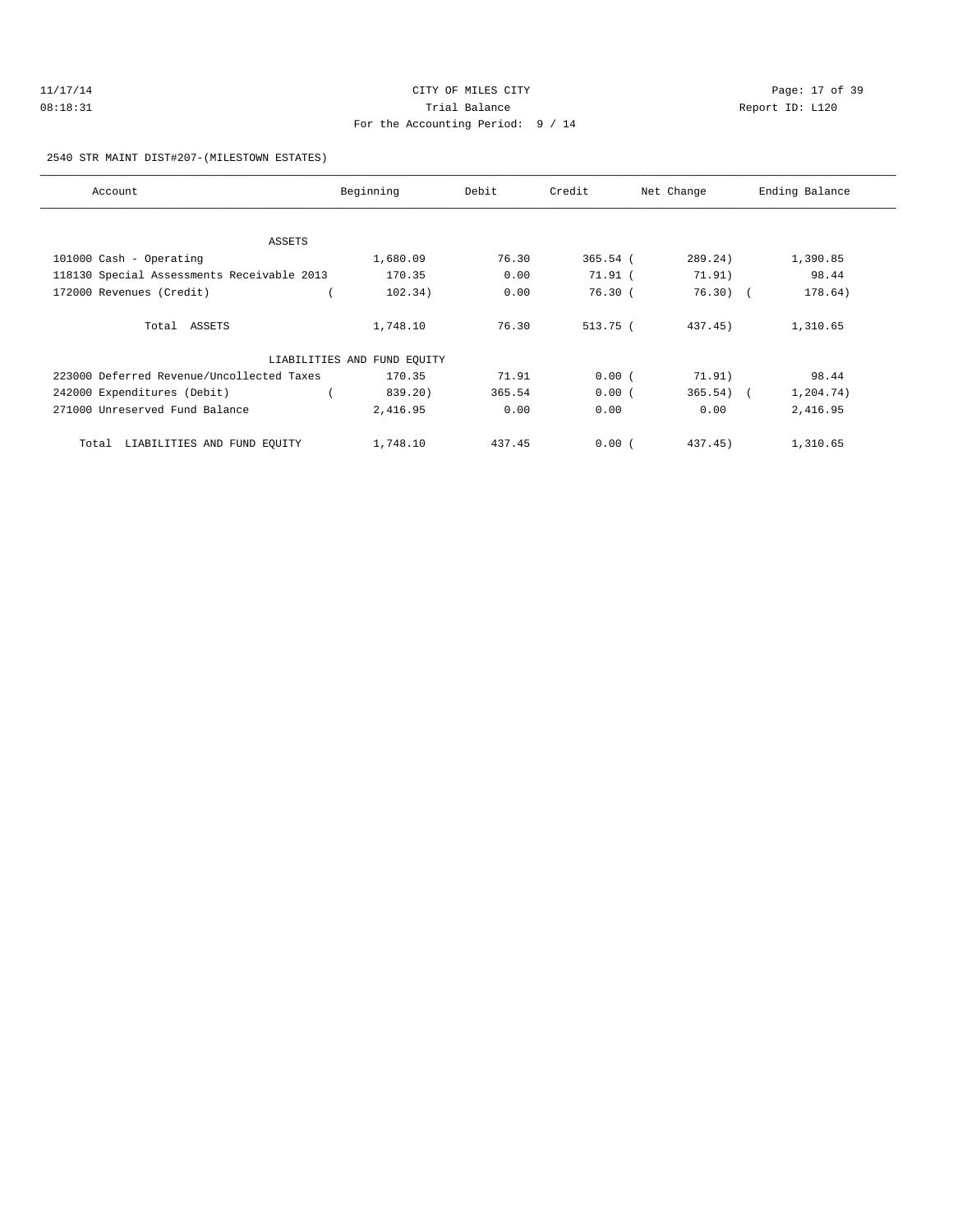| 11/17/14 | CITY OF MILES CITY                  | Page: 17 of 39  |
|----------|-------------------------------------|-----------------|
| 08:18:31 | Trial Balance                       | Report ID: L120 |
|          | For the Accounting Period: $9 / 14$ |                 |

2540 STR MAINT DIST#207-(MILESTOWN ESTATES)

| Account                                    | Beginning                   | Debit  | Credit     | Net Change  | Ending Balance |
|--------------------------------------------|-----------------------------|--------|------------|-------------|----------------|
|                                            |                             |        |            |             |                |
| ASSETS                                     |                             |        |            |             |                |
| 101000 Cash - Operating                    | 1,680.09                    | 76.30  | $365.54$ ( | 289.24)     | 1,390.85       |
| 118130 Special Assessments Receivable 2013 | 170.35                      | 0.00   | 71.91 (    | 71.91)      | 98.44          |
| 172000 Revenues (Credit)                   | 102.34)                     | 0.00   | 76.30(     | $76.30$ (   | 178.64)        |
| Total ASSETS                               | 1,748.10                    | 76.30  | 513.75 (   | 437.45)     | 1,310.65       |
|                                            | LIABILITIES AND FUND EQUITY |        |            |             |                |
| 223000 Deferred Revenue/Uncollected Taxes  | 170.35                      | 71.91  | 0.00(      | 71.91)      | 98.44          |
| 242000 Expenditures (Debit)                | 839.20)                     | 365.54 | 0.00(      | $365.54)$ ( | 1,204.74)      |
| 271000 Unreserved Fund Balance             | 2,416.95                    | 0.00   | 0.00       | 0.00        | 2,416.95       |
| Total LIABILITIES AND FUND EQUITY          | 1,748.10                    | 437.45 | 0.00(      | $437.45$ )  | 1,310.65       |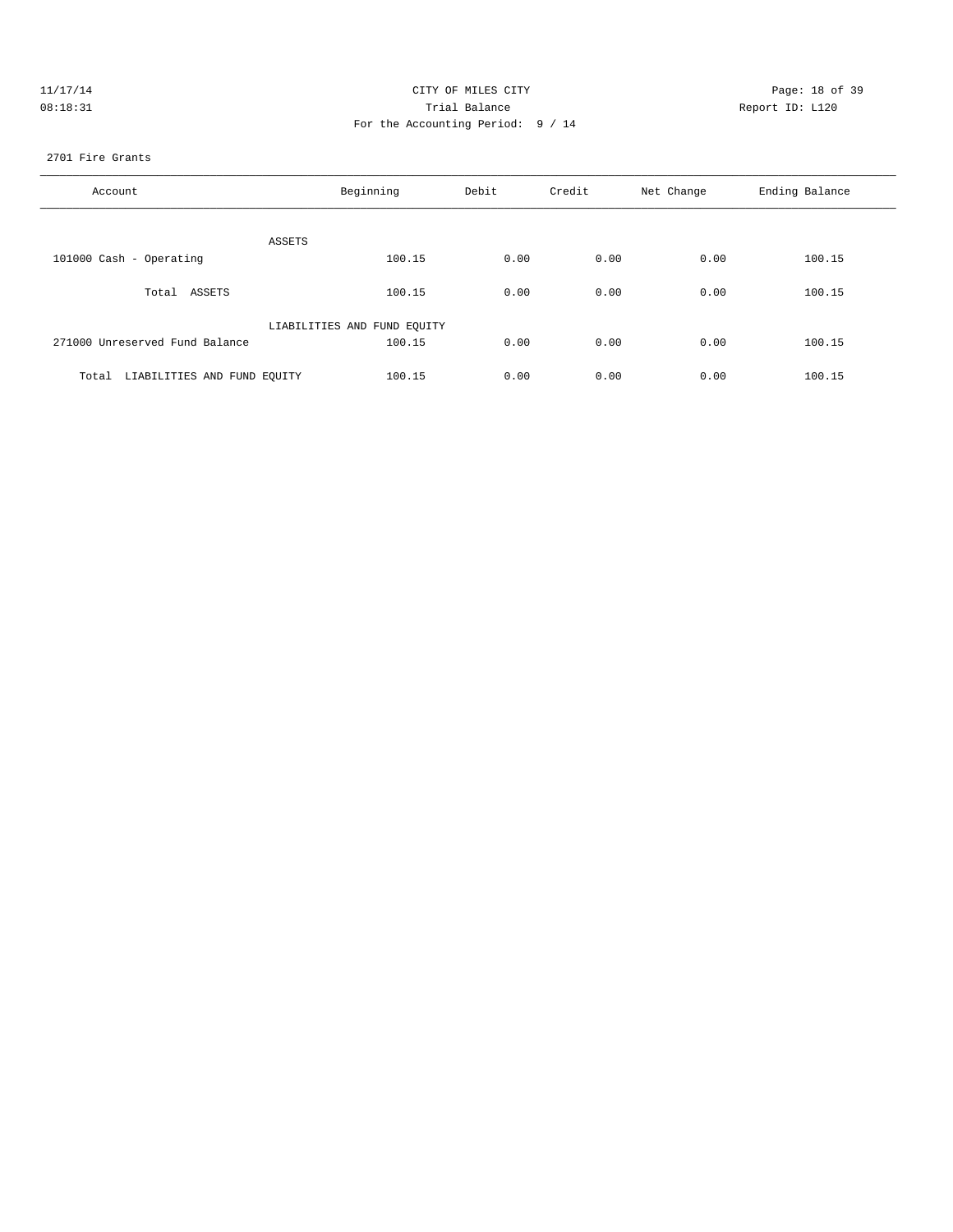| 11/17/14 | CITY OF MILES CITY                | Page: 18 of 39  |
|----------|-----------------------------------|-----------------|
| 08:18:31 | Trial Balance                     | Report ID: L120 |
|          | For the Accounting Period: 9 / 14 |                 |
|          |                                   |                 |

#### 2701 Fire Grants

| Account                           | Beginning                   | Debit | Credit | Net Change | Ending Balance |
|-----------------------------------|-----------------------------|-------|--------|------------|----------------|
| ASSETS                            |                             |       |        |            |                |
| 101000 Cash - Operating           | 100.15                      | 0.00  | 0.00   | 0.00       | 100.15         |
| Total ASSETS                      | 100.15                      | 0.00  | 0.00   | 0.00       | 100.15         |
|                                   | LIABILITIES AND FUND EQUITY |       |        |            |                |
| 271000 Unreserved Fund Balance    | 100.15                      | 0.00  | 0.00   | 0.00       | 100.15         |
| Total LIABILITIES AND FUND EQUITY | 100.15                      | 0.00  | 0.00   | 0.00       | 100.15         |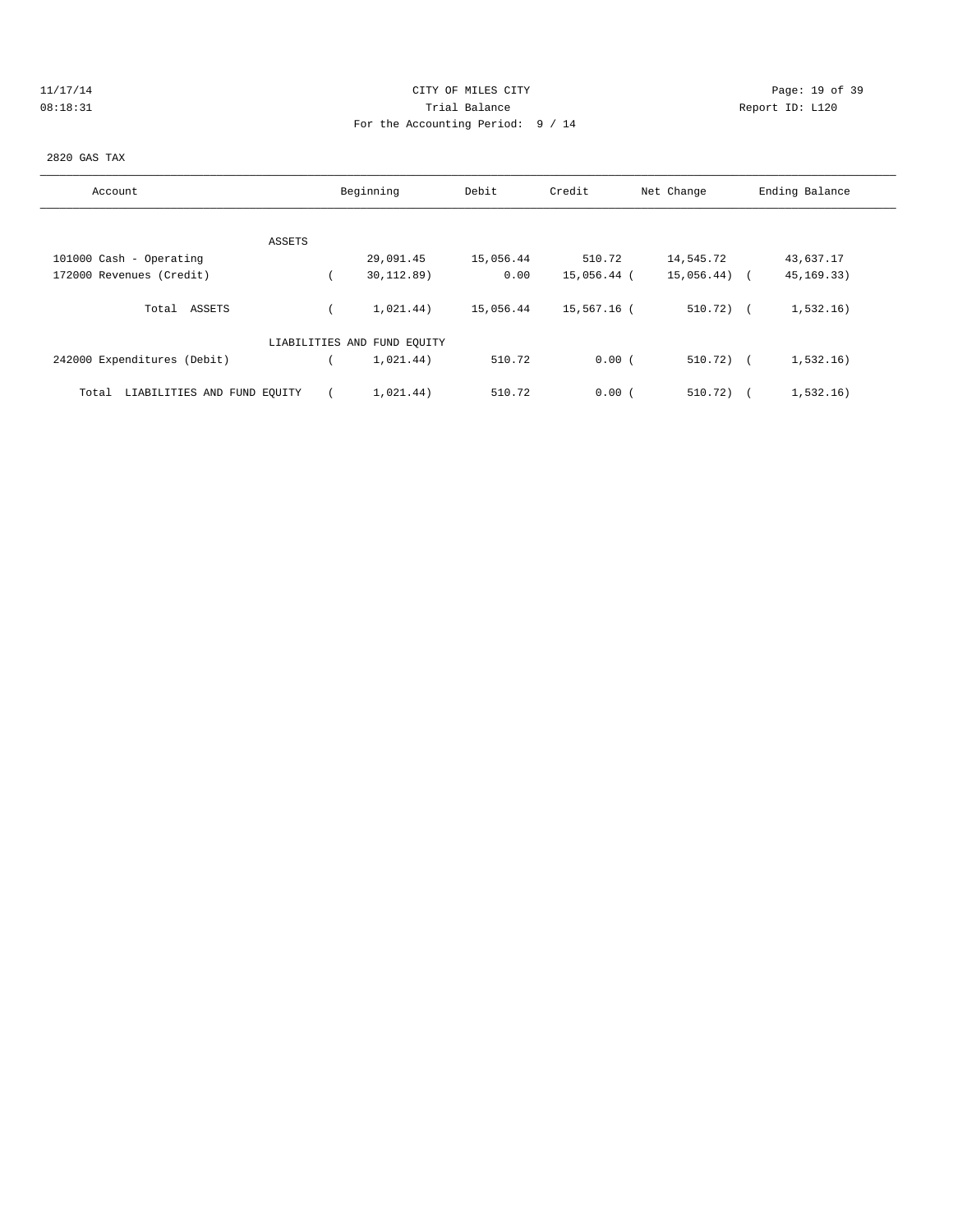| ٠ |   |  | T 7 |  |  |
|---|---|--|-----|--|--|
|   | ۰ |  |     |  |  |

# Page: 19 of 39 08:18:31 Trial Balance Report ID: L120 For the Accounting Period: 9 / 14

## 2820 GAS TAX

| Account                              | Beginning                   | Debit     | Credit      | Net Change   | Ending Balance |
|--------------------------------------|-----------------------------|-----------|-------------|--------------|----------------|
|                                      |                             |           |             |              |                |
| ASSETS                               |                             |           |             |              |                |
| 101000 Cash - Operating              | 29,091.45                   | 15,056.44 | 510.72      | 14,545.72    | 43,637.17      |
| 172000 Revenues (Credit)             | 30,112.89)                  | 0.00      | 15,056.44 ( | 15,056.44) ( | 45, 169. 33)   |
| ASSETS<br>Total                      | 1.021.44)                   | 15,056.44 | 15,567.16 ( | $510.72$ ) ( | 1,532.16)      |
|                                      | LIABILITIES AND FUND EQUITY |           |             |              |                |
| 242000 Expenditures (Debit)          | 1.021.44)                   | 510.72    | 0.00(       | $510.72$ ) ( | 1,532.16)      |
| LIABILITIES AND FUND EQUITY<br>Total | 1,021.44)                   | 510.72    | 0.00(       | 510.72)      | 1,532.16)      |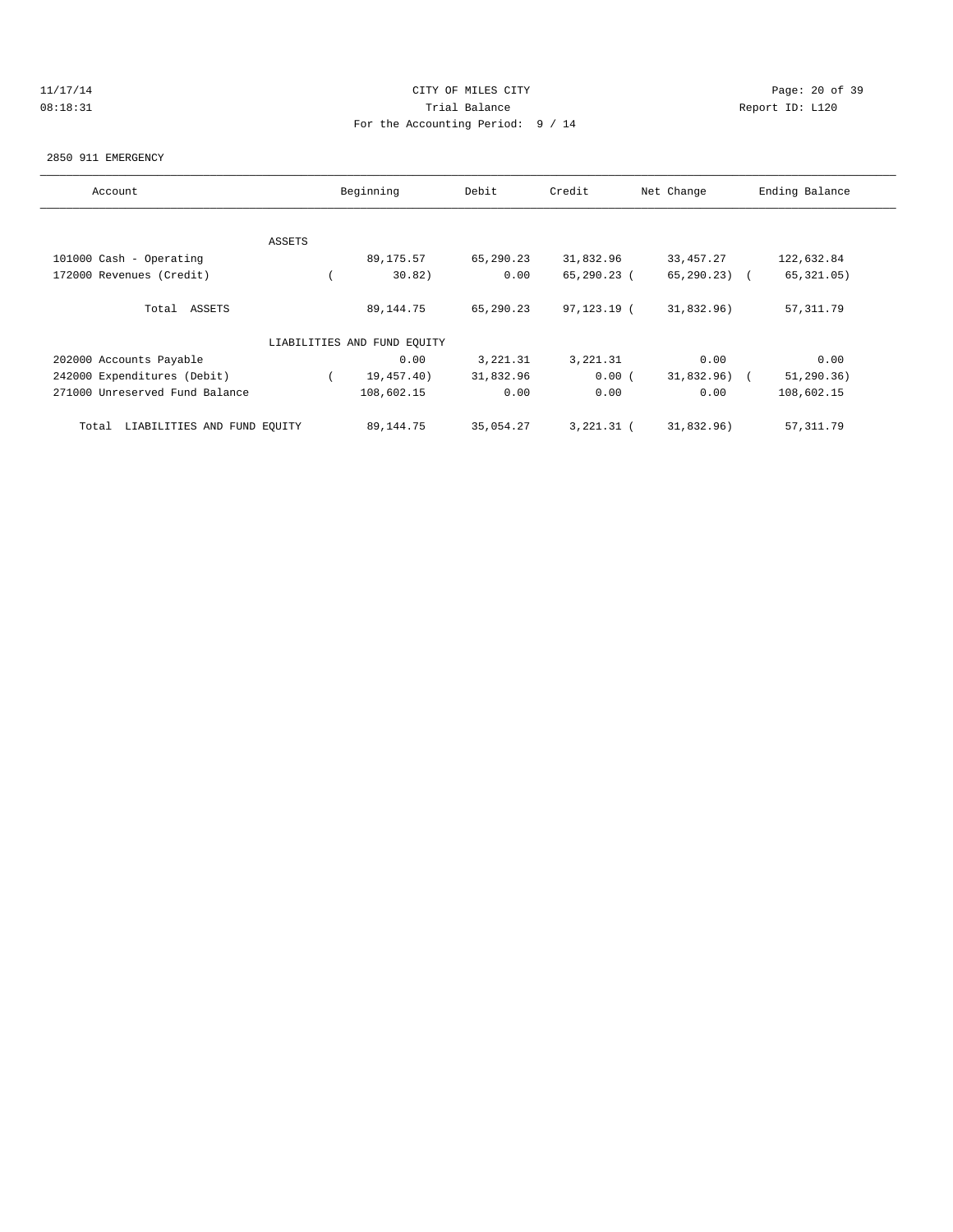# 11/17/14 Page: 20 of 39 08:18:31 Trial Balance Report ID: L120 For the Accounting Period: 9 / 14

#### 2850 911 EMERGENCY

| Account                              |        | Beginning                   | Debit     | Credit       | Net Change      | Ending Balance |
|--------------------------------------|--------|-----------------------------|-----------|--------------|-----------------|----------------|
|                                      |        |                             |           |              |                 |                |
|                                      | ASSETS |                             |           |              |                 |                |
| 101000 Cash - Operating              |        | 89,175.57                   | 65,290.23 | 31,832.96    | 33, 457. 27     | 122,632.84     |
| 172000 Revenues (Credit)             |        | 30.82)                      | 0.00      | 65,290.23 (  | $65, 290, 23$ ( | 65, 321.05)    |
| Total ASSETS                         |        | 89, 144. 75                 | 65,290.23 | 97,123.19 (  | 31,832.96)      | 57, 311.79     |
|                                      |        | LIABILITIES AND FUND EQUITY |           |              |                 |                |
| 202000 Accounts Payable              |        | 0.00                        | 3,221.31  | 3, 221.31    | 0.00            | 0.00           |
| 242000 Expenditures (Debit)          |        | 19,457.40)                  | 31,832.96 | 0.00(        | 31,832.96)      | 51, 290.36)    |
| 271000 Unreserved Fund Balance       |        | 108,602.15                  | 0.00      | 0.00         | 0.00            | 108,602.15     |
| LIABILITIES AND FUND EQUITY<br>Total |        | 89,144.75                   | 35,054.27 | $3,221.31$ ( | 31,832.96)      | 57, 311.79     |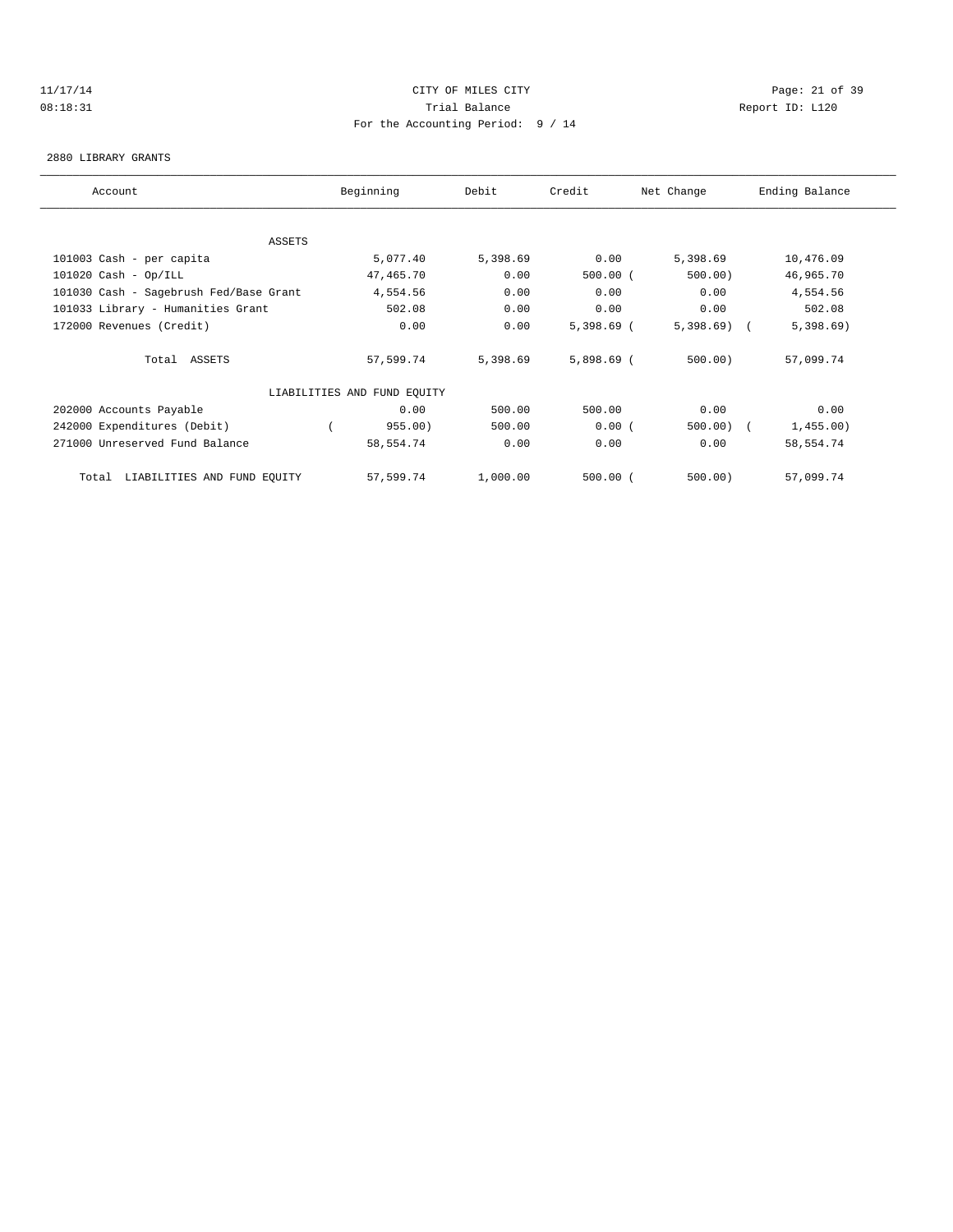## 11/17/14 CITY OF MILES CITY Page: 21 of 39 08:18:31 Trial Balance Report ID: L120 For the Accounting Period: 9 / 14

#### 2880 LIBRARY GRANTS

| Account                                | Beginning                   | Debit    | Credit       | Net Change   | Ending Balance |
|----------------------------------------|-----------------------------|----------|--------------|--------------|----------------|
|                                        |                             |          |              |              |                |
| ASSETS                                 |                             |          |              |              |                |
| 101003 Cash - per capita               | 5,077.40                    | 5,398.69 | 0.00         | 5,398.69     | 10,476.09      |
| $101020$ Cash - Op/ILL                 | 47,465.70                   | 0.00     | $500.00$ (   | 500.00       | 46,965.70      |
| 101030 Cash - Sagebrush Fed/Base Grant | 4,554.56                    | 0.00     | 0.00         | 0.00         | 4,554.56       |
| 101033 Library - Humanities Grant      | 502.08                      | 0.00     | 0.00         | 0.00         | 502.08         |
| 172000 Revenues (Credit)               | 0.00                        | 0.00     | $5,398.69$ ( | $5,398.69$ ( | 5,398.69       |
| Total ASSETS                           | 57,599.74                   | 5,398.69 | $5,898.69$ ( | 500.00       | 57,099.74      |
|                                        | LIABILITIES AND FUND EQUITY |          |              |              |                |
| 202000 Accounts Payable                | 0.00                        | 500.00   | 500.00       | 0.00         | 0.00           |
| 242000 Expenditures (Debit)            | 955.00)                     | 500.00   | 0.00(        | $500.00)$ (  | 1,455.00)      |
| 271000 Unreserved Fund Balance         | 58,554.74                   | 0.00     | 0.00         | 0.00         | 58,554.74      |
| Total LIABILITIES AND FUND EQUITY      | 57,599.74                   | 1,000.00 | $500.00$ (   | $500.00$ )   | 57,099.74      |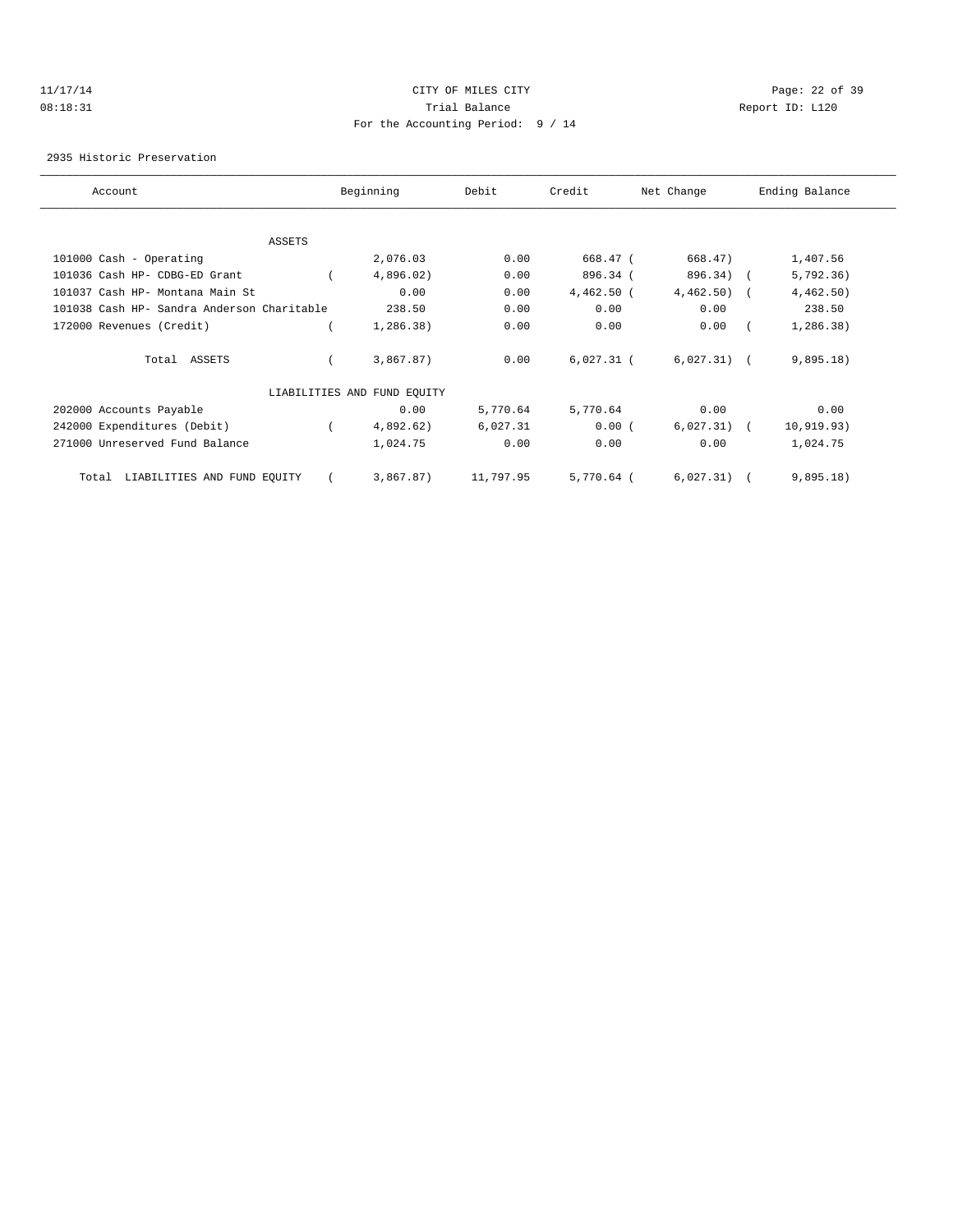## 11/17/14 CITY OF MILES CITY Page: 22 of 39 08:18:31 Trial Balance Report ID: L120 For the Accounting Period: 9 / 14

#### 2935 Historic Preservation

| Account                                    | Beginning                   | Debit     | Credit       | Net Change    | Ending Balance |  |
|--------------------------------------------|-----------------------------|-----------|--------------|---------------|----------------|--|
|                                            |                             |           |              |               |                |  |
| ASSETS                                     |                             |           |              |               |                |  |
| 101000 Cash - Operating                    | 2,076.03                    | 0.00      | 668.47 (     | 668.47)       | 1,407.56       |  |
| 101036 Cash HP- CDBG-ED Grant              | 4,896.02)                   | 0.00      | 896.34 (     | 896.34) (     | 5,792.36)      |  |
| 101037 Cash HP- Montana Main St            | 0.00                        | 0.00      | $4,462.50$ ( | $4,462.50$ (  | 4,462.50)      |  |
| 101038 Cash HP- Sandra Anderson Charitable | 238.50                      | 0.00      | 0.00         | 0.00          | 238.50         |  |
| 172000 Revenues (Credit)                   | 1, 286.38)                  | 0.00      | 0.00         | 0.00          | 1,286.38)      |  |
| Total ASSETS                               | 3,867.87)                   | 0.00      | $6,027.31$ ( | $6,027.31)$ ( | 9,895.18)      |  |
|                                            | LIABILITIES AND FUND EQUITY |           |              |               |                |  |
| 202000 Accounts Payable                    | 0.00                        | 5,770.64  | 5,770.64     | 0.00          | 0.00           |  |
| 242000 Expenditures (Debit)                | 4,892.62)                   | 6,027.31  | 0.00(        | $6,027.31)$ ( | 10, 919.93)    |  |
| 271000 Unreserved Fund Balance             | 1,024.75                    | 0.00      | 0.00         | 0.00          | 1,024.75       |  |
| Total LIABILITIES AND FUND EQUITY          | 3,867.87)                   | 11,797.95 | $5,770.64$ ( | 6,027.31)     | 9,895.18)      |  |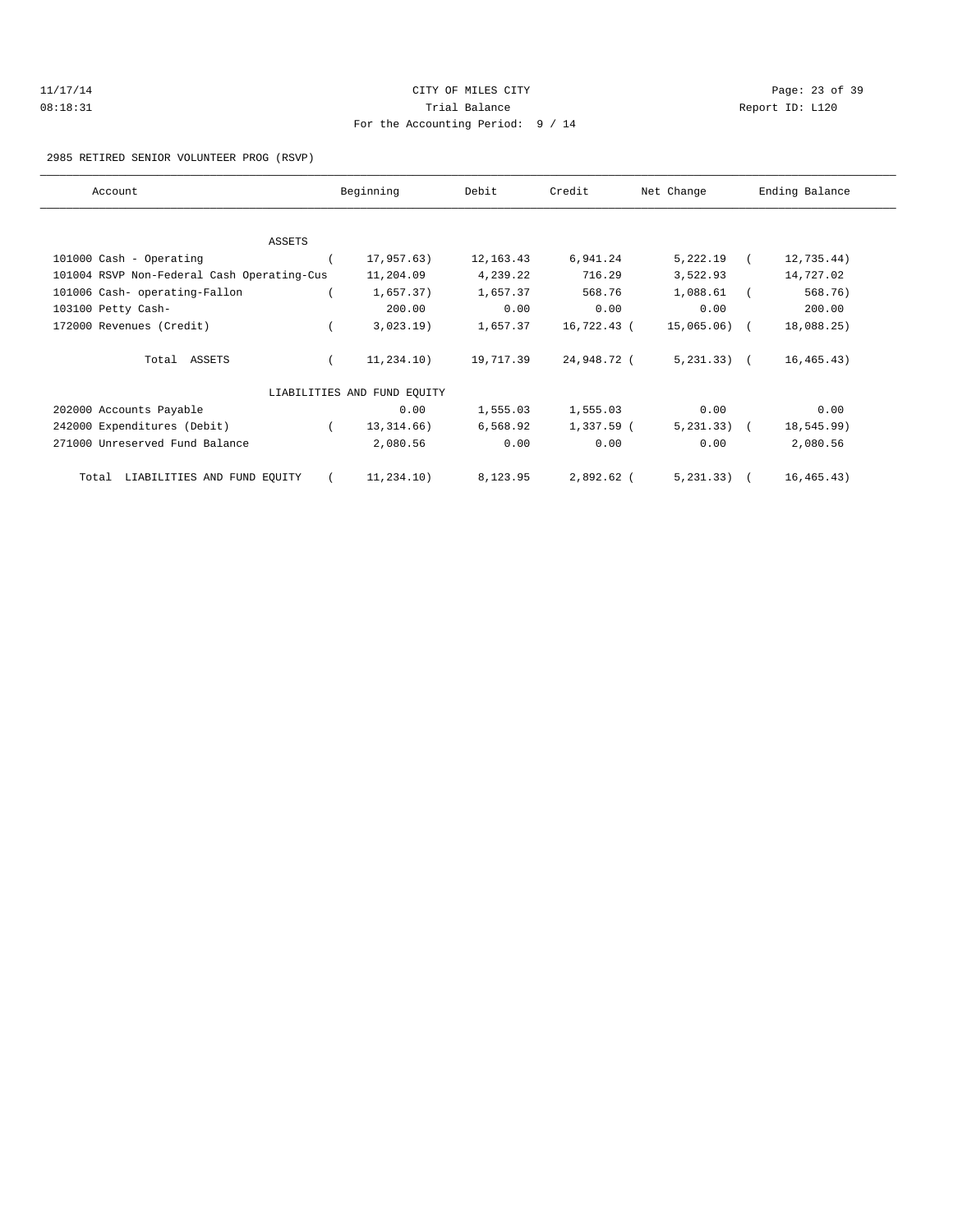| 11/17/14 | CITY OF MILES CITY                | Page: 23 of 39  |  |
|----------|-----------------------------------|-----------------|--|
| 08:18:31 | Trial Balance                     | Report ID: L120 |  |
|          | For the Accounting Period: 9 / 14 |                 |  |

### 2985 RETIRED SENIOR VOLUNTEER PROG (RSVP)

| Account                                    | Beginning                   | Debit       | Credit      | Net Change      | Ending Balance |
|--------------------------------------------|-----------------------------|-------------|-------------|-----------------|----------------|
|                                            |                             |             |             |                 |                |
| ASSETS                                     |                             |             |             |                 |                |
| 101000 Cash - Operating                    | 17,957.63)                  | 12, 163. 43 | 6,941.24    | 5,222.19        | 12,735.44)     |
| 101004 RSVP Non-Federal Cash Operating-Cus | 11,204.09                   | 4,239.22    | 716.29      | 3,522.93        | 14,727.02      |
| 101006 Cash- operating-Fallon              | 1,657.37)                   | 1,657.37    | 568.76      | 1,088.61        | 568.76)        |
| 103100 Petty Cash-                         | 200.00                      | 0.00        | 0.00        | 0.00            | 200.00         |
| 172000 Revenues (Credit)                   | 3,023.19)                   | 1,657.37    | 16,722.43 ( | $15,065.06$ (   | 18,088.25)     |
| Total ASSETS                               | 11,234.10)                  | 19,717.39   | 24,948.72 ( | $5, 231, 33)$ ( | 16, 465.43)    |
|                                            | LIABILITIES AND FUND EQUITY |             |             |                 |                |
| 202000 Accounts Payable                    | 0.00                        | 1,555.03    | 1,555.03    | 0.00            | 0.00           |
| 242000 Expenditures (Debit)                | 13, 314, 66)                | 6,568.92    | 1,337.59 (  | $5, 231, 33)$ ( | 18,545.99)     |
| 271000 Unreserved Fund Balance             | 2,080.56                    | 0.00        | 0.00        | 0.00            | 2,080.56       |
| LIABILITIES AND FUND EQUITY<br>Total       | 11,234.10)                  | 8,123.95    | 2,892.62 (  | 5, 231, 33)     | 16, 465.43)    |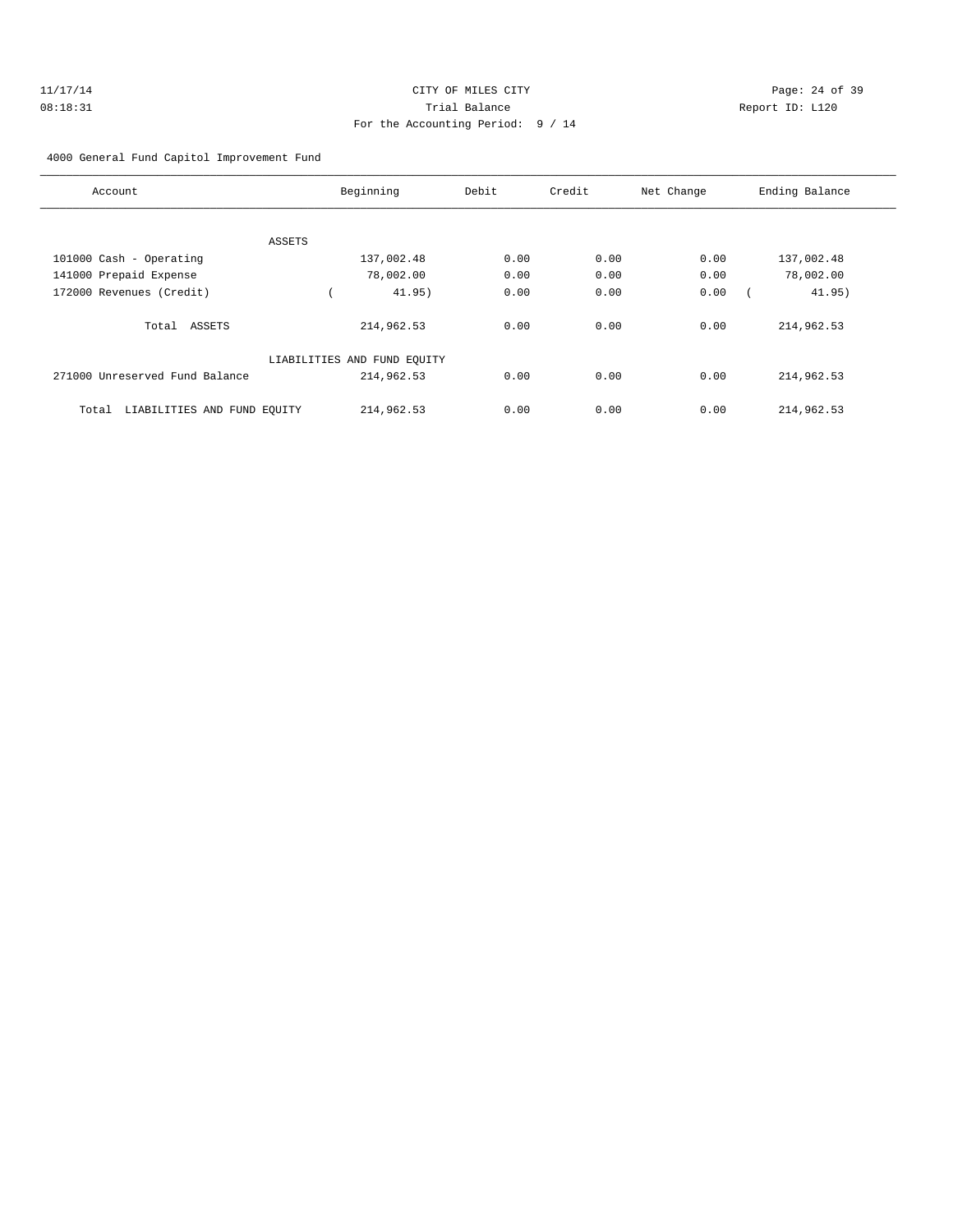| 11/17/14 | CITY OF MILES CITY                | Page: 24 of 39  |
|----------|-----------------------------------|-----------------|
| 08:18:31 | Trial Balance                     | Report ID: L120 |
|          | For the Accounting Period: 9 / 14 |                 |

4000 General Fund Capitol Improvement Fund

| Account                              | Beginning                   | Debit | Credit | Net Change | Ending Balance |
|--------------------------------------|-----------------------------|-------|--------|------------|----------------|
|                                      |                             |       |        |            |                |
| ASSETS                               |                             |       |        |            |                |
| 101000 Cash - Operating              | 137,002.48                  | 0.00  | 0.00   | 0.00       | 137,002.48     |
| 141000 Prepaid Expense               | 78,002.00                   | 0.00  | 0.00   | 0.00       | 78,002.00      |
| 172000 Revenues (Credit)             | 41.95)                      | 0.00  | 0.00   | 0.00       | 41.95)         |
| Total ASSETS                         | 214,962.53                  | 0.00  | 0.00   | 0.00       | 214,962.53     |
|                                      | LIABILITIES AND FUND EQUITY |       |        |            |                |
| 271000 Unreserved Fund Balance       | 214,962.53                  | 0.00  | 0.00   | 0.00       | 214,962.53     |
| LIABILITIES AND FUND EQUITY<br>Total | 214,962.53                  | 0.00  | 0.00   | 0.00       | 214,962.53     |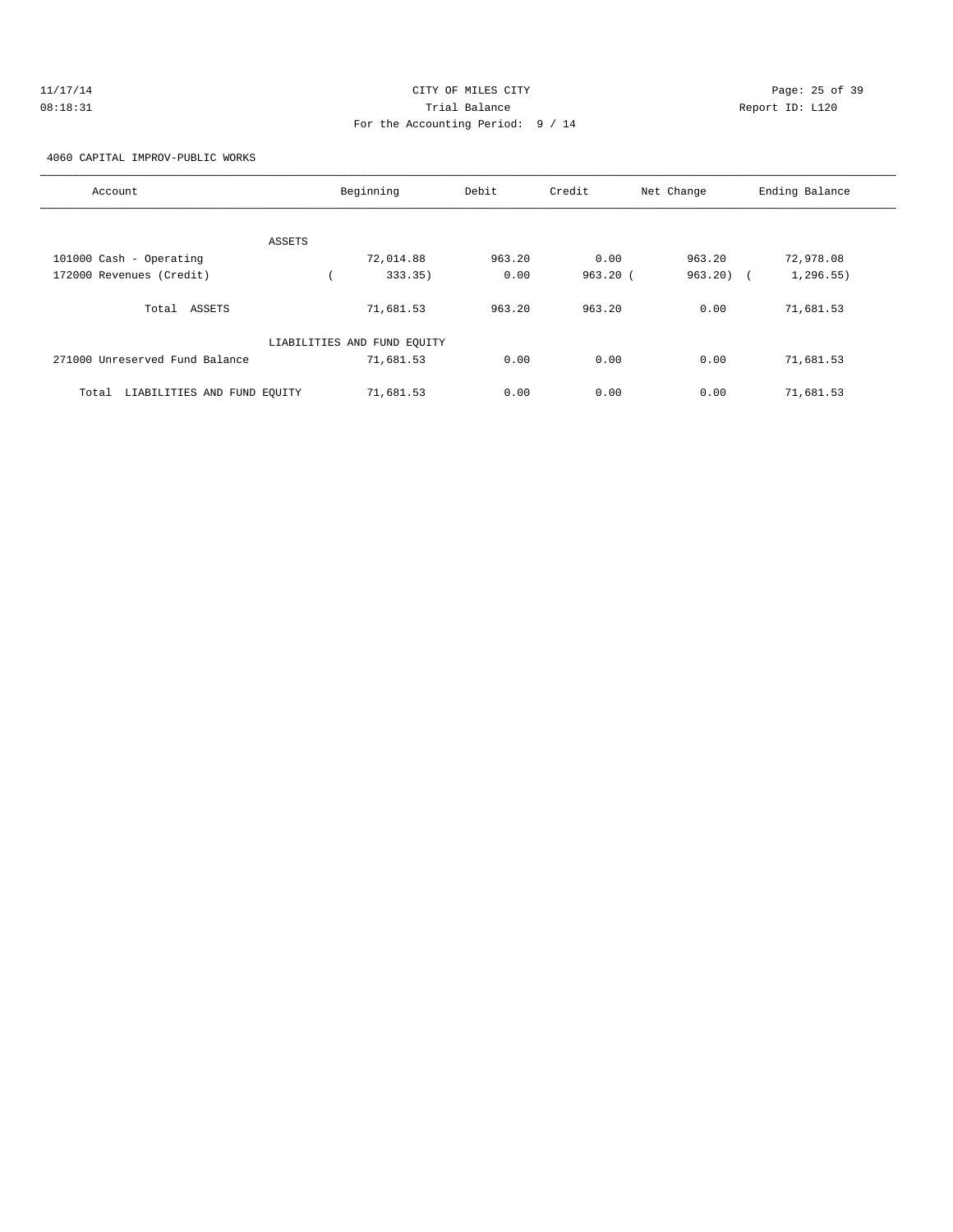| 11/17/14 | CITY OF MILES CITY                | Page: 25 of 39  |
|----------|-----------------------------------|-----------------|
| 08:18:31 | Trial Balance                     | Report ID: L120 |
|          | For the Accounting Period: 9 / 14 |                 |

4060 CAPITAL IMPROV-PUBLIC WORKS

| Account                              | Beginning                   | Debit  | Credit  | Net Change            | Ending Balance |
|--------------------------------------|-----------------------------|--------|---------|-----------------------|----------------|
| ASSETS                               |                             |        |         |                       |                |
| 101000 Cash - Operating              | 72,014.88                   | 963.20 | 0.00    | 963.20                | 72,978.08      |
| 172000 Revenues (Credit)             | 333.35)                     | 0.00   | 963.20( | 963.20)<br>$\sqrt{2}$ | 1, 296.55)     |
| Total<br>ASSETS                      | 71,681.53                   | 963.20 | 963.20  | 0.00                  | 71,681.53      |
|                                      | LIABILITIES AND FUND EQUITY |        |         |                       |                |
| 271000 Unreserved Fund Balance       | 71,681.53                   | 0.00   | 0.00    | 0.00                  | 71,681.53      |
| LIABILITIES AND FUND EQUITY<br>Total | 71,681.53                   | 0.00   | 0.00    | 0.00                  | 71,681.53      |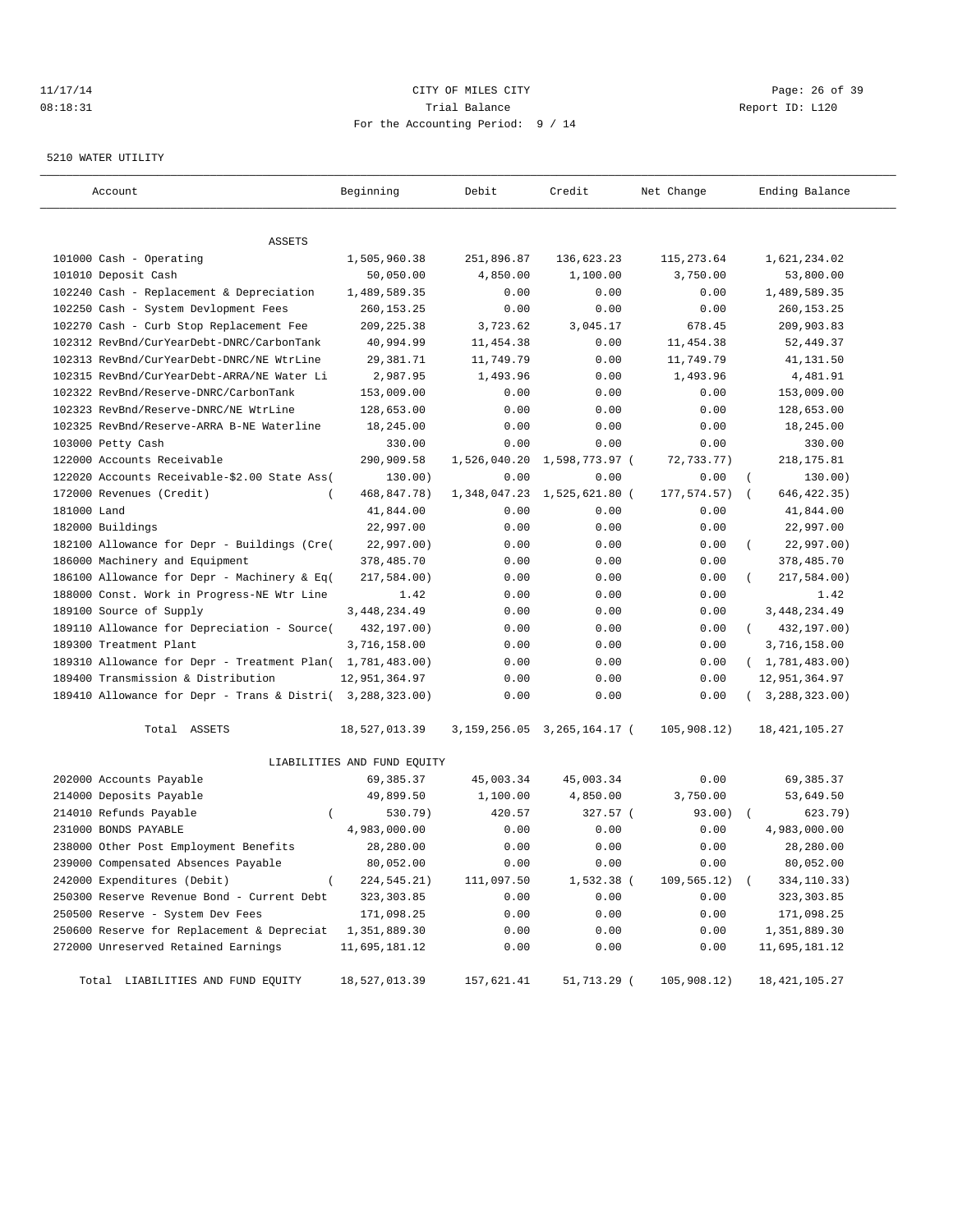# 11/17/14 Page: 26 of 39 08:18:31 Trial Balance Report ID: L120 For the Accounting Period: 9 / 14

#### 5210 WATER UTILITY

| Account                                                   | Beginning                   | Debit        | Credit                          | Net Change       | Ending Balance           |
|-----------------------------------------------------------|-----------------------------|--------------|---------------------------------|------------------|--------------------------|
|                                                           |                             |              |                                 |                  |                          |
| ASSETS                                                    |                             |              |                                 |                  |                          |
| 101000 Cash - Operating                                   | 1,505,960.38                | 251,896.87   | 136,623.23                      | 115,273.64       | 1,621,234.02             |
| 101010 Deposit Cash                                       | 50,050.00                   | 4,850.00     | 1,100.00                        | 3,750.00         | 53,800.00                |
| 102240 Cash - Replacement & Depreciation                  | 1,489,589.35                | 0.00         | 0.00                            | 0.00             | 1,489,589.35             |
| 102250 Cash - System Devlopment Fees                      | 260, 153. 25                | 0.00         | 0.00                            | 0.00             | 260, 153. 25             |
| 102270 Cash - Curb Stop Replacement Fee                   | 209, 225.38                 | 3,723.62     | 3,045.17                        | 678.45           | 209,903.83               |
| 102312 RevBnd/CurYearDebt-DNRC/CarbonTank                 | 40,994.99                   | 11,454.38    | 0.00                            | 11,454.38        | 52,449.37                |
| 102313 RevBnd/CurYearDebt-DNRC/NE WtrLine                 | 29,381.71                   | 11,749.79    | 0.00                            | 11,749.79        | 41,131.50                |
| 102315 RevBnd/CurYearDebt-ARRA/NE Water Li                | 2,987.95                    | 1,493.96     | 0.00                            | 1,493.96         | 4,481.91                 |
| 102322 RevBnd/Reserve-DNRC/CarbonTank                     | 153,009.00                  | 0.00         | 0.00                            | 0.00             | 153,009.00               |
| 102323 RevBnd/Reserve-DNRC/NE WtrLine                     | 128,653.00                  | 0.00         | 0.00                            | 0.00             | 128,653.00               |
| 102325 RevBnd/Reserve-ARRA B-NE Waterline                 | 18,245.00                   | 0.00         | 0.00                            | 0.00             | 18,245.00                |
| 103000 Petty Cash                                         | 330.00                      | 0.00         | 0.00                            | 0.00             | 330.00                   |
| 122000 Accounts Receivable                                | 290,909.58                  | 1,526,040.20 | 1,598,773.97 (                  | 72,733.77)       | 218, 175.81              |
| 122020 Accounts Receivable-\$2.00 State Ass(              | 130.00)                     | 0.00         | 0.00                            | 0.00             | 130.00)<br>$\left($      |
| 172000 Revenues (Credit)<br>$\overline{ }$                | 468,847.78)                 | 1,348,047.23 | 1,525,621.80 (                  | 177, 574. 57)    | 646, 422.35)<br>$\left($ |
| 181000 Land                                               | 41,844.00                   | 0.00         | 0.00                            | 0.00             | 41,844.00                |
| 182000 Buildings                                          | 22,997.00                   | 0.00         | 0.00                            | 0.00             | 22,997.00                |
| 182100 Allowance for Depr - Buildings (Cre(               | 22,997.00)                  | 0.00         | 0.00                            | 0.00             | 22,997.00)               |
| 186000 Machinery and Equipment                            | 378,485.70                  | 0.00         | 0.00                            | 0.00             | 378,485.70               |
| 186100 Allowance for Depr - Machinery & Eq(               | 217,584.00)                 | 0.00         | 0.00                            | 0.00             | 217,584.00)              |
| 188000 Const. Work in Progress-NE Wtr Line                | 1.42                        | 0.00         | 0.00                            | 0.00             | 1.42                     |
| 189100 Source of Supply                                   | 3, 448, 234.49              | 0.00         | 0.00                            | 0.00             | 3, 448, 234.49           |
| 189110 Allowance for Depreciation - Source(               | 432,197.00)                 | 0.00         | 0.00                            | 0.00             | 432,197.00)<br>$\left($  |
| 189300 Treatment Plant                                    | 3,716,158.00                | 0.00         | 0.00                            | 0.00             | 3,716,158.00             |
| 189310 Allowance for Depr - Treatment Plan( 1,781,483.00) |                             | 0.00         | 0.00                            | 0.00             | (1, 781, 483.00)         |
| 189400 Transmission & Distribution                        | 12,951,364.97               | 0.00         | 0.00                            | 0.00             | 12,951,364.97            |
| 189410 Allowance for Depr - Trans & Distri( 3,288,323.00) |                             | 0.00         | 0.00                            | 0.00             | (3, 288, 323.00)         |
| Total ASSETS                                              | 18,527,013.39               |              | 3, 159, 256.05 3, 265, 164.17 ( | 105,908.12)      | 18, 421, 105. 27         |
|                                                           | LIABILITIES AND FUND EQUITY |              |                                 |                  |                          |
| 202000 Accounts Payable                                   | 69, 385. 37                 | 45,003.34    | 45,003.34                       | 0.00             | 69,385.37                |
| 214000 Deposits Payable                                   | 49,899.50                   | 1,100.00     | 4,850.00                        | 3,750.00         | 53,649.50                |
| 214010 Refunds Payable<br>$\left($                        | 530.79)                     | 420.57       | 327.57 (                        | 93.00)           | 623.79)                  |
| 231000 BONDS PAYABLE                                      | 4,983,000.00                | 0.00         | 0.00                            | 0.00             | 4,983,000.00             |
| 238000 Other Post Employment Benefits                     | 28,280.00                   | 0.00         | 0.00                            | 0.00             | 28,280.00                |
| 239000 Compensated Absences Payable                       | 80,052.00                   | 0.00         | 0.00                            | 0.00             | 80,052.00                |
| 242000 Expenditures (Debit)<br>$\left($                   | 224,545.21)                 | 111,097.50   | 1,532.38 (                      | $109, 565.12)$ ( | 334,110.33)              |
| 250300 Reserve Revenue Bond - Current Debt                | 323, 303.85                 | 0.00         | 0.00                            | 0.00             | 323,303.85               |
| 250500 Reserve - System Dev Fees                          | 171,098.25                  | 0.00         | 0.00                            | 0.00             | 171,098.25               |
| 250600 Reserve for Replacement & Depreciat                | 1,351,889.30                | 0.00         | 0.00                            | 0.00             | 1,351,889.30             |
| 272000 Unreserved Retained Earnings                       | 11,695,181.12               | 0.00         | 0.00                            | 0.00             | 11,695,181.12            |
| Total LIABILITIES AND FUND EQUITY                         | 18,527,013.39               | 157,621.41   | 51,713.29 (                     | 105,908.12)      | 18, 421, 105. 27         |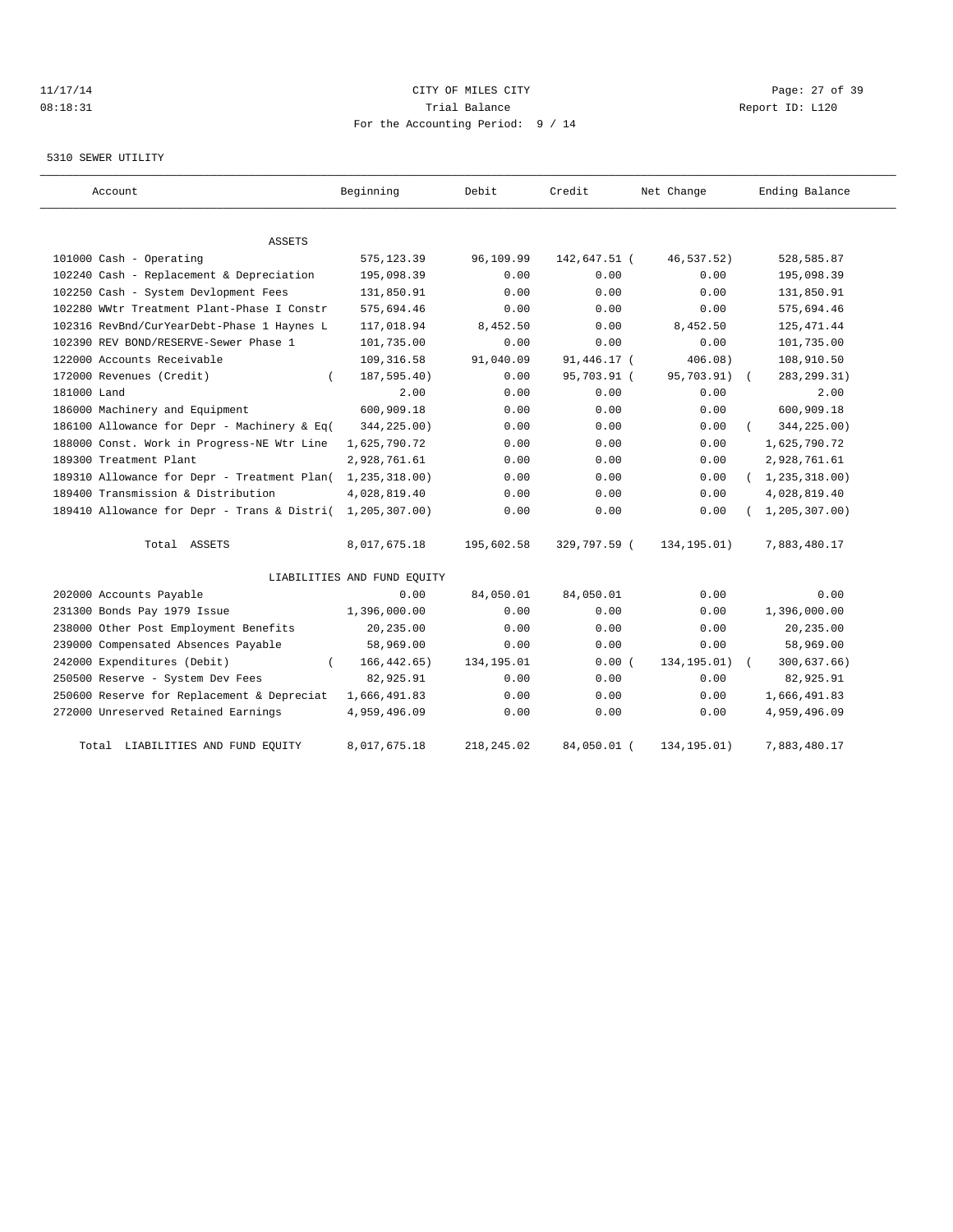## 11/17/14 Page: 27 of 39 08:18:31 Trial Balance Report ID: L120 For the Accounting Period: 9 / 14

#### 5310 SEWER UTILITY

| Account                                     | Beginning                   | Debit      | Credit       | Net Change   | Ending Balance   |
|---------------------------------------------|-----------------------------|------------|--------------|--------------|------------------|
|                                             |                             |            |              |              |                  |
| ASSETS                                      |                             |            |              |              |                  |
| 101000 Cash - Operating                     | 575, 123.39                 | 96,109.99  | 142,647.51 ( | 46,537.52)   | 528,585.87       |
| 102240 Cash - Replacement & Depreciation    | 195,098.39                  | 0.00       | 0.00         | 0.00         | 195,098.39       |
| 102250 Cash - System Devlopment Fees        | 131,850.91                  | 0.00       | 0.00         | 0.00         | 131,850.91       |
| 102280 WWtr Treatment Plant-Phase I Constr  | 575,694.46                  | 0.00       | 0.00         | 0.00         | 575,694.46       |
| 102316 RevBnd/CurYearDebt-Phase 1 Haynes L  | 117,018.94                  | 8,452.50   | 0.00         | 8,452.50     | 125, 471.44      |
| 102390 REV BOND/RESERVE-Sewer Phase 1       | 101,735.00                  | 0.00       | 0.00         | 0.00         | 101,735.00       |
| 122000 Accounts Receivable                  | 109, 316.58                 | 91,040.09  | 91,446.17 (  | 406.08)      | 108,910.50       |
| 172000 Revenues (Credit)<br>$\left($        | 187,595.40)                 | 0.00       | 95,703.91 (  | 95,703.91)   | 283, 299. 31)    |
| 181000 Land                                 | 2.00                        | 0.00       | 0.00         | 0.00         | 2.00             |
| 186000 Machinery and Equipment              | 600,909.18                  | 0.00       | 0.00         | 0.00         | 600,909.18       |
| 186100 Allowance for Depr - Machinery & Eq( | 344,225.00)                 | 0.00       | 0.00         | 0.00         | 344,225.00)      |
| 188000 Const. Work in Progress-NE Wtr Line  | 1,625,790.72                | 0.00       | 0.00         | 0.00         | 1,625,790.72     |
| 189300 Treatment Plant                      | 2,928,761.61                | 0.00       | 0.00         | 0.00         | 2,928,761.61     |
| 189310 Allowance for Depr - Treatment Plan( | 1,235,318.00)               | 0.00       | 0.00         | 0.00         | (1, 235, 318.00) |
| 189400 Transmission & Distribution          | 4,028,819.40                | 0.00       | 0.00         | 0.00         | 4,028,819.40     |
| 189410 Allowance for Depr - Trans & Distri( | 1,205,307.00)               | 0.00       | 0.00         | 0.00         | 1, 205, 307.00   |
| Total ASSETS                                | 8,017,675.18                | 195,602.58 | 329,797.59 ( | 134,195.01)  | 7,883,480.17     |
|                                             | LIABILITIES AND FUND EQUITY |            |              |              |                  |
| 202000 Accounts Payable                     | 0.00                        | 84,050.01  | 84,050.01    | 0.00         | 0.00             |
| 231300 Bonds Pay 1979 Issue                 | 1,396,000.00                | 0.00       | 0.00         | 0.00         | 1,396,000.00     |
| 238000 Other Post Employment Benefits       | 20,235.00                   | 0.00       | 0.00         | 0.00         | 20,235.00        |
| 239000 Compensated Absences Payable         | 58,969.00                   | 0.00       | 0.00         | 0.00         | 58,969.00        |
| 242000 Expenditures (Debit)                 | 166, 442.65)                | 134,195.01 | 0.00(        | 134, 195.01) | 300,637.66)      |
| 250500 Reserve - System Dev Fees            | 82,925.91                   | 0.00       | 0.00         | 0.00         | 82,925.91        |
| 250600 Reserve for Replacement & Depreciat  | 1,666,491.83                | 0.00       | 0.00         | 0.00         | 1,666,491.83     |
| 272000 Unreserved Retained Earnings         | 4,959,496.09                | 0.00       | 0.00         | 0.00         | 4,959,496.09     |
| LIABILITIES AND FUND EQUITY<br>Total        | 8,017,675.18                | 218,245.02 | 84,050.01 (  | 134, 195.01) | 7,883,480.17     |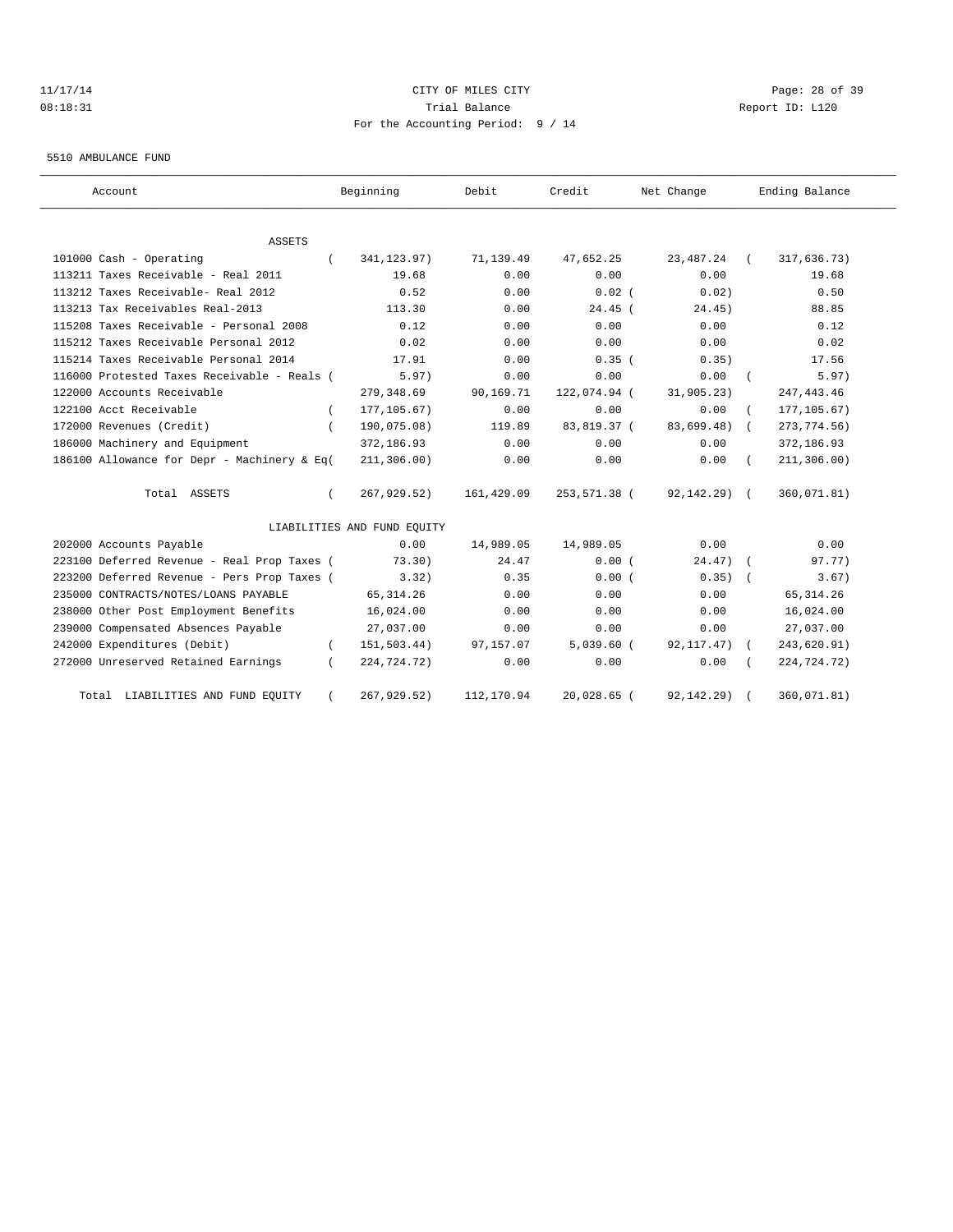# 11/17/14 CITY OF MILES CITY Page: 28 of 39 08:18:31 Trial Balance Report ID: L120 For the Accounting Period: 9 / 14

5510 AMBULANCE FUND

| Account                                     | Beginning                   | Debit      | Credit       | Net Change      | Ending Balance      |
|---------------------------------------------|-----------------------------|------------|--------------|-----------------|---------------------|
| <b>ASSETS</b>                               |                             |            |              |                 |                     |
| 101000 Cash - Operating                     | 341, 123.97)                | 71,139.49  | 47,652.25    | 23, 487. 24     | 317,636.73)         |
| 113211 Taxes Receivable - Real 2011         | 19.68                       | 0.00       | 0.00         | 0.00            | 19.68               |
| 113212 Taxes Receivable- Real 2012          | 0.52                        | 0.00       | $0.02$ (     | 0.02)           | 0.50                |
| 113213 Tax Receivables Real-2013            | 113.30                      | 0.00       | $24.45$ (    | 24.45)          | 88.85               |
| 115208 Taxes Receivable - Personal 2008     | 0.12                        | 0.00       | 0.00         | 0.00            | 0.12                |
| 115212 Taxes Receivable Personal 2012       | 0.02                        | 0.00       | 0.00         | 0.00            | 0.02                |
| 115214 Taxes Receivable Personal 2014       | 17.91                       | 0.00       | 0.35(        | 0.35)           | 17.56               |
| 116000 Protested Taxes Receivable - Reals ( | 5.97)                       | 0.00       | 0.00         | 0.00            | 5.97)<br>$\sqrt{2}$ |
| 122000 Accounts Receivable                  | 279, 348.69                 | 90,169.71  | 122,074.94 ( | 31,905.23)      | 247, 443.46         |
| 122100 Acct Receivable                      | 177, 105.67)                | 0.00       | 0.00         | 0.00            | 177, 105.67)        |
| 172000 Revenues (Credit)                    | 190,075.08)                 | 119.89     | 83,819.37 (  | 83,699.48)      | 273, 774.56)        |
| 186000 Machinery and Equipment              | 372,186.93                  | 0.00       | 0.00         | 0.00            | 372,186.93          |
| 186100 Allowance for Depr - Machinery & Eq( | 211, 306.00)                | 0.00       | 0.00         | 0.00            | 211, 306.00)        |
| Total ASSETS                                | 267,929.52)                 | 161,429.09 | 253,571.38 ( | $92, 142, 29$ ( | 360,071.81)         |
|                                             | LIABILITIES AND FUND EQUITY |            |              |                 |                     |
| 202000 Accounts Payable                     | 0.00                        | 14,989.05  | 14,989.05    | 0.00            | 0.00                |
| 223100 Deferred Revenue - Real Prop Taxes ( | 73.30)                      | 24.47      | 0.00(        | 24.47)          | 97.77)              |
| 223200 Deferred Revenue - Pers Prop Taxes ( | 3.32)                       | 0.35       | 0.00(        | 0.35)           | 3.67)               |
| 235000 CONTRACTS/NOTES/LOANS PAYABLE        | 65, 314.26                  | 0.00       | 0.00         | 0.00            | 65, 314.26          |
| 238000 Other Post Employment Benefits       | 16,024.00                   | 0.00       | 0.00         | 0.00            | 16,024.00           |
| 239000 Compensated Absences Payable         | 27,037.00                   | 0.00       | 0.00         | 0.00            | 27,037.00           |
| 242000 Expenditures (Debit)                 | 151,503.44)<br>$\epsilon$   | 97,157.07  | $5,039.60$ ( | 92, 117. 47)    | 243,620.91)         |
| 272000 Unreserved Retained Earnings         | 224,724.72)                 | 0.00       | 0.00         | 0.00            | 224,724.72)         |
| Total LIABILITIES AND FUND EQUITY           | 267,929.52)                 | 112,170.94 | 20,028.65 (  | 92, 142. 29)    | 360,071.81)         |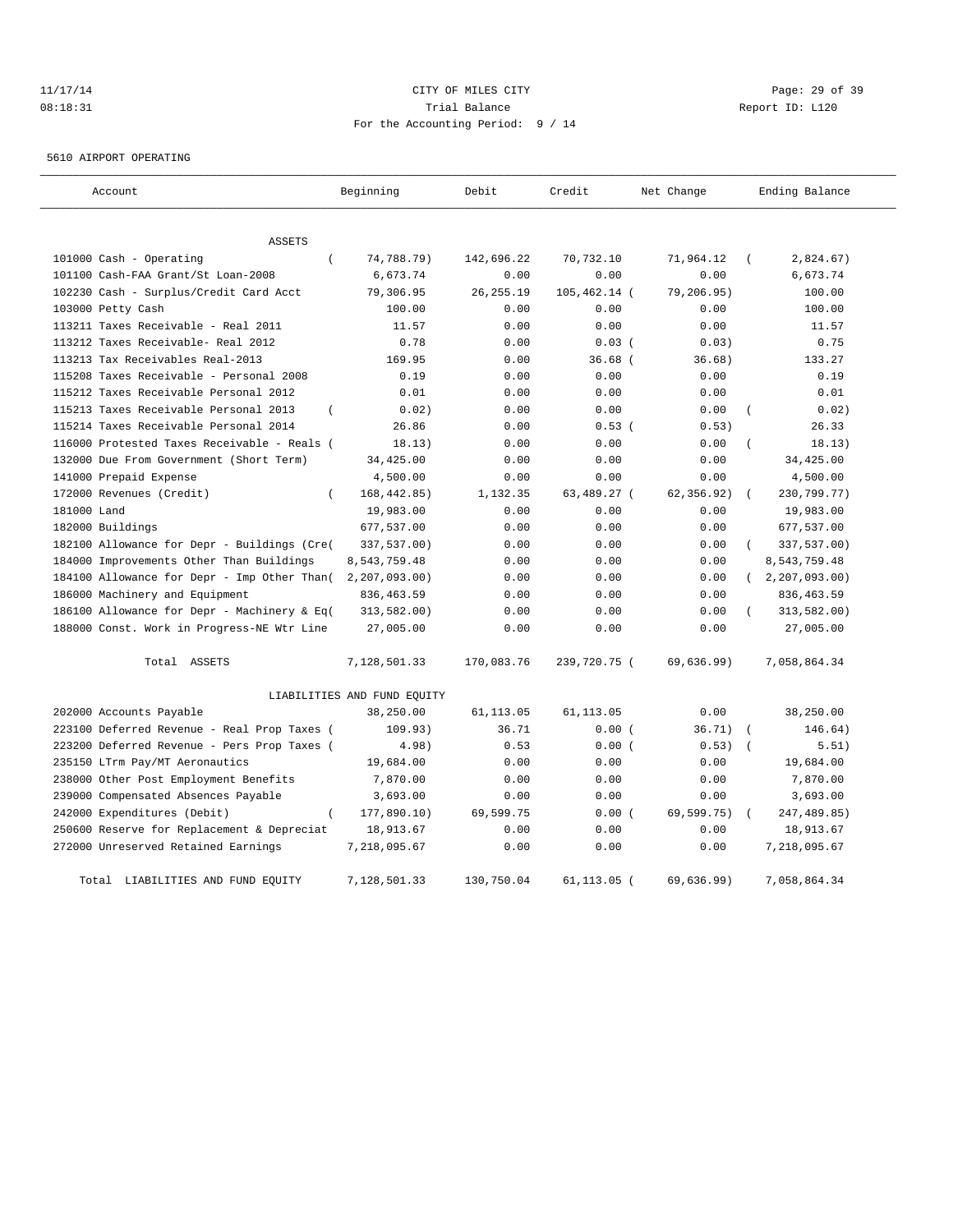## 11/17/14 Page: 29 of 39 08:18:31 Trial Balance Report ID: L120 For the Accounting Period: 9 / 14

5610 AIRPORT OPERATING

| Account                                                 | Beginning                   | Debit      | Credit         | Net Change  | Ending Balance      |
|---------------------------------------------------------|-----------------------------|------------|----------------|-------------|---------------------|
| <b>ASSETS</b>                                           |                             |            |                |             |                     |
| 101000 Cash - Operating<br>$\left($                     | 74,788.79)                  | 142,696.22 | 70,732.10      | 71,964.12   | 2,824.67)           |
| 101100 Cash-FAA Grant/St Loan-2008                      | 6,673.74                    | 0.00       | 0.00           | 0.00        | 6,673.74            |
| 102230 Cash - Surplus/Credit Card Acct                  | 79,306.95                   | 26, 255.19 | 105,462.14 (   | 79,206.95)  | 100.00              |
| 103000 Petty Cash                                       | 100.00                      | 0.00       | 0.00           | 0.00        | 100.00              |
| 113211 Taxes Receivable - Real 2011                     | 11.57                       | 0.00       | 0.00           | 0.00        | 11.57               |
| 113212 Taxes Receivable- Real 2012                      | 0.78                        | 0.00       | $0.03$ (       | 0.03)       | 0.75                |
| 113213 Tax Receivables Real-2013                        | 169.95                      | 0.00       | $36.68$ (      | 36.68)      | 133.27              |
| 115208 Taxes Receivable - Personal 2008                 | 0.19                        | 0.00       | 0.00           | 0.00        | 0.19                |
| 115212 Taxes Receivable Personal 2012                   | 0.01                        | 0.00       | 0.00           | 0.00        | 0.01                |
| 115213 Taxes Receivable Personal 2013<br>$\overline{ }$ | 0.02)                       | 0.00       | 0.00           | 0.00        | 0.02)<br>$\left($   |
| 115214 Taxes Receivable Personal 2014                   | 26.86                       | 0.00       | 0.53(          | 0.53)       | 26.33               |
| 116000 Protested Taxes Receivable - Reals (             | 18.13)                      | 0.00       | 0.00           | 0.00        | 18.13)              |
| 132000 Due From Government (Short Term)                 | 34,425.00                   | 0.00       | 0.00           | 0.00        | 34,425.00           |
| 141000 Prepaid Expense                                  | 4,500.00                    | 0.00       | 0.00           | 0.00        | 4,500.00            |
| 172000 Revenues (Credit)<br>$\left($                    | 168, 442.85)                | 1,132.35   | 63,489.27 (    | 62, 356.92) | 230,799.77)         |
| 181000 Land                                             | 19,983.00                   | 0.00       | 0.00           | 0.00        | 19,983.00           |
| 182000 Buildings                                        | 677,537.00                  | 0.00       | 0.00           | 0.00        | 677,537.00          |
| 182100 Allowance for Depr - Buildings (Cre(             | 337,537.00)                 | 0.00       | 0.00           | 0.00        | 337,537.00)         |
| 184000 Improvements Other Than Buildings                | 8,543,759.48                | 0.00       | 0.00           | 0.00        | 8,543,759.48        |
| 184100 Allowance for Depr - Imp Other Than(             | 2, 207, 093.00              | 0.00       | 0.00           | 0.00        | 2, 207, 093.00      |
| 186000 Machinery and Equipment                          | 836, 463.59                 | 0.00       | 0.00           | 0.00        | 836, 463.59         |
| 186100 Allowance for Depr - Machinery & Eq(             | 313,582.00)                 | 0.00       | 0.00           | 0.00        | 313,582.00)         |
| 188000 Const. Work in Progress-NE Wtr Line              | 27,005.00                   | 0.00       | 0.00           | 0.00        | 27,005.00           |
| Total ASSETS                                            | 7,128,501.33                | 170,083.76 | 239,720.75 (   | 69,636.99)  | 7,058,864.34        |
|                                                         | LIABILITIES AND FUND EQUITY |            |                |             |                     |
| 202000 Accounts Payable                                 | 38,250.00                   | 61,113.05  | 61, 113.05     | 0.00        | 38,250.00           |
| 223100 Deferred Revenue - Real Prop Taxes (             | 109.93)                     | 36.71      | 0.00(          | 36.71)      | 146.64)             |
| 223200 Deferred Revenue - Pers Prop Taxes (             | 4.98)                       | 0.53       | 0.00(          | 0.53)       | 5.51)<br>$\sqrt{ }$ |
| 235150 LTrm Pay/MT Aeronautics                          | 19,684.00                   | 0.00       | 0.00           | 0.00        | 19,684.00           |
| 238000 Other Post Employment Benefits                   | 7,870.00                    | 0.00       | 0.00           | 0.00        | 7,870.00            |
| 239000 Compensated Absences Payable                     | 3,693.00                    | 0.00       | 0.00           | 0.00        | 3,693.00            |
| 242000 Expenditures (Debit)<br>$\left($                 | 177,890.10)                 | 69,599.75  | 0.00(          | 69,599.75)  | 247, 489.85)        |
| 250600 Reserve for Replacement & Depreciat              | 18,913.67                   | 0.00       | 0.00           | 0.00        | 18,913.67           |
| 272000 Unreserved Retained Earnings                     | 7,218,095.67                | 0.00       | 0.00           | 0.00        | 7,218,095.67        |
| LIABILITIES AND FUND EOUITY<br>Total                    | 7,128,501.33                | 130,750.04 | $61, 113.05$ ( | 69,636,99)  | 7,058,864.34        |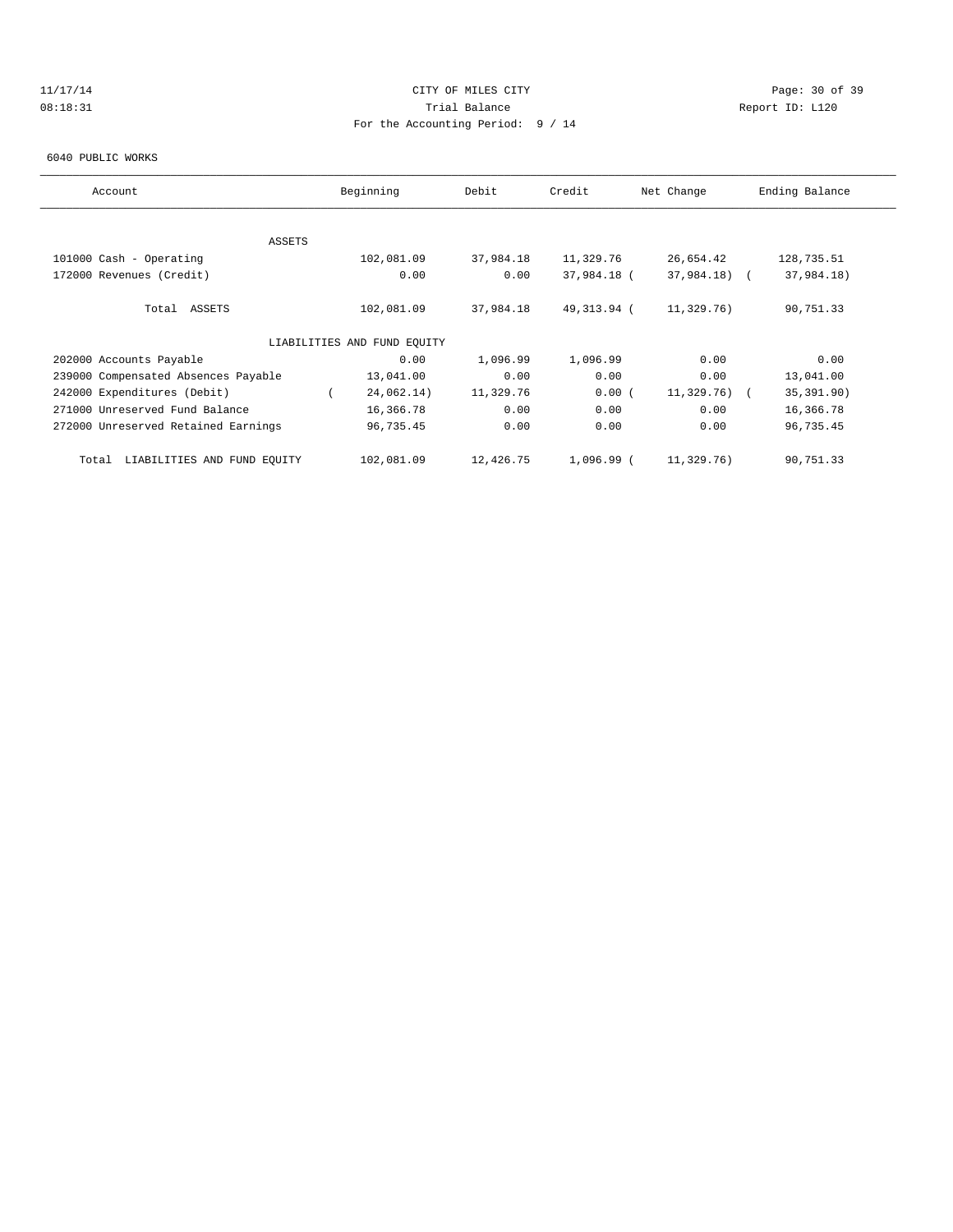# 11/17/14 Page: 30 of 39 08:18:31 Trial Balance Report ID: L120 For the Accounting Period: 9 / 14

#### 6040 PUBLIC WORKS

| Account                              | Beginning                   | Debit     | Credit      | Net Change    | Ending Balance |
|--------------------------------------|-----------------------------|-----------|-------------|---------------|----------------|
|                                      |                             |           |             |               |                |
|                                      |                             |           |             |               |                |
| ASSETS                               |                             |           |             |               |                |
| 101000 Cash - Operating              | 102,081.09                  | 37,984.18 | 11,329.76   | 26,654.42     | 128,735.51     |
| 172000 Revenues (Credit)             | 0.00                        | 0.00      | 37,984.18 ( | 37,984.18) (  | 37,984.18)     |
|                                      |                             |           |             |               |                |
| Total ASSETS                         | 102,081.09                  | 37,984.18 | 49,313.94 ( | 11,329.76)    | 90,751.33      |
|                                      |                             |           |             |               |                |
|                                      | LIABILITIES AND FUND EQUITY |           |             |               |                |
| 202000 Accounts Payable              | 0.00                        | 1,096.99  | 1,096.99    | 0.00          | 0.00           |
| 239000 Compensated Absences Payable  | 13,041.00                   | 0.00      | 0.00        | 0.00          | 13,041.00      |
| 242000 Expenditures (Debit)          | 24,062.14)                  | 11,329.76 | 0.00(       | $11,329.76$ ( | 35, 391.90)    |
| 271000 Unreserved Fund Balance       | 16,366.78                   | 0.00      | 0.00        | 0.00          | 16,366.78      |
| 272000 Unreserved Retained Earnings  | 96,735.45                   | 0.00      | 0.00        | 0.00          | 96,735.45      |
|                                      |                             |           |             |               |                |
| LIABILITIES AND FUND EQUITY<br>Total | 102,081.09                  | 12,426.75 | 1,096.99 (  | 11,329.76)    | 90,751.33      |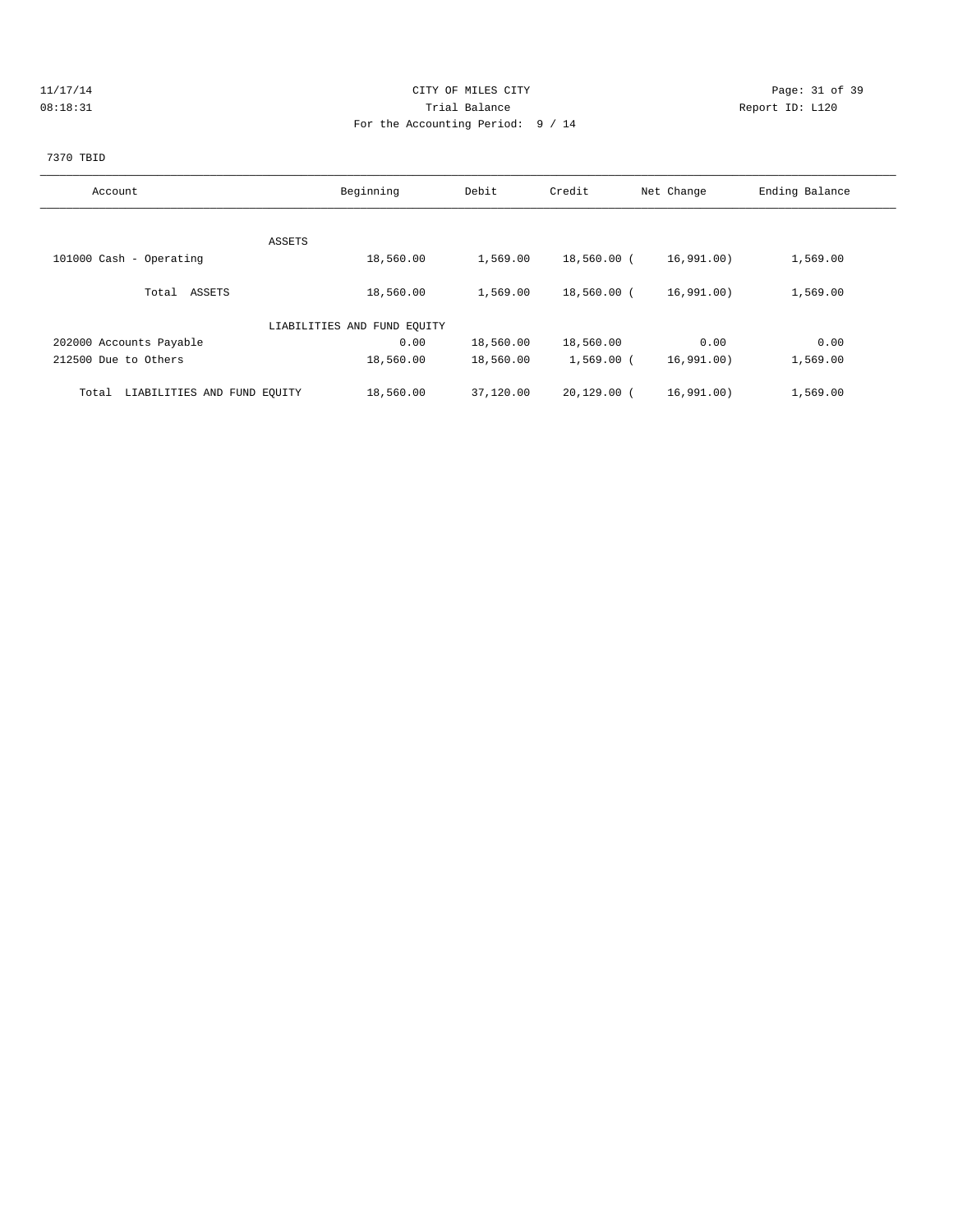## 11/17/14 Page: 31 of 39 08:18:31 Trial Balance Report ID: L120 For the Accounting Period: 9 / 14

# 7370 TBID

| Account                              | Beginning                   | Debit     | Credit        | Net Change | Ending Balance |
|--------------------------------------|-----------------------------|-----------|---------------|------------|----------------|
|                                      |                             |           |               |            |                |
| ASSETS                               |                             |           |               |            |                |
| 101000 Cash - Operating              | 18,560.00                   | 1,569.00  | 18,560.00 (   | 16,991.00) | 1,569.00       |
| ASSETS<br>Total                      | 18,560.00                   | 1,569.00  | 18,560.00 (   | 16,991.00) | 1,569.00       |
|                                      | LIABILITIES AND FUND EOUITY |           |               |            |                |
| 202000 Accounts Payable              | 0.00                        | 18,560.00 | 18,560.00     | 0.00       | 0.00           |
| 212500 Due to Others                 | 18,560.00                   | 18,560.00 | $1,569.00$ (  | 16,991.00) | 1,569.00       |
| LIABILITIES AND FUND EQUITY<br>Total | 18,560.00                   | 37,120.00 | $20.129.00$ ( | 16,991.00) | 1,569.00       |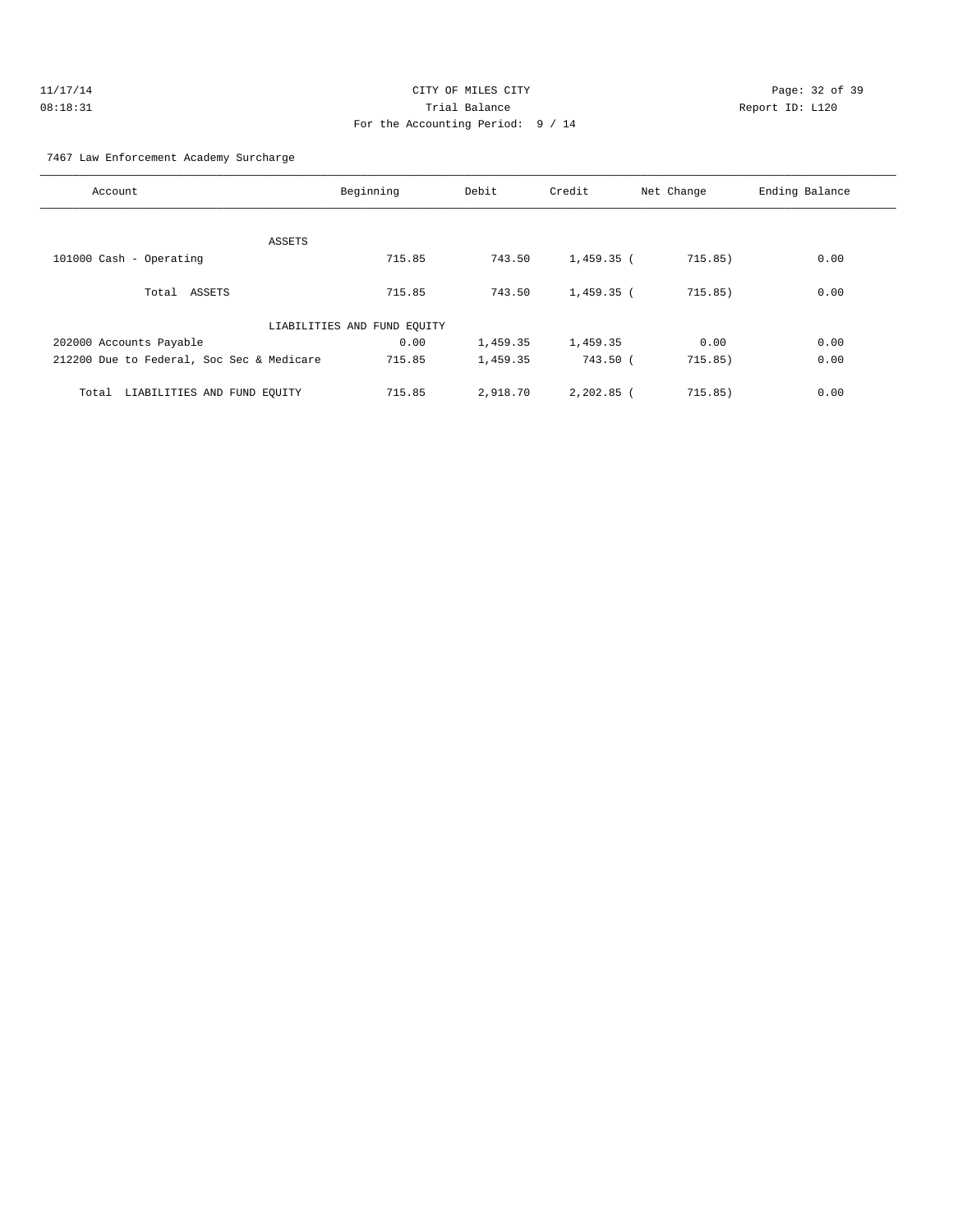| 11/17/14 | CITY OF MILES CITY                | Page: $32o$     |  |
|----------|-----------------------------------|-----------------|--|
| 08:18:31 | Trial Balance                     | Report ID: L120 |  |
|          | For the Accounting Period: 9 / 14 |                 |  |

Page: 32 of 39

### 7467 Law Enforcement Academy Surcharge

| Account                                   | Beginning                   | Debit    | Credit       | Net Change | Ending Balance |
|-------------------------------------------|-----------------------------|----------|--------------|------------|----------------|
|                                           |                             |          |              |            |                |
| ASSETS                                    |                             |          |              |            |                |
| 101000 Cash - Operating                   | 715.85                      | 743.50   | 1,459.35 (   | 715.85)    | 0.00           |
|                                           |                             |          |              |            |                |
| Total ASSETS                              | 715.85                      | 743.50   | $1,459.35$ ( | 715.85)    | 0.00           |
|                                           | LIABILITIES AND FUND EQUITY |          |              |            |                |
| 202000 Accounts Payable                   | 0.00                        | 1,459.35 | 1,459.35     | 0.00       | 0.00           |
| 212200 Due to Federal, Soc Sec & Medicare | 715.85                      | 1,459.35 | 743.50 (     | 715.85)    | 0.00           |
|                                           |                             |          |              |            |                |
| LIABILITIES AND FUND EOUITY<br>Total      | 715.85                      | 2,918.70 | $2,202.85$ ( | 715.85)    | 0.00           |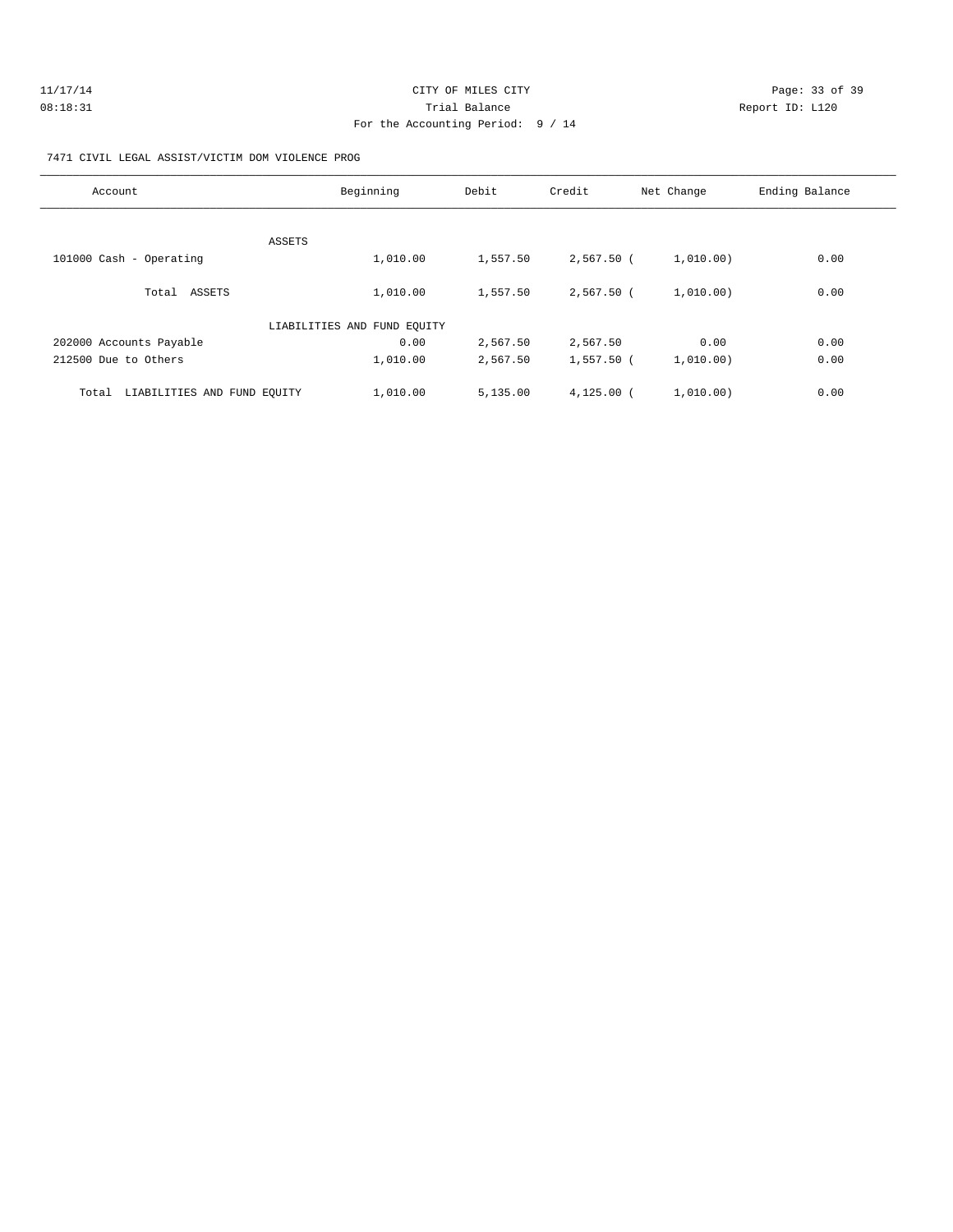| 11/17/14 | CITY OF MILES CITY                | Page: 33 of 39  |
|----------|-----------------------------------|-----------------|
| 08:18:31 | Trial Balance                     | Report ID: L120 |
|          | For the Accounting Period: 9 / 14 |                 |

### 7471 CIVIL LEGAL ASSIST/VICTIM DOM VIOLENCE PROG

| Account                              | Beginning                   | Debit    | Credit       | Net Change | Ending Balance |
|--------------------------------------|-----------------------------|----------|--------------|------------|----------------|
|                                      |                             |          |              |            |                |
| ASSETS<br>101000 Cash - Operating    | 1,010.00                    | 1,557.50 | $2,567.50$ ( | 1,010.00)  | 0.00           |
| Total ASSETS                         | 1,010.00                    | 1,557.50 | 2,567.50 (   | 1,010.00)  | 0.00           |
|                                      | LIABILITIES AND FUND EOUITY |          |              |            |                |
| 202000 Accounts Payable              | 0.00                        | 2,567.50 | 2,567.50     | 0.00       | 0.00           |
| 212500 Due to Others                 | 1,010.00                    | 2,567.50 | 1,557.50 (   | 1,010.00)  | 0.00           |
| LIABILITIES AND FUND EQUITY<br>Total | 1,010.00                    | 5,135.00 | $4,125.00$ ( | 1,010,00)  | 0.00           |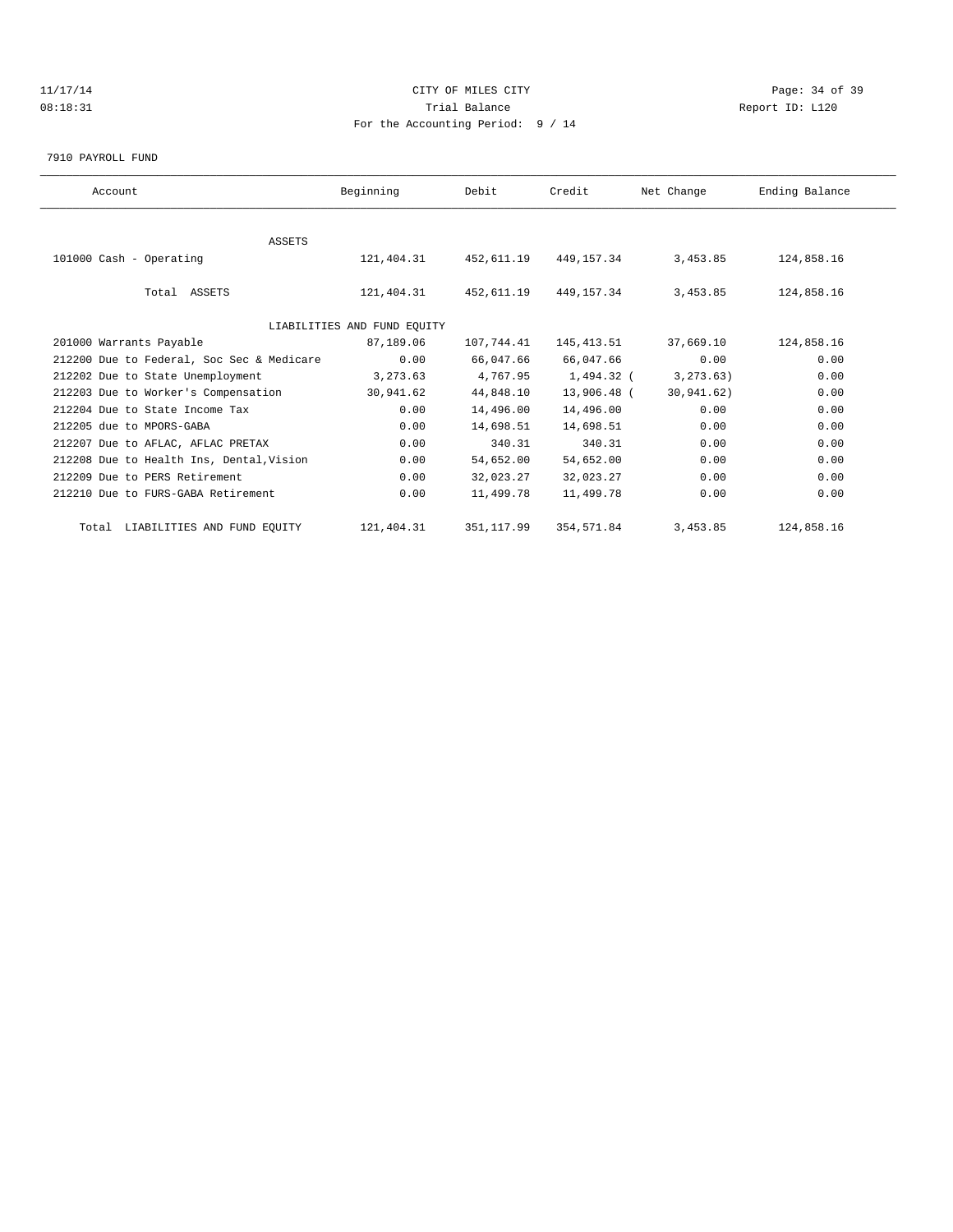## 11/17/14 Page: 34 of 39 08:18:31 Trial Balance Report ID: L120 For the Accounting Period: 9 / 14

#### 7910 PAYROLL FUND

| Account                                   | Beginning                   | Debit       | Credit      | Net Change  | Ending Balance |  |
|-------------------------------------------|-----------------------------|-------------|-------------|-------------|----------------|--|
|                                           |                             |             |             |             |                |  |
| <b>ASSETS</b>                             |                             |             |             |             |                |  |
| 101000 Cash - Operating                   | 121, 404. 31 452, 611. 19   |             | 449,157.34  | 3,453.85    | 124,858.16     |  |
| Total ASSETS                              | 121,404.31                  | 452,611.19  | 449,157.34  | 3,453.85    | 124,858.16     |  |
|                                           | LIABILITIES AND FUND EQUITY |             |             |             |                |  |
| 201000 Warrants Payable                   | 87,189.06                   | 107,744.41  | 145,413.51  | 37,669.10   | 124,858.16     |  |
| 212200 Due to Federal, Soc Sec & Medicare | 0.00                        | 66,047.66   | 66,047.66   | 0.00        | 0.00           |  |
| 212202 Due to State Unemployment          | 3,273.63                    | 4,767.95    | 1,494.32 (  | 3, 273, 63) | 0.00           |  |
| 212203 Due to Worker's Compensation       | 30,941.62                   | 44,848.10   | 13,906.48 ( | 30,941.62)  | 0.00           |  |
| 212204 Due to State Income Tax            | 0.00                        | 14,496.00   | 14,496.00   | 0.00        | 0.00           |  |
| 212205 due to MPORS-GABA                  | 0.00                        | 14,698.51   | 14,698.51   | 0.00        | 0.00           |  |
| 212207 Due to AFLAC, AFLAC PRETAX         | 0.00                        | 340.31      | 340.31      | 0.00        | 0.00           |  |
| 212208 Due to Health Ins, Dental, Vision  | 0.00                        | 54,652.00   | 54,652.00   | 0.00        | 0.00           |  |
| 212209 Due to PERS Retirement             | 0.00                        | 32,023.27   | 32,023.27   | 0.00        | 0.00           |  |
| 212210 Due to FURS-GABA Retirement        | 0.00                        | 11,499.78   | 11,499.78   | 0.00        | 0.00           |  |
| Total LIABILITIES AND FUND EQUITY         | 121,404.31                  | 351, 117.99 | 354,571.84  | 3,453.85    | 124,858.16     |  |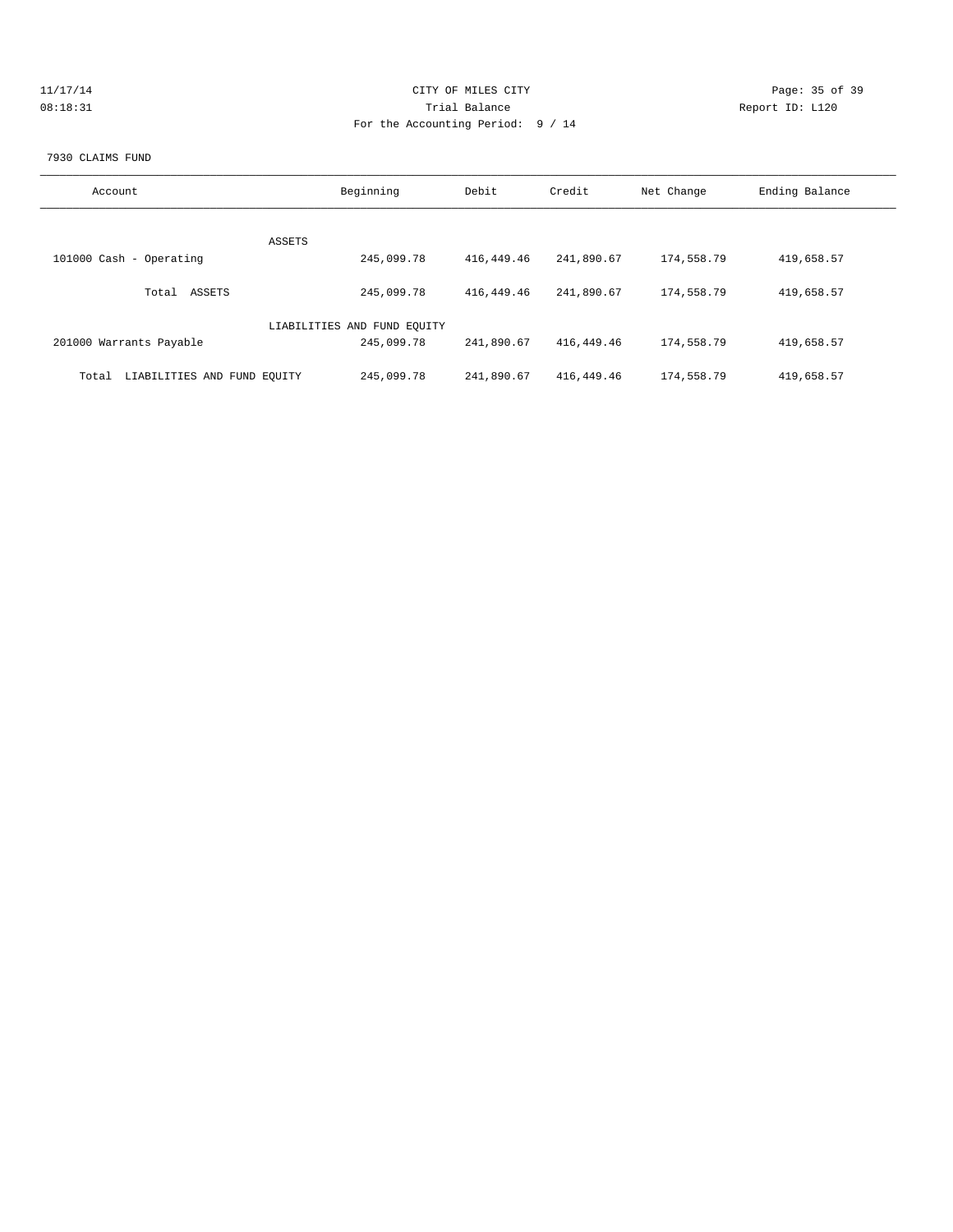| 11/17/14 | CITY OF MILES CITY                | Page: 35 of 39  |
|----------|-----------------------------------|-----------------|
| 08:18:31 | Trial Balance                     | Report ID: L120 |
|          | For the Accounting Period: 9 / 14 |                 |
|          |                                   |                 |

#### 7930 CLAIMS FUND

| Account                              | Beginning                   | Debit      | Credit     | Net Change | Ending Balance |
|--------------------------------------|-----------------------------|------------|------------|------------|----------------|
|                                      |                             |            |            |            |                |
| ASSETS                               |                             |            |            |            |                |
| 101000 Cash - Operating              | 245,099.78                  | 416,449.46 | 241,890.67 | 174,558.79 | 419,658.57     |
| ASSETS<br>Total                      | 245,099.78                  | 416,449.46 | 241,890.67 | 174,558.79 | 419,658.57     |
|                                      | LIABILITIES AND FUND EQUITY |            |            |            |                |
| 201000 Warrants Payable              | 245,099.78                  | 241,890.67 | 416,449.46 | 174,558.79 | 419,658.57     |
| LIABILITIES AND FUND EOUITY<br>Total | 245,099.78                  | 241,890.67 | 416,449.46 | 174,558.79 | 419,658.57     |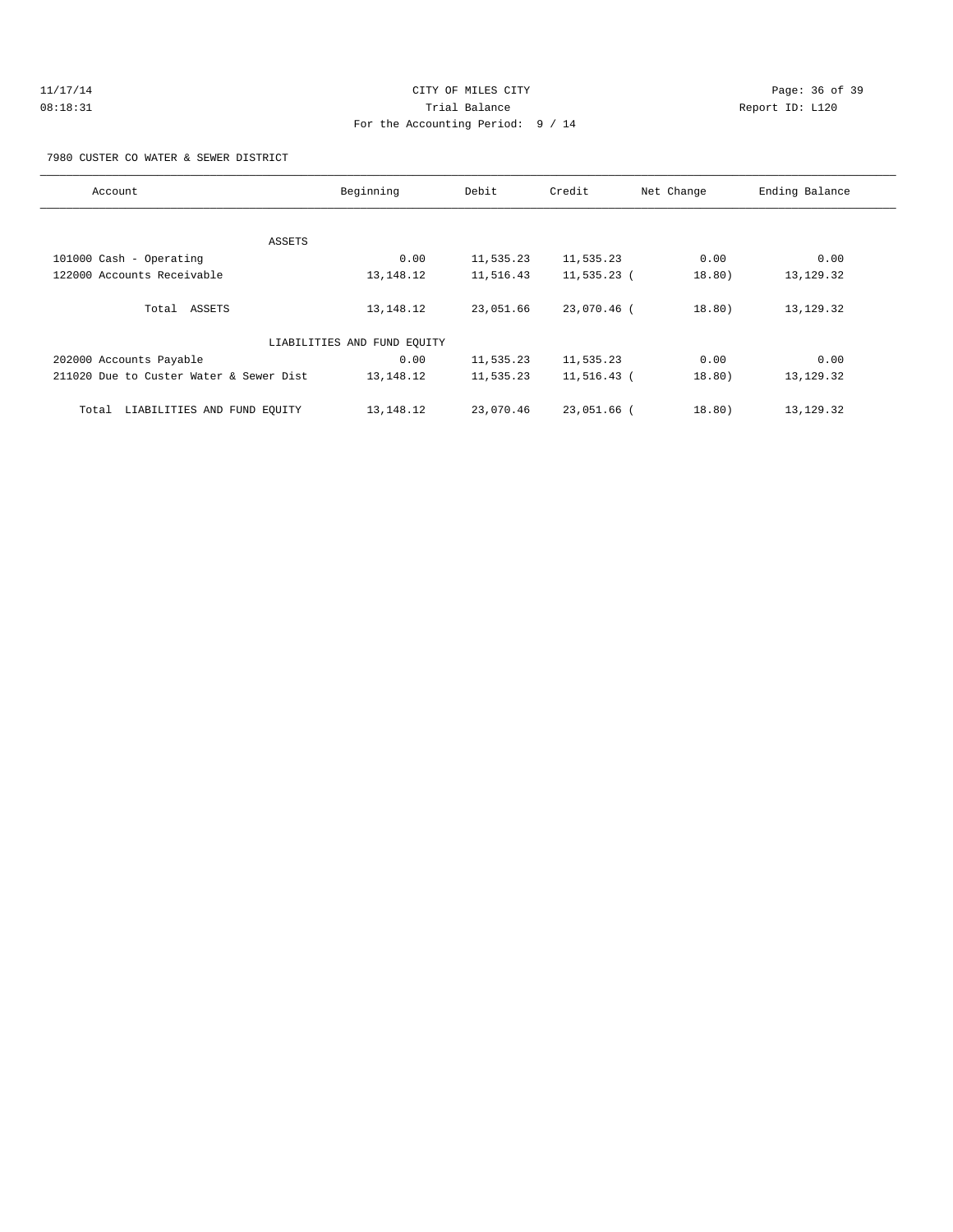#### 7980 CUSTER CO WATER & SEWER DISTRICT

| Account                                 | Beginning                   | Debit     | Credit      | Net Change | Ending Balance |
|-----------------------------------------|-----------------------------|-----------|-------------|------------|----------------|
|                                         |                             |           |             |            |                |
| ASSETS                                  |                             |           |             |            |                |
| 101000 Cash - Operating                 | 0.00                        | 11,535.23 | 11,535.23   | 0.00       | 0.00           |
| 122000 Accounts Receivable              | 13, 148. 12                 | 11,516.43 | 11,535.23 ( | 18.80)     | 13, 129. 32    |
| Total ASSETS                            | 13, 148. 12                 | 23,051.66 | 23,070.46 ( | 18.80)     | 13,129.32      |
|                                         | LIABILITIES AND FUND EQUITY |           |             |            |                |
| 202000 Accounts Payable                 | 0.00                        | 11,535.23 | 11,535.23   | 0.00       | 0.00           |
| 211020 Due to Custer Water & Sewer Dist | 13, 148. 12                 | 11,535.23 | 11,516.43 ( | 18.80)     | 13,129.32      |
| LIABILITIES AND FUND EQUITY<br>Total    | 13,148.12                   | 23,070.46 | 23,051.66 ( | 18.80)     | 13, 129. 32    |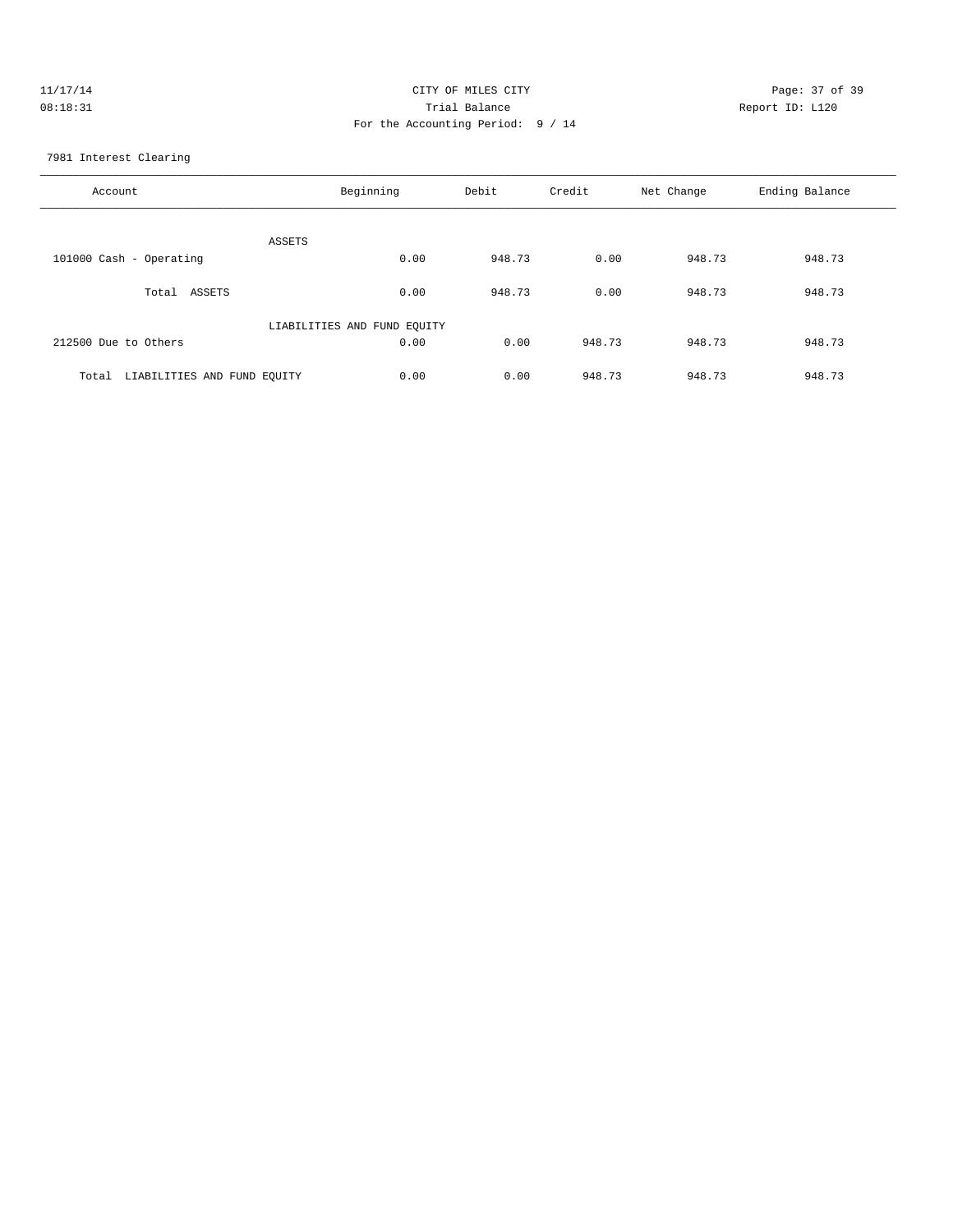| 11/17/14 | CITY OF MILES CITY                | Page: 37 of 39  |
|----------|-----------------------------------|-----------------|
| 08:18:31 | Trial Balance                     | Report ID: L120 |
|          | For the Accounting Period: 9 / 14 |                 |

7981 Interest Clearing

| Account                              | Beginning                   | Debit  | Credit | Net Change | Ending Balance |
|--------------------------------------|-----------------------------|--------|--------|------------|----------------|
| ASSETS                               |                             |        |        |            |                |
| 101000 Cash - Operating              | 0.00                        | 948.73 | 0.00   | 948.73     | 948.73         |
| Total<br>ASSETS                      | 0.00                        | 948.73 | 0.00   | 948.73     | 948.73         |
|                                      | LIABILITIES AND FUND EQUITY |        |        |            |                |
| 212500 Due to Others                 | 0.00                        | 0.00   | 948.73 | 948.73     | 948.73         |
| LIABILITIES AND FUND EQUITY<br>Total | 0.00                        | 0.00   | 948.73 | 948.73     | 948.73         |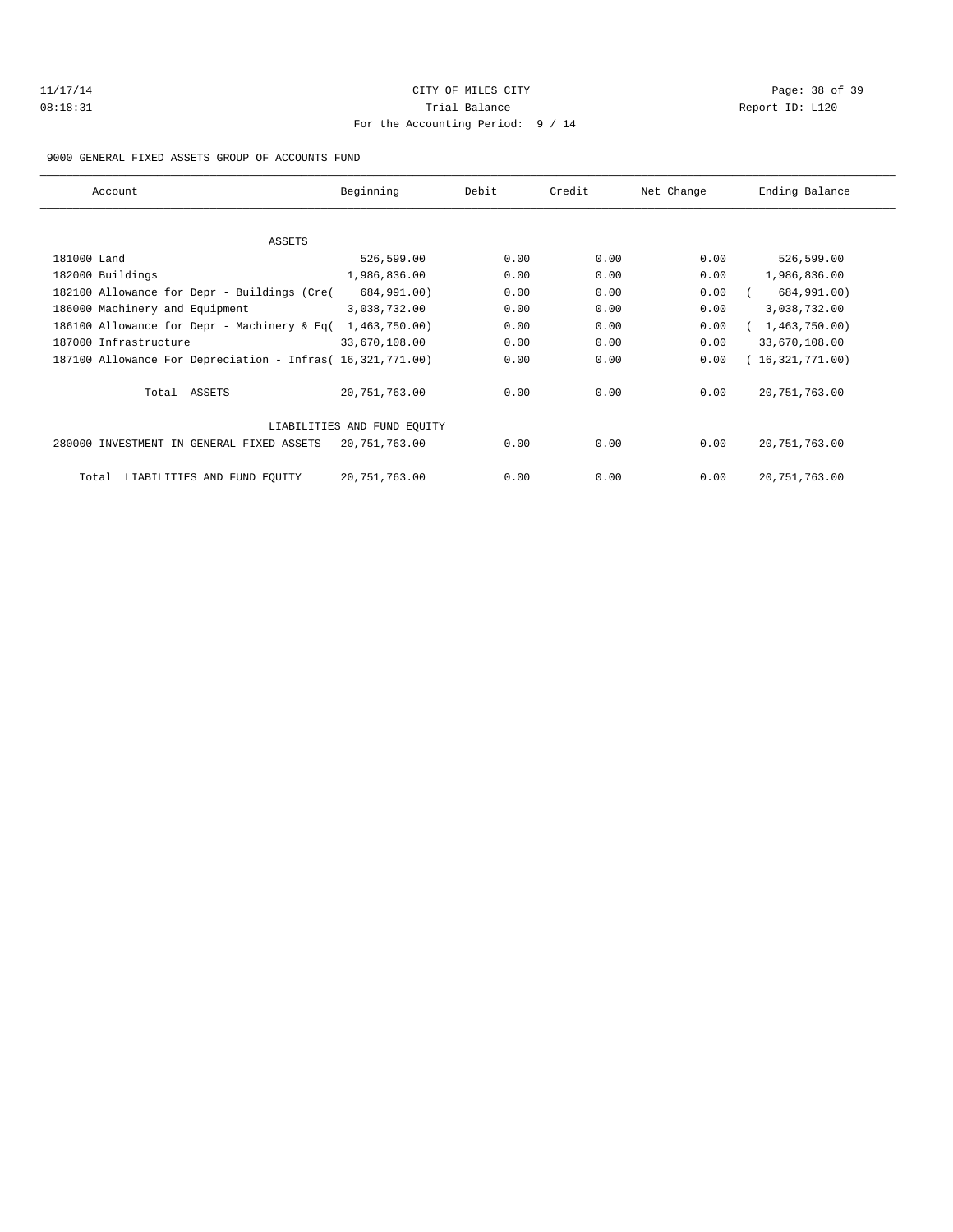# 11/17/14 Page: 38 of 39 08:18:31 Trial Balance Report ID: L120 For the Accounting Period: 9 / 14

9000 GENERAL FIXED ASSETS GROUP OF ACCOUNTS FUND

| Account                                                    | Beginning                   | Debit | Credit | Net Change | Ending Balance  |
|------------------------------------------------------------|-----------------------------|-------|--------|------------|-----------------|
|                                                            |                             |       |        |            |                 |
| <b>ASSETS</b>                                              |                             |       |        |            |                 |
| 181000 Land                                                | 526,599.00                  | 0.00  | 0.00   | 0.00       | 526,599.00      |
| 182000 Buildings                                           | 1,986,836.00                | 0.00  | 0.00   | 0.00       | 1,986,836.00    |
| 182100 Allowance for Depr - Buildings (Cre(                | 684,991.00)                 | 0.00  | 0.00   | 0.00       | 684,991.00)     |
| 186000 Machinery and Equipment                             | 3,038,732.00                | 0.00  | 0.00   | 0.00       | 3,038,732.00    |
| 186100 Allowance for Depr - Machinery & Eq(                | 1,463,750.00)               | 0.00  | 0.00   | 0.00       | 1,463,750.00    |
| 187000 Infrastructure                                      | 33,670,108.00               | 0.00  | 0.00   | 0.00       | 33,670,108.00   |
| 187100 Allowance For Depreciation - Infras( 16,321,771.00) |                             | 0.00  | 0.00   | 0.00       | 16,321,771.00   |
| Total ASSETS                                               | 20,751,763.00               | 0.00  | 0.00   | 0.00       | 20, 751, 763.00 |
|                                                            | LIABILITIES AND FUND EOUITY |       |        |            |                 |
| 280000 INVESTMENT IN GENERAL FIXED ASSETS                  | 20,751,763.00               | 0.00  | 0.00   | 0.00       | 20, 751, 763.00 |
| LIABILITIES AND FUND EQUITY<br>Total                       | 20,751,763.00               | 0.00  | 0.00   | 0.00       | 20, 751, 763.00 |